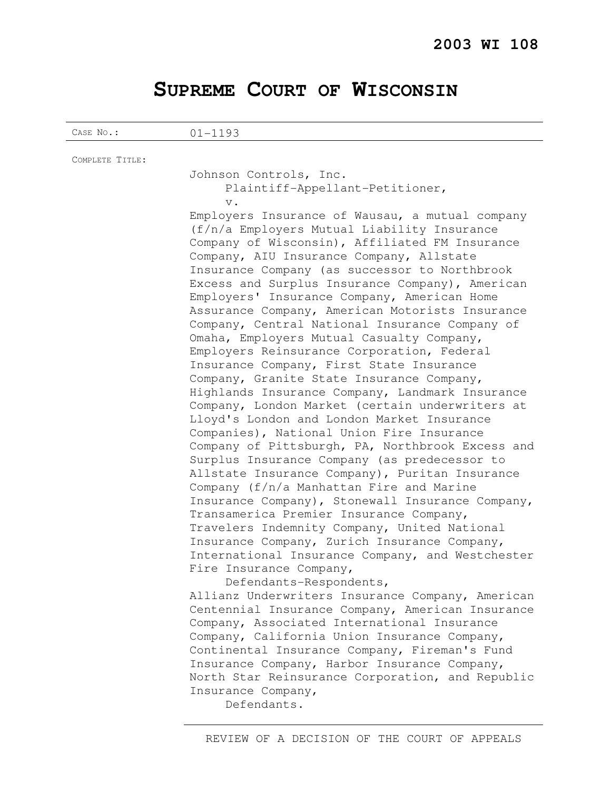# **SUPREME COURT OF WISCONSIN**

CASE No.: 01-1193

| COMPLETE TITLE: |                                                 |
|-----------------|-------------------------------------------------|
|                 | Johnson Controls, Inc.                          |
|                 | Plaintiff-Appellant-Petitioner,                 |
|                 | $V$ .                                           |
|                 | Employers Insurance of Wausau, a mutual company |
|                 | (f/n/a Employers Mutual Liability Insurance     |
|                 | Company of Wisconsin), Affiliated FM Insurance  |
|                 | Company, AIU Insurance Company, Allstate        |
|                 | Incurango Company (as suggessor to Northbrook   |

Insurance Company (as successor to Northbrook Excess and Surplus Insurance Company), American Employers' Insurance Company, American Home Assurance Company, American Motorists Insurance Company, Central National Insurance Company of Omaha, Employers Mutual Casualty Company, Employers Reinsurance Corporation, Federal Insurance Company, First State Insurance Company, Granite State Insurance Company, Highlands Insurance Company, Landmark Insurance Company, London Market (certain underwriters at Lloyd's London and London Market Insurance Companies), National Union Fire Insurance Company of Pittsburgh, PA, Northbrook Excess and Surplus Insurance Company (as predecessor to Allstate Insurance Company), Puritan Insurance Company (f/n/a Manhattan Fire and Marine Insurance Company), Stonewall Insurance Company, Transamerica Premier Insurance Company, Travelers Indemnity Company, United National Insurance Company, Zurich Insurance Company, International Insurance Company, and Westchester Fire Insurance Company,

 Defendants-Respondents, Allianz Underwriters Insurance Company, American Centennial Insurance Company, American Insurance Company, Associated International Insurance Company, California Union Insurance Company, Continental Insurance Company, Fireman's Fund Insurance Company, Harbor Insurance Company, North Star Reinsurance Corporation, and Republic Insurance Company,

Defendants.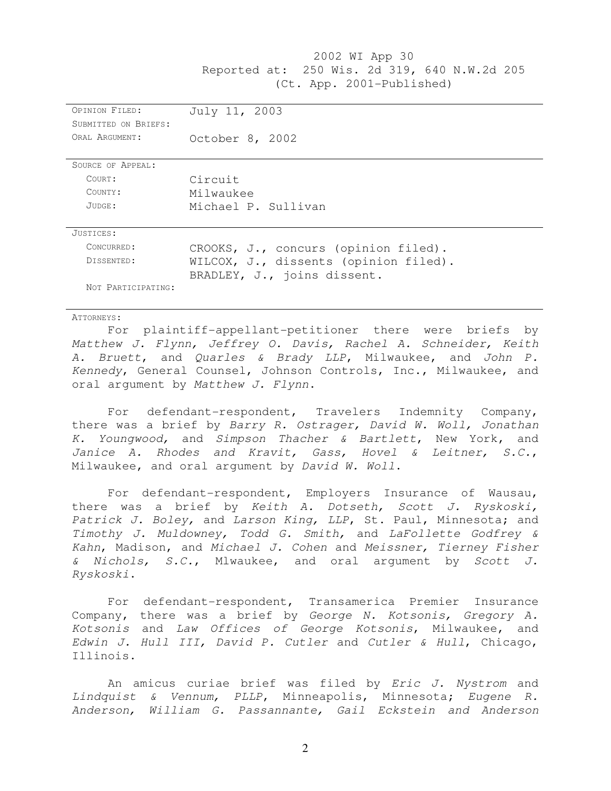2002 WI App 30 Reported at: 250 Wis. 2d 319, 640 N.W.2d 205 (Ct. App. 2001-Published) OPINION FILED: July 11, 2003 SUBMITTED ON BRIEFS: ORAL ARGUMENT: 0ctober 8, 2002 SOURCE OF APPEAL: COURT: Circuit COUNTY: Milwaukee JUDGE: Michael P. Sullivan JUSTICES: CONCURRED: CROOKS, J., concurs (opinion filed). DISSENTED: WILCOX, J., dissents (opinion filed). BRADLEY, J., joins dissent. NOT PARTICIPATING:

#### ATTORNEYS:

For plaintiff-appellant-petitioner there were briefs by Matthew J. Flynn, Jeffrey O. Davis, Rachel A. Schneider, Keith A. Bruett, and Quarles & Brady LLP, Milwaukee, and John P. Kennedy, General Counsel, Johnson Controls, Inc., Milwaukee, and oral argument by Matthew J. Flynn.

For defendant-respondent, Travelers Indemnity Company, there was a brief by Barry R. Ostrager, David W. Woll, Jonathan K. Youngwood, and Simpson Thacher & Bartlett, New York, and Janice A. Rhodes and Kravit, Gass, Hovel & Leitner, S.C., Milwaukee, and oral argument by David W. Woll.

For defendant-respondent, Employers Insurance of Wausau, there was a brief by Keith A. Dotseth, Scott J. Ryskoski, Patrick J. Boley, and Larson King, LLP, St. Paul, Minnesota; and Timothy J. Muldowney, Todd G. Smith, and LaFollette Godfrey & Kahn, Madison, and Michael J. Cohen and Meissner, Tierney Fisher & Nichols, S.C., Mlwaukee, and oral argument by Scott J. Ryskoski.

For defendant-respondent, Transamerica Premier Insurance Company, there was a brief by George N. Kotsonis, Gregory A. Kotsonis and Law Offices of George Kotsonis, Milwaukee, and Edwin J. Hull III, David P. Cutler and Cutler & Hull, Chicago, Illinois.

An amicus curiae brief was filed by Eric J. Nystrom and Lindquist & Vennum, PLLP, Minneapolis, Minnesota; Eugene R. Anderson, William G. Passannante, Gail Eckstein and Anderson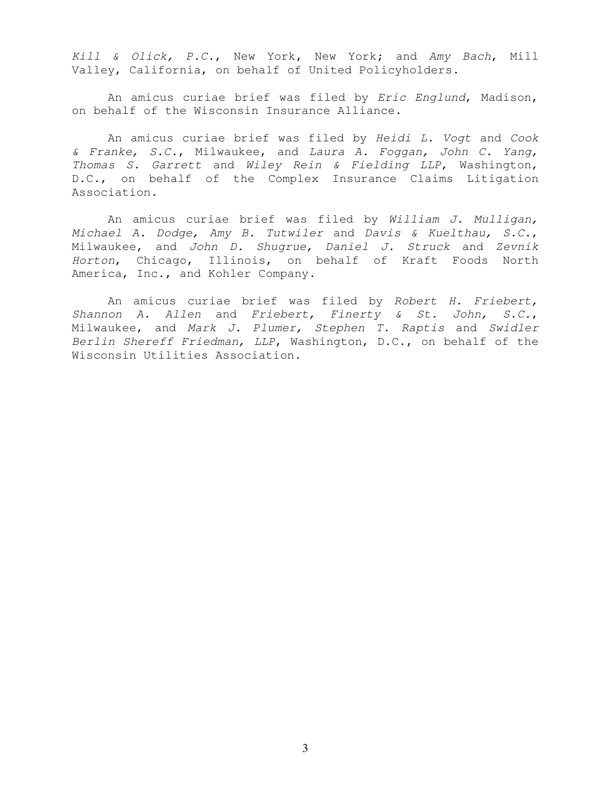Kill & Olick, P.C., New York, New York; and Amy Bach, Mill Valley, California, on behalf of United Policyholders.

An amicus curiae brief was filed by Eric Englund, Madison, on behalf of the Wisconsin Insurance Alliance.

An amicus curiae brief was filed by Heidi L. Vogt and Cook & Franke, S.C., Milwaukee, and Laura A. Foggan, John C. Yang, Thomas S. Garrett and Wiley Rein & Fielding LLP, Washington, D.C., on behalf of the Complex Insurance Claims Litigation Association.

An amicus curiae brief was filed by William J. Mulligan, Michael A. Dodge, Amy B. Tutwiler and Davis & Kuelthau, S.C., Milwaukee, and John D. Shugrue, Daniel J. Struck and Zevnik Horton, Chicago, Illinois, on behalf of Kraft Foods North America, Inc., and Kohler Company.

An amicus curiae brief was filed by Robert H. Friebert, Shannon A. Allen and Friebert, Finerty & St. John, S.C., Milwaukee, and Mark J. Plumer, Stephen T. Raptis and Swidler Berlin Shereff Friedman, LLP, Washington, D.C., on behalf of the Wisconsin Utilities Association.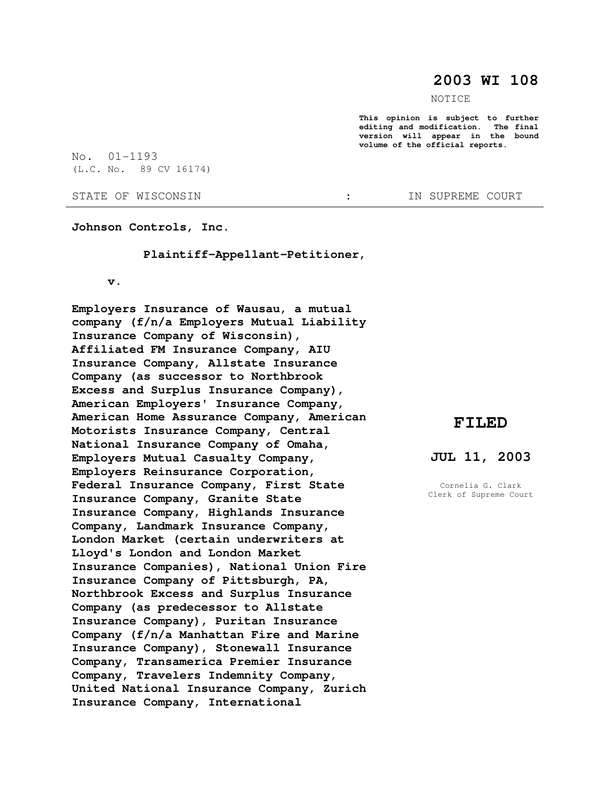# **2003 WI 108**

NOTICE

**This opinion is subject to further editing and modification. The final version will appear in the bound volume of the official reports.** 

No. 01-1193 (L.C. No. 89 CV 16174)

STATE OF WISCONSIN  $\qquad \qquad : \qquad \qquad$  IN SUPREME COURT

**Johnson Controls, Inc.** 

 **Plaintiff-Appellant-Petitioner,** 

 **v.** 

**Employers Insurance of Wausau, a mutual company (f/n/a Employers Mutual Liability Insurance Company of Wisconsin), Affiliated FM Insurance Company, AIU Insurance Company, Allstate Insurance Company (as successor to Northbrook Excess and Surplus Insurance Company), American Employers' Insurance Company, American Home Assurance Company, American Motorists Insurance Company, Central National Insurance Company of Omaha, Employers Mutual Casualty Company, Employers Reinsurance Corporation, Federal Insurance Company, First State Insurance Company, Granite State Insurance Company, Highlands Insurance Company, Landmark Insurance Company, London Market (certain underwriters at Lloyd's London and London Market Insurance Companies), National Union Fire Insurance Company of Pittsburgh, PA, Northbrook Excess and Surplus Insurance Company (as predecessor to Allstate Insurance Company), Puritan Insurance Company (f/n/a Manhattan Fire and Marine Insurance Company), Stonewall Insurance Company, Transamerica Premier Insurance Company, Travelers Indemnity Company, United National Insurance Company, Zurich Insurance Company, International** 

# **FILED**

## **JUL 11, 2003**

Cornelia G. Clark Clerk of Supreme Court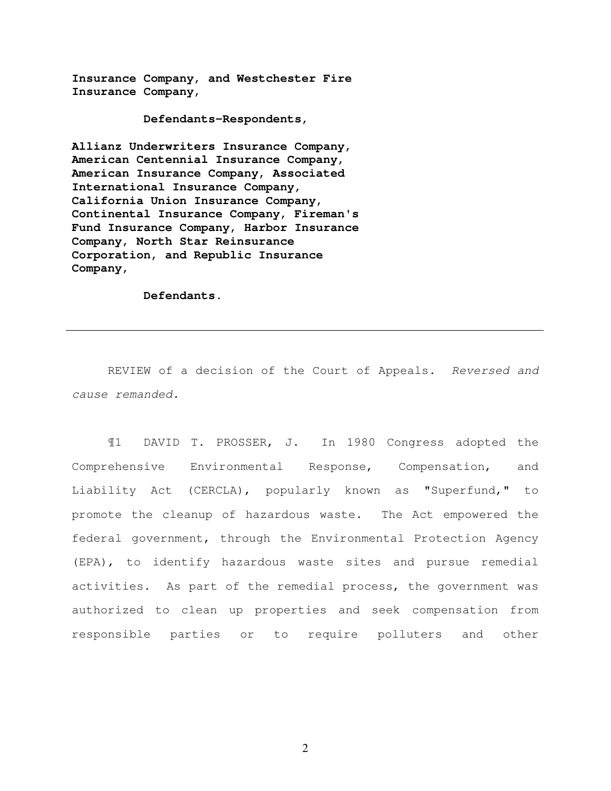**Insurance Company, and Westchester Fire Insurance Company,** 

 **Defendants-Respondents,** 

**Allianz Underwriters Insurance Company, American Centennial Insurance Company, American Insurance Company, Associated International Insurance Company, California Union Insurance Company, Continental Insurance Company, Fireman's Fund Insurance Company, Harbor Insurance Company, North Star Reinsurance Corporation, and Republic Insurance Company,** 

 **Defendants.** 

REVIEW of a decision of the Court of Appeals. Reversed and cause remanded.

¶1 DAVID T. PROSSER, J. In 1980 Congress adopted the Comprehensive Environmental Response, Compensation, and Liability Act (CERCLA), popularly known as "Superfund," to promote the cleanup of hazardous waste. The Act empowered the federal government, through the Environmental Protection Agency (EPA), to identify hazardous waste sites and pursue remedial activities. As part of the remedial process, the government was authorized to clean up properties and seek compensation from responsible parties or to require polluters and other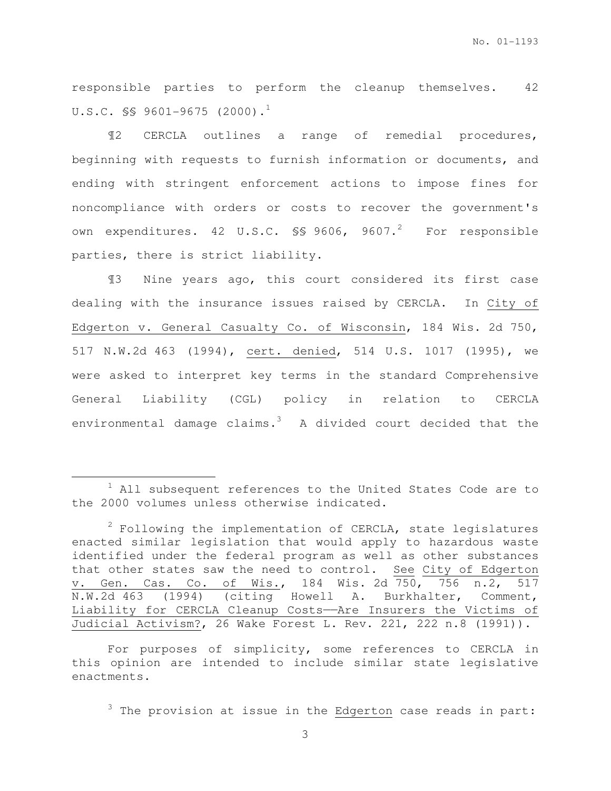responsible parties to perform the cleanup themselves. 42 U.S.C.  $\frac{1}{5}$  9601-9675 (2000).<sup>1</sup>

¶2 CERCLA outlines a range of remedial procedures, beginning with requests to furnish information or documents, and ending with stringent enforcement actions to impose fines for noncompliance with orders or costs to recover the government's own expenditures. 42 U.S.C.  $\S$ \$ 9606, 9607.<sup>2</sup> For responsible parties, there is strict liability.

¶3 Nine years ago, this court considered its first case dealing with the insurance issues raised by CERCLA. In City of Edgerton v. General Casualty Co. of Wisconsin, 184 Wis. 2d 750, 517 N.W.2d 463 (1994), cert. denied, 514 U.S. 1017 (1995), we were asked to interpret key terms in the standard Comprehensive General Liability (CGL) policy in relation to CERCLA environmental damage claims. $3$  A divided court decided that the

l.

For purposes of simplicity, some references to CERCLA in this opinion are intended to include similar state legislative enactments.

 $3$  The provision at issue in the Edgerton case reads in part:

<sup>&</sup>lt;sup>1</sup> All subsequent references to the United States Code are to the 2000 volumes unless otherwise indicated.

 $2$  Following the implementation of CERCLA, state legislatures enacted similar legislation that would apply to hazardous waste identified under the federal program as well as other substances that other states saw the need to control. See City of Edgerton v. Gen. Cas. Co. of Wis., 184 Wis. 2d 750, 756 n.2, 517 N.W.2d 463 (1994) (citing Howell A. Burkhalter, Comment, Liability for CERCLA Cleanup Costs——Are Insurers the Victims of Judicial Activism?, 26 Wake Forest L. Rev. 221, 222 n.8 (1991)).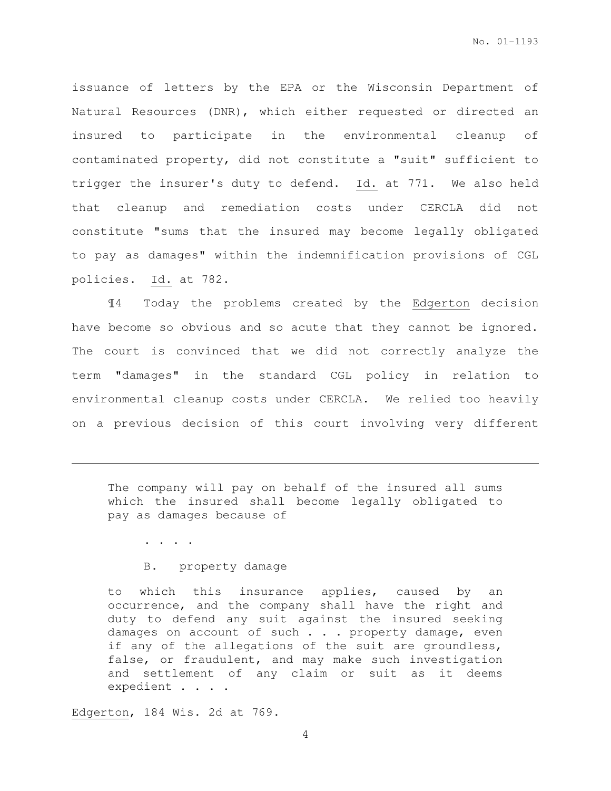issuance of letters by the EPA or the Wisconsin Department of Natural Resources (DNR), which either requested or directed an insured to participate in the environmental cleanup of contaminated property, did not constitute a "suit" sufficient to trigger the insurer's duty to defend. Id. at 771. We also held that cleanup and remediation costs under CERCLA did not constitute "sums that the insured may become legally obligated to pay as damages" within the indemnification provisions of CGL policies. Id. at 782.

¶4 Today the problems created by the Edgerton decision have become so obvious and so acute that they cannot be ignored. The court is convinced that we did not correctly analyze the term "damages" in the standard CGL policy in relation to environmental cleanup costs under CERCLA. We relied too heavily on a previous decision of this court involving very different

The company will pay on behalf of the insured all sums which the insured shall become legally obligated to pay as damages because of

. . . .

l.

## B. property damage

to which this insurance applies, caused by an occurrence, and the company shall have the right and duty to defend any suit against the insured seeking damages on account of such . . . property damage, even if any of the allegations of the suit are groundless, false, or fraudulent, and may make such investigation and settlement of any claim or suit as it deems expedient . . . .

Edgerton, 184 Wis. 2d at 769.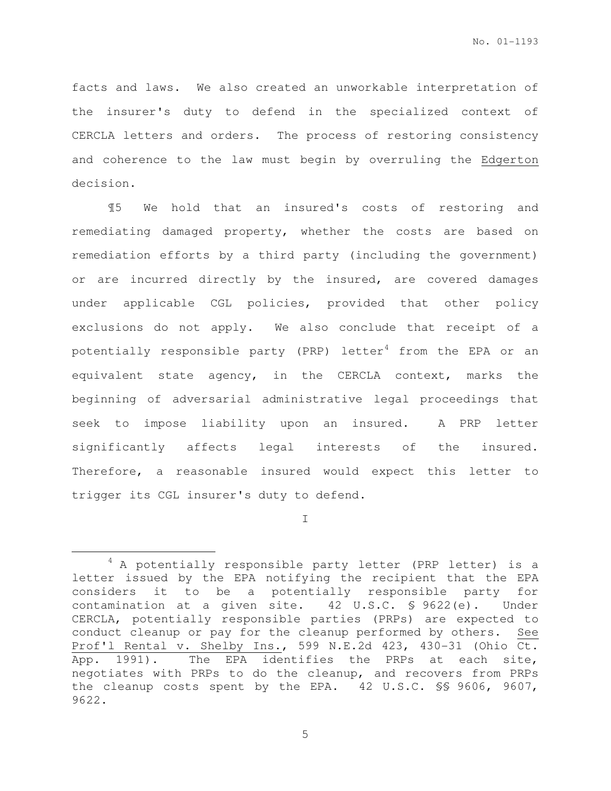facts and laws. We also created an unworkable interpretation of the insurer's duty to defend in the specialized context of CERCLA letters and orders. The process of restoring consistency and coherence to the law must begin by overruling the Edgerton decision.

¶5 We hold that an insured's costs of restoring and remediating damaged property, whether the costs are based on remediation efforts by a third party (including the government) or are incurred directly by the insured, are covered damages under applicable CGL policies, provided that other policy exclusions do not apply. We also conclude that receipt of a potentially responsible party (PRP) letter<sup>4</sup> from the EPA or an equivalent state agency, in the CERCLA context, marks the beginning of adversarial administrative legal proceedings that seek to impose liability upon an insured. A PRP letter significantly affects legal interests of the insured. Therefore, a reasonable insured would expect this letter to trigger its CGL insurer's duty to defend.

I

 $\overline{a}$ 

<sup>4</sup> A potentially responsible party letter (PRP letter) is a letter issued by the EPA notifying the recipient that the EPA considers it to be a potentially responsible party for contamination at a given site. 42 U.S.C. § 9622(e). Under CERCLA, potentially responsible parties (PRPs) are expected to conduct cleanup or pay for the cleanup performed by others. See Prof'l Rental v. Shelby Ins., 599 N.E.2d 423, 430-31 (Ohio Ct. App. 1991). The EPA identifies the PRPs at each site, negotiates with PRPs to do the cleanup, and recovers from PRPs the cleanup costs spent by the EPA. 42 U.S.C. §§ 9606, 9607, 9622.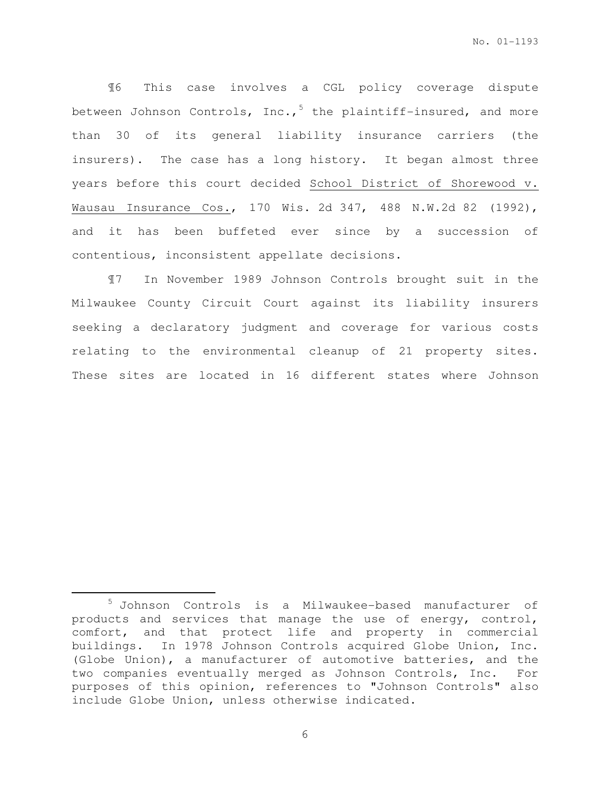¶6 This case involves a CGL policy coverage dispute between Johnson Controls, Inc.,  $5$  the plaintiff-insured, and more than 30 of its general liability insurance carriers (the insurers). The case has a long history. It began almost three years before this court decided School District of Shorewood v. Wausau Insurance Cos., 170 Wis. 2d 347, 488 N.W.2d 82 (1992), and it has been buffeted ever since by a succession of contentious, inconsistent appellate decisions.

¶7 In November 1989 Johnson Controls brought suit in the Milwaukee County Circuit Court against its liability insurers seeking a declaratory judgment and coverage for various costs relating to the environmental cleanup of 21 property sites. These sites are located in 16 different states where Johnson

 $\overline{a}$ 

<sup>5</sup> Johnson Controls is a Milwaukee-based manufacturer of products and services that manage the use of energy, control, comfort, and that protect life and property in commercial buildings. In 1978 Johnson Controls acquired Globe Union, Inc. (Globe Union), a manufacturer of automotive batteries, and the two companies eventually merged as Johnson Controls, Inc. For purposes of this opinion, references to "Johnson Controls" also include Globe Union, unless otherwise indicated.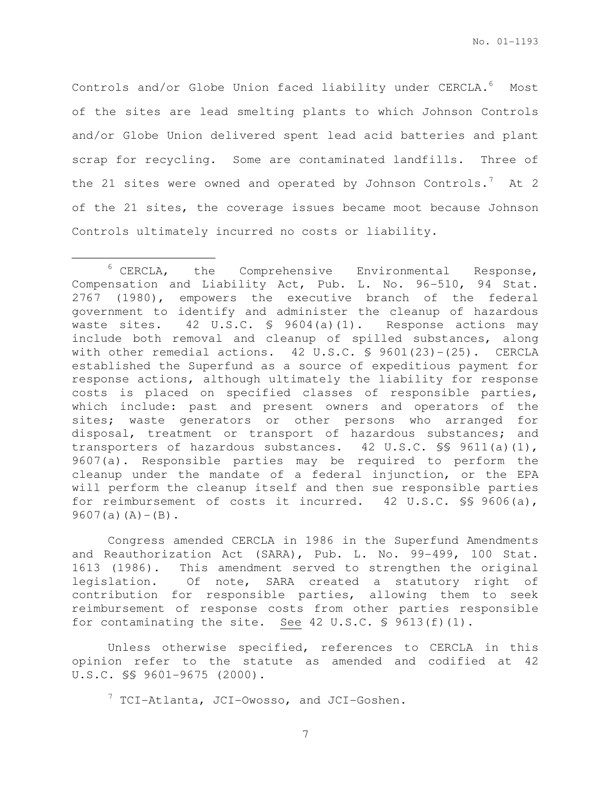Controls and/or Globe Union faced liability under CERCLA.<sup>6</sup> Most of the sites are lead smelting plants to which Johnson Controls and/or Globe Union delivered spent lead acid batteries and plant scrap for recycling. Some are contaminated landfills. Three of the 21 sites were owned and operated by Johnson Controls.<sup>7</sup> At 2 of the 21 sites, the coverage issues became moot because Johnson Controls ultimately incurred no costs or liability.

l.

Congress amended CERCLA in 1986 in the Superfund Amendments and Reauthorization Act (SARA), Pub. L. No. 99-499, 100 Stat. 1613 (1986). This amendment served to strengthen the original legislation. Of note, SARA created a statutory right of contribution for responsible parties, allowing them to seek reimbursement of response costs from other parties responsible for contaminating the site. See 42 U.S.C. § 9613(f)(1).

Unless otherwise specified, references to CERCLA in this opinion refer to the statute as amended and codified at 42 U.S.C. §§ 9601-9675 (2000).

 $7$  TCI-Atlanta, JCI-Owosso, and JCI-Goshen.

<sup>6</sup> CERCLA, the Comprehensive Environmental Response, Compensation and Liability Act, Pub. L. No. 96-510, 94 Stat. 2767 (1980), empowers the executive branch of the federal government to identify and administer the cleanup of hazardous waste sites. 42 U.S.C. § 9604(a)(1). Response actions may include both removal and cleanup of spilled substances, along with other remedial actions. 42 U.S.C. § 9601(23)-(25). CERCLA established the Superfund as a source of expeditious payment for response actions, although ultimately the liability for response costs is placed on specified classes of responsible parties, which include: past and present owners and operators of the sites; waste generators or other persons who arranged for disposal, treatment or transport of hazardous substances; and transporters of hazardous substances. 42 U.S.C. §§ 9611(a)(1), 9607(a). Responsible parties may be required to perform the cleanup under the mandate of a federal injunction, or the EPA will perform the cleanup itself and then sue responsible parties for reimbursement of costs it incurred. 42 U.S.C. §§ 9606(a),  $9607(a)(A) - (B)$ .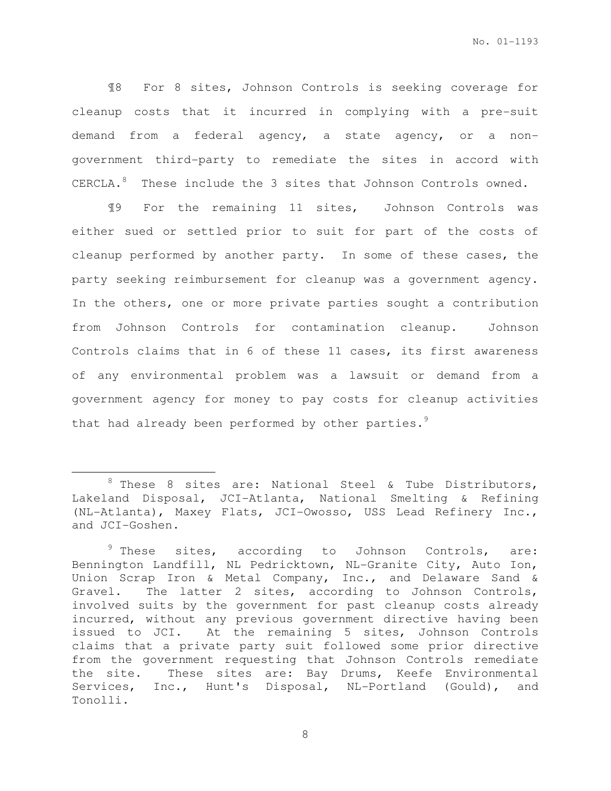¶8 For 8 sites, Johnson Controls is seeking coverage for cleanup costs that it incurred in complying with a pre-suit demand from a federal agency, a state agency, or a nongovernment third-party to remediate the sites in accord with CERCLA.<sup>8</sup> These include the 3 sites that Johnson Controls owned.

¶9 For the remaining 11 sites, Johnson Controls was either sued or settled prior to suit for part of the costs of cleanup performed by another party. In some of these cases, the party seeking reimbursement for cleanup was a government agency. In the others, one or more private parties sought a contribution from Johnson Controls for contamination cleanup. Johnson Controls claims that in 6 of these 11 cases, its first awareness of any environmental problem was a lawsuit or demand from a government agency for money to pay costs for cleanup activities that had already been performed by other parties.<sup>9</sup>

 $\overline{a}$ 

 $8$  These 8 sites are: National Steel & Tube Distributors, Lakeland Disposal, JCI-Atlanta, National Smelting & Refining (NL-Atlanta), Maxey Flats, JCI-Owosso, USS Lead Refinery Inc., and JCI-Goshen.

 $9$  These sites, according to Johnson Controls, are: Bennington Landfill, NL Pedricktown, NL-Granite City, Auto Ion, Union Scrap Iron & Metal Company, Inc., and Delaware Sand & Gravel. The latter 2 sites, according to Johnson Controls, involved suits by the government for past cleanup costs already incurred, without any previous government directive having been issued to JCI. At the remaining 5 sites, Johnson Controls claims that a private party suit followed some prior directive from the government requesting that Johnson Controls remediate the site. These sites are: Bay Drums, Keefe Environmental Services, Inc., Hunt's Disposal, NL-Portland (Gould), and Tonolli.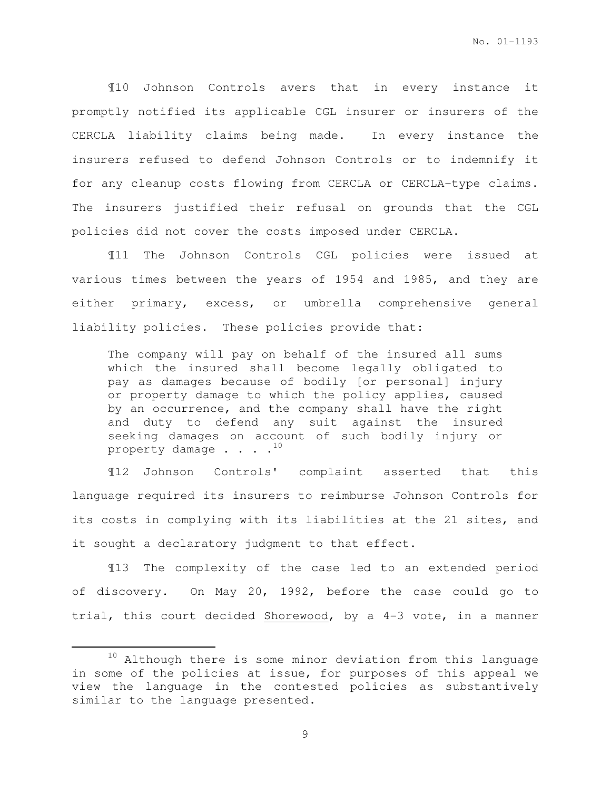¶10 Johnson Controls avers that in every instance it promptly notified its applicable CGL insurer or insurers of the CERCLA liability claims being made. In every instance the insurers refused to defend Johnson Controls or to indemnify it for any cleanup costs flowing from CERCLA or CERCLA-type claims. The insurers justified their refusal on grounds that the CGL policies did not cover the costs imposed under CERCLA.

¶11 The Johnson Controls CGL policies were issued at various times between the years of 1954 and 1985, and they are either primary, excess, or umbrella comprehensive general liability policies. These policies provide that:

The company will pay on behalf of the insured all sums which the insured shall become legally obligated to pay as damages because of bodily [or personal] injury or property damage to which the policy applies, caused by an occurrence, and the company shall have the right and duty to defend any suit against the insured seeking damages on account of such bodily injury or property damage  $\cdots$ .<sup>10</sup>

¶12 Johnson Controls' complaint asserted that this language required its insurers to reimburse Johnson Controls for its costs in complying with its liabilities at the 21 sites, and it sought a declaratory judgment to that effect.

¶13 The complexity of the case led to an extended period of discovery. On May 20, 1992, before the case could go to trial, this court decided Shorewood, by a 4-3 vote, in a manner

 $\overline{a}$ 

<sup>&</sup>lt;sup>10</sup> Although there is some minor deviation from this language in some of the policies at issue, for purposes of this appeal we view the language in the contested policies as substantively similar to the language presented.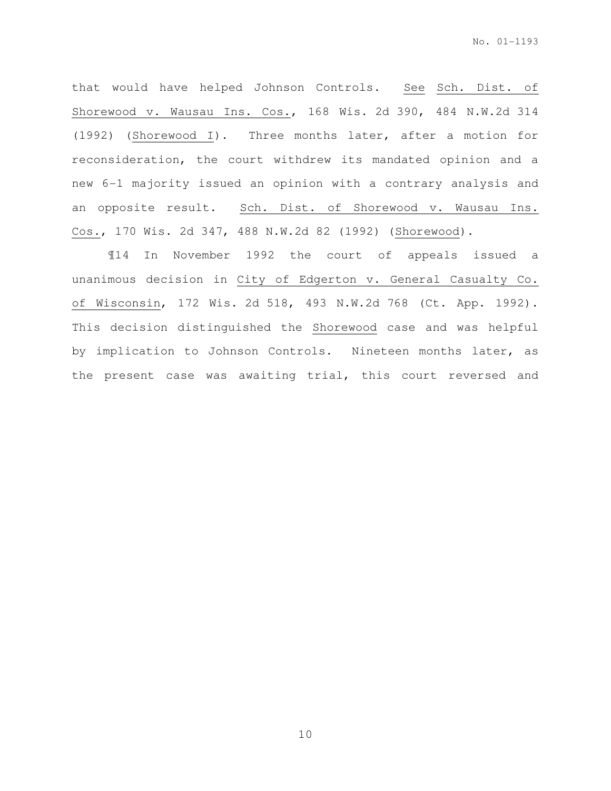that would have helped Johnson Controls. See Sch. Dist. of Shorewood v. Wausau Ins. Cos., 168 Wis. 2d 390, 484 N.W.2d 314 (1992) (Shorewood I). Three months later, after a motion for reconsideration, the court withdrew its mandated opinion and a new 6-1 majority issued an opinion with a contrary analysis and an opposite result. Sch. Dist. of Shorewood v. Wausau Ins. Cos., 170 Wis. 2d 347, 488 N.W.2d 82 (1992) (Shorewood).

¶14 In November 1992 the court of appeals issued a unanimous decision in City of Edgerton v. General Casualty Co. of Wisconsin, 172 Wis. 2d 518, 493 N.W.2d 768 (Ct. App. 1992). This decision distinguished the Shorewood case and was helpful by implication to Johnson Controls. Nineteen months later, as the present case was awaiting trial, this court reversed and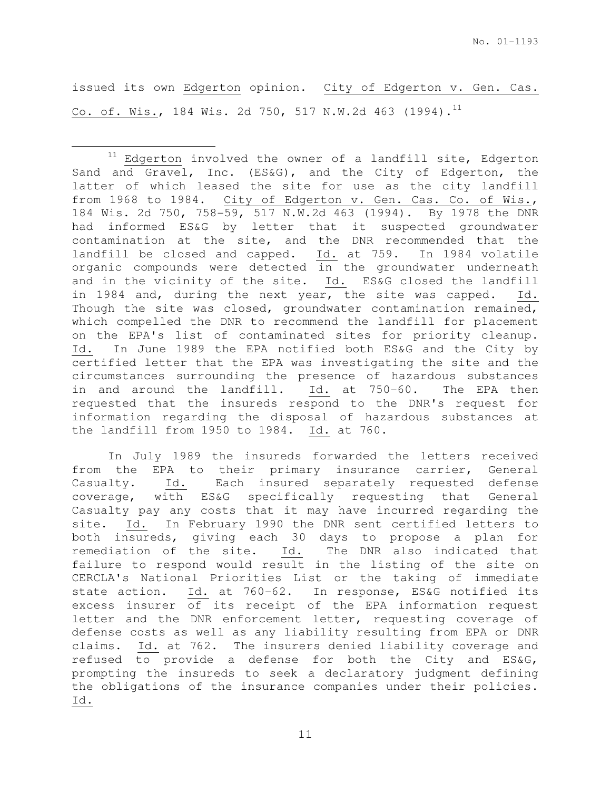issued its own Edgerton opinion. City of Edgerton v. Gen. Cas. Co. of. Wis., 184 Wis. 2d 750, 517 N.W.2d 463 (1994).<sup>11</sup>

 $\overline{a}$ 

 $11$  Edgerton involved the owner of a landfill site, Edgerton Sand and Gravel, Inc. (ES&G), and the City of Edgerton, the latter of which leased the site for use as the city landfill from 1968 to 1984. City of Edgerton v. Gen. Cas. Co. of Wis., 184 Wis. 2d 750, 758-59, 517 N.W.2d 463 (1994). By 1978 the DNR had informed ES&G by letter that it suspected groundwater contamination at the site, and the DNR recommended that the landfill be closed and capped. Id. at 759. In 1984 volatile organic compounds were detected in the groundwater underneath and in the vicinity of the site. Id. ES&G closed the landfill in 1984 and, during the next year, the site was capped. Id. Though the site was closed, groundwater contamination remained, which compelled the DNR to recommend the landfill for placement on the EPA's list of contaminated sites for priority cleanup. Id. In June 1989 the EPA notified both ES&G and the City by certified letter that the EPA was investigating the site and the circumstances surrounding the presence of hazardous substances in and around the landfill. Id. at 750-60. The EPA then requested that the insureds respond to the DNR's request for information regarding the disposal of hazardous substances at the landfill from 1950 to 1984. Id. at 760.

In July 1989 the insureds forwarded the letters received from the EPA to their primary insurance carrier, General Casualty. Id. Each insured separately requested defense coverage, with ES&G specifically requesting that General Casualty pay any costs that it may have incurred regarding the site. Id. In February 1990 the DNR sent certified letters to both insureds, giving each 30 days to propose a plan for remediation of the site. Id. The DNR also indicated that failure to respond would result in the listing of the site on CERCLA's National Priorities List or the taking of immediate state action. Id. at 760-62. In response, ES&G notified its excess insurer of its receipt of the EPA information request letter and the DNR enforcement letter, requesting coverage of defense costs as well as any liability resulting from EPA or DNR claims. Id. at 762. The insurers denied liability coverage and refused to provide a defense for both the City and ES&G, prompting the insureds to seek a declaratory judgment defining the obligations of the insurance companies under their policies. Id.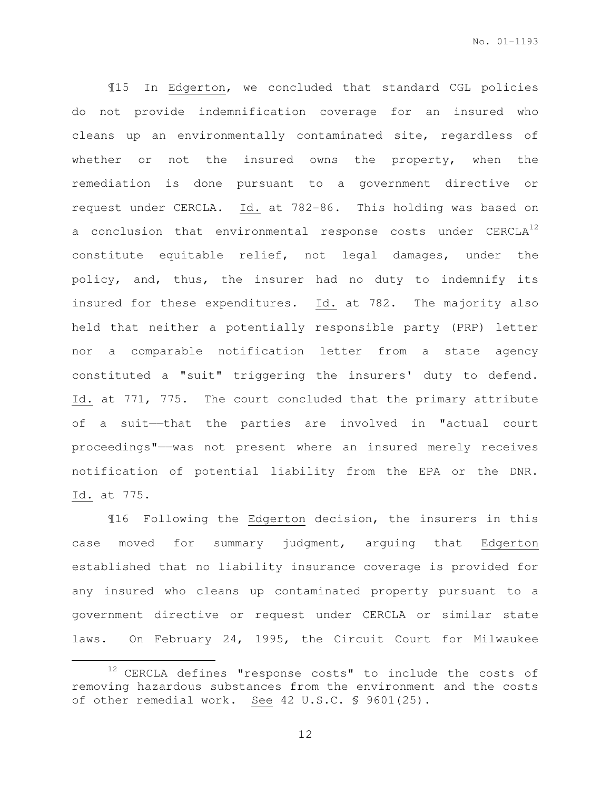¶15 In Edgerton, we concluded that standard CGL policies do not provide indemnification coverage for an insured who cleans up an environmentally contaminated site, regardless of whether or not the insured owns the property, when the remediation is done pursuant to a government directive or request under CERCLA. Id. at 782-86. This holding was based on a conclusion that environmental response costs under CERCLA<sup>12</sup> constitute equitable relief, not legal damages, under the policy, and, thus, the insurer had no duty to indemnify its insured for these expenditures. Id. at 782. The majority also held that neither a potentially responsible party (PRP) letter nor a comparable notification letter from a state agency constituted a "suit" triggering the insurers' duty to defend. Id. at 771, 775. The court concluded that the primary attribute of a suit——that the parties are involved in "actual court proceedings"——was not present where an insured merely receives notification of potential liability from the EPA or the DNR. Id. at 775.

¶16 Following the Edgerton decision, the insurers in this case moved for summary judgment, arguing that Edgerton established that no liability insurance coverage is provided for any insured who cleans up contaminated property pursuant to a government directive or request under CERCLA or similar state laws. On February 24, 1995, the Circuit Court for Milwaukee

 $\overline{a}$ 

 $12$  CERCLA defines "response costs" to include the costs of removing hazardous substances from the environment and the costs of other remedial work. See 42 U.S.C. § 9601(25).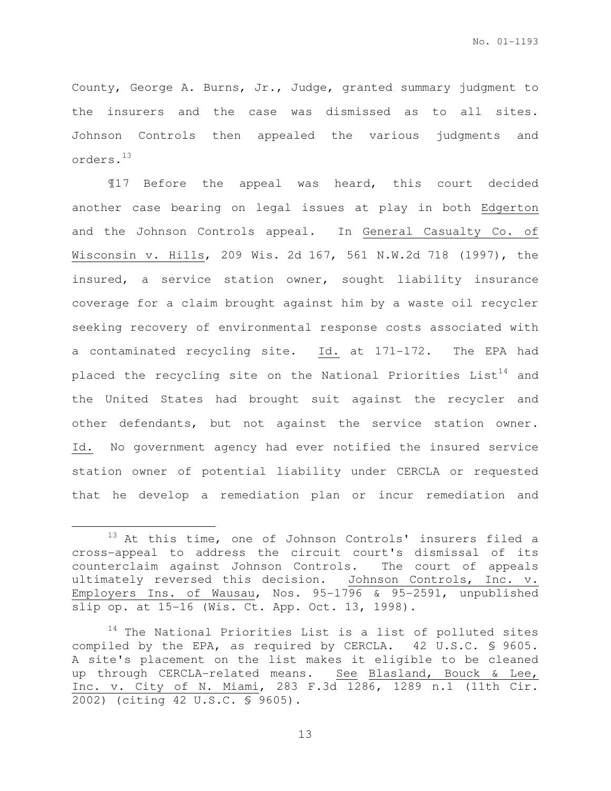County, George A. Burns, Jr., Judge, granted summary judgment to the insurers and the case was dismissed as to all sites. Johnson Controls then appealed the various judgments and orders.<sup>13</sup>

¶17 Before the appeal was heard, this court decided another case bearing on legal issues at play in both Edgerton and the Johnson Controls appeal. In General Casualty Co. of Wisconsin v. Hills, 209 Wis. 2d 167, 561 N.W.2d 718 (1997), the insured, a service station owner, sought liability insurance coverage for a claim brought against him by a waste oil recycler seeking recovery of environmental response costs associated with a contaminated recycling site. Id. at 171-172. The EPA had placed the recycling site on the National Priorities  $List^{14}$  and the United States had brought suit against the recycler and other defendants, but not against the service station owner. Id. No government agency had ever notified the insured service station owner of potential liability under CERCLA or requested that he develop a remediation plan or incur remediation and

 $\overline{a}$ 

 $13$  At this time, one of Johnson Controls' insurers filed a cross-appeal to address the circuit court's dismissal of its counterclaim against Johnson Controls. The court of appeals ultimately reversed this decision. Johnson Controls, Inc. v. Employers Ins. of Wausau, Nos. 95-1796 & 95-2591, unpublished slip op. at 15-16 (Wis. Ct. App. Oct. 13, 1998).

 $14$  The National Priorities List is a list of polluted sites compiled by the EPA, as required by CERCLA. 42 U.S.C. § 9605. A site's placement on the list makes it eligible to be cleaned up through CERCLA-related means. See Blasland, Bouck & Lee, Inc. v. City of N. Miami, 283 F.3d 1286, 1289 n.1 (11th Cir. 2002) (citing 42 U.S.C. § 9605).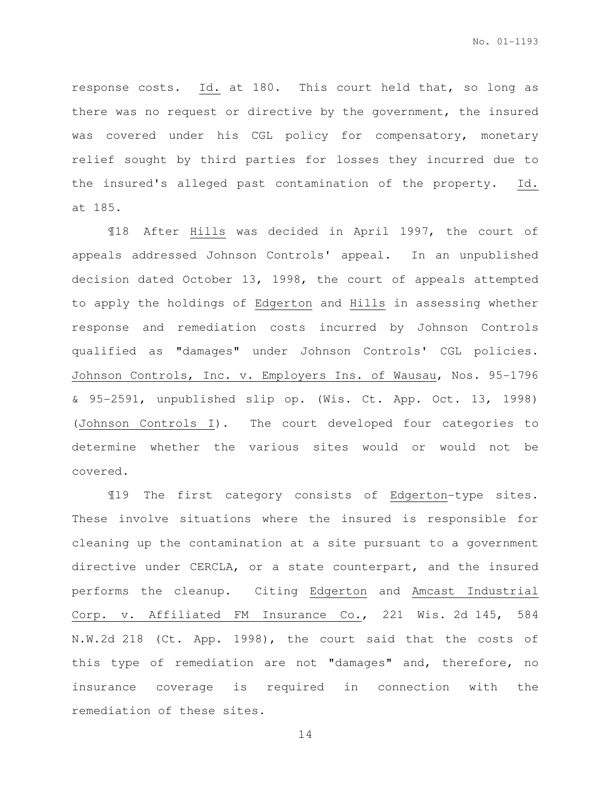response costs. Id. at 180. This court held that, so long as there was no request or directive by the government, the insured was covered under his CGL policy for compensatory, monetary relief sought by third parties for losses they incurred due to the insured's alleged past contamination of the property. Id. at 185.

¶18 After Hills was decided in April 1997, the court of appeals addressed Johnson Controls' appeal. In an unpublished decision dated October 13, 1998, the court of appeals attempted to apply the holdings of Edgerton and Hills in assessing whether response and remediation costs incurred by Johnson Controls qualified as "damages" under Johnson Controls' CGL policies. Johnson Controls, Inc. v. Employers Ins. of Wausau, Nos. 95-1796 & 95-2591, unpublished slip op. (Wis. Ct. App. Oct. 13, 1998) (Johnson Controls I). The court developed four categories to determine whether the various sites would or would not be covered.

¶19 The first category consists of Edgerton-type sites. These involve situations where the insured is responsible for cleaning up the contamination at a site pursuant to a government directive under CERCLA, or a state counterpart, and the insured performs the cleanup. Citing Edgerton and Amcast Industrial Corp. v. Affiliated FM Insurance Co., 221 Wis. 2d 145, 584 N.W.2d 218 (Ct. App. 1998), the court said that the costs of this type of remediation are not "damages" and, therefore, no insurance coverage is required in connection with the remediation of these sites.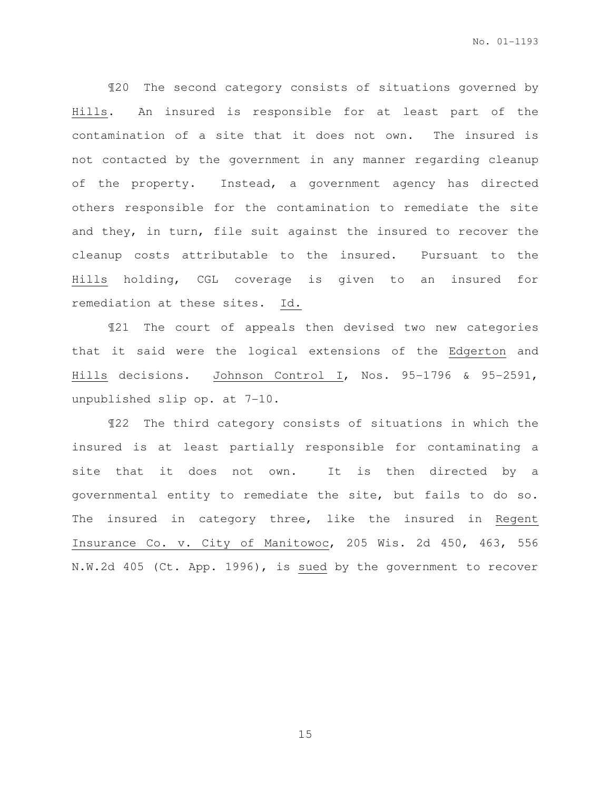¶20 The second category consists of situations governed by Hills. An insured is responsible for at least part of the contamination of a site that it does not own. The insured is not contacted by the government in any manner regarding cleanup of the property. Instead, a government agency has directed others responsible for the contamination to remediate the site and they, in turn, file suit against the insured to recover the cleanup costs attributable to the insured. Pursuant to the Hills holding, CGL coverage is given to an insured for remediation at these sites. Id.

¶21 The court of appeals then devised two new categories that it said were the logical extensions of the Edgerton and Hills decisions. Johnson Control I, Nos. 95-1796 & 95-2591, unpublished slip op. at 7-10.

¶22 The third category consists of situations in which the insured is at least partially responsible for contaminating a site that it does not own. It is then directed by a governmental entity to remediate the site, but fails to do so. The insured in category three, like the insured in Regent Insurance Co. v. City of Manitowoc, 205 Wis. 2d 450, 463, 556 N.W.2d 405 (Ct. App. 1996), is sued by the government to recover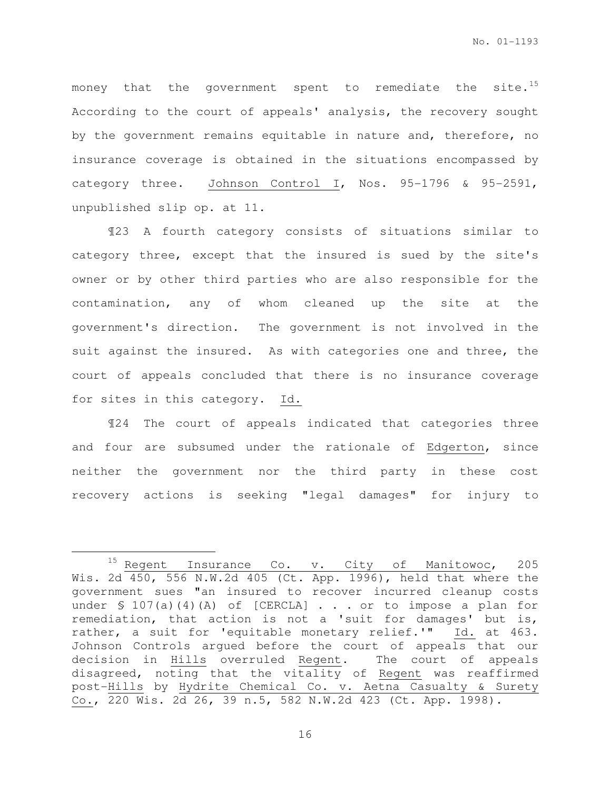money that the government spent to remediate the site.<sup>15</sup> According to the court of appeals' analysis, the recovery sought by the government remains equitable in nature and, therefore, no insurance coverage is obtained in the situations encompassed by category three. Johnson Control I, Nos. 95-1796 & 95-2591, unpublished slip op. at 11.

¶23 A fourth category consists of situations similar to category three, except that the insured is sued by the site's owner or by other third parties who are also responsible for the contamination, any of whom cleaned up the site at the government's direction. The government is not involved in the suit against the insured. As with categories one and three, the court of appeals concluded that there is no insurance coverage for sites in this category. Id.

¶24 The court of appeals indicated that categories three and four are subsumed under the rationale of Edgerton, since neither the government nor the third party in these cost recovery actions is seeking "legal damages" for injury to

 $\overline{a}$ 

<sup>&</sup>lt;sup>15</sup> Regent Insurance Co. v. City of Manitowoc, 205 Wis. 2d 450, 556 N.W.2d 405 (Ct. App. 1996), held that where the government sues "an insured to recover incurred cleanup costs under § 107(a)(4)(A) of [CERCLA] . . . or to impose a plan for remediation, that action is not a 'suit for damages' but is, rather, a suit for 'equitable monetary relief.'" Id. at 463. Johnson Controls argued before the court of appeals that our decision in Hills overruled Regent. The court of appeals disagreed, noting that the vitality of Regent was reaffirmed post-Hills by Hydrite Chemical Co. v. Aetna Casualty & Surety Co., 220 Wis. 2d 26, 39 n.5, 582 N.W.2d 423 (Ct. App. 1998).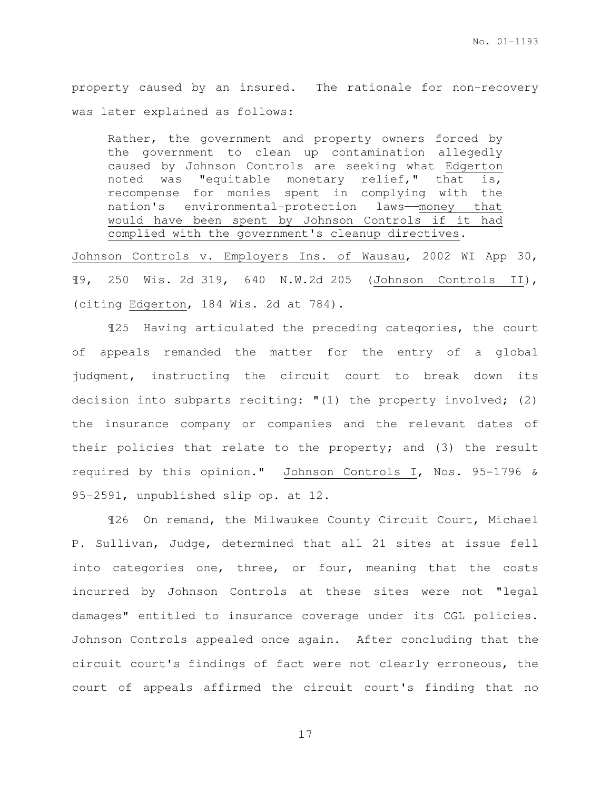property caused by an insured. The rationale for non-recovery was later explained as follows:

Rather, the government and property owners forced by the government to clean up contamination allegedly caused by Johnson Controls are seeking what Edgerton noted was "equitable monetary relief," that is, recompense for monies spent in complying with the nation's environmental-protection laws——money that would have been spent by Johnson Controls if it had complied with the government's cleanup directives.

Johnson Controls v. Employers Ins. of Wausau, 2002 WI App 30, ¶9, 250 Wis. 2d 319, 640 N.W.2d 205 (Johnson Controls II), (citing Edgerton, 184 Wis. 2d at 784).

¶25 Having articulated the preceding categories, the court of appeals remanded the matter for the entry of a global judgment, instructing the circuit court to break down its decision into subparts reciting: "(1) the property involved; (2) the insurance company or companies and the relevant dates of their policies that relate to the property; and (3) the result required by this opinion." Johnson Controls I, Nos. 95-1796 & 95-2591, unpublished slip op. at 12.

¶26 On remand, the Milwaukee County Circuit Court, Michael P. Sullivan, Judge, determined that all 21 sites at issue fell into categories one, three, or four, meaning that the costs incurred by Johnson Controls at these sites were not "legal damages" entitled to insurance coverage under its CGL policies. Johnson Controls appealed once again. After concluding that the circuit court's findings of fact were not clearly erroneous, the court of appeals affirmed the circuit court's finding that no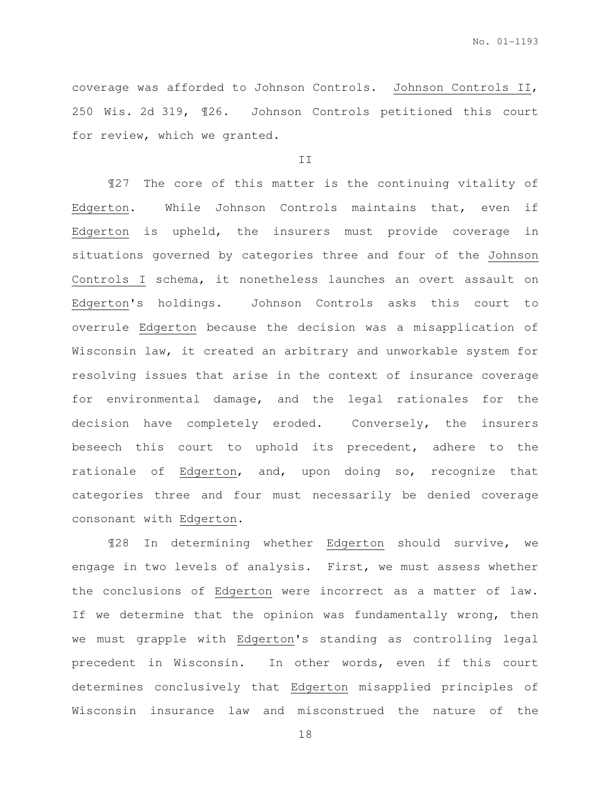coverage was afforded to Johnson Controls. Johnson Controls II, 250 Wis. 2d 319, ¶26. Johnson Controls petitioned this court for review, which we granted.

### II

¶27 The core of this matter is the continuing vitality of Edgerton. While Johnson Controls maintains that, even if Edgerton is upheld, the insurers must provide coverage in situations governed by categories three and four of the Johnson Controls I schema, it nonetheless launches an overt assault on Edgerton's holdings. Johnson Controls asks this court to overrule Edgerton because the decision was a misapplication of Wisconsin law, it created an arbitrary and unworkable system for resolving issues that arise in the context of insurance coverage for environmental damage, and the legal rationales for the decision have completely eroded. Conversely, the insurers beseech this court to uphold its precedent, adhere to the rationale of Edgerton, and, upon doing so, recognize that categories three and four must necessarily be denied coverage consonant with Edgerton.

¶28 In determining whether Edgerton should survive, we engage in two levels of analysis. First, we must assess whether the conclusions of Edgerton were incorrect as a matter of law. If we determine that the opinion was fundamentally wrong, then we must grapple with Edgerton's standing as controlling legal precedent in Wisconsin. In other words, even if this court determines conclusively that Edgerton misapplied principles of Wisconsin insurance law and misconstrued the nature of the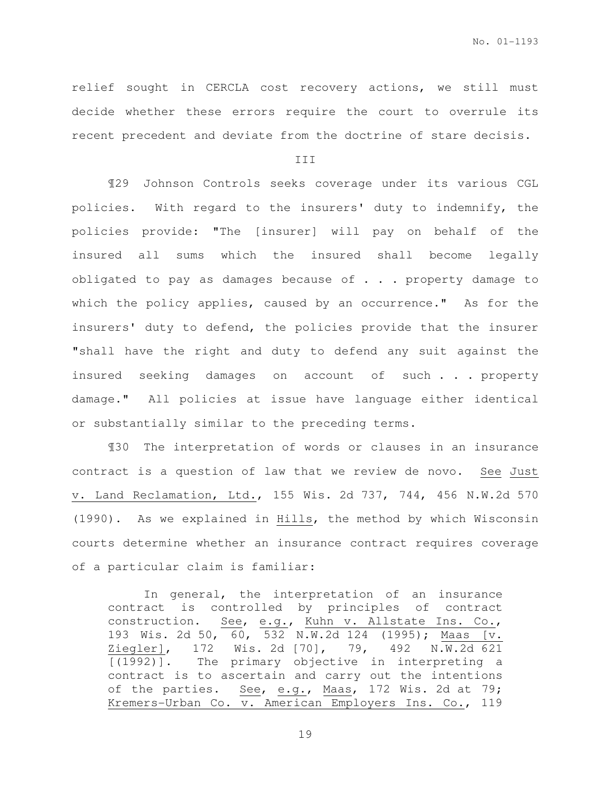relief sought in CERCLA cost recovery actions, we still must decide whether these errors require the court to overrule its recent precedent and deviate from the doctrine of stare decisis.

III

¶29 Johnson Controls seeks coverage under its various CGL policies. With regard to the insurers' duty to indemnify, the policies provide: "The [insurer] will pay on behalf of the insured all sums which the insured shall become legally obligated to pay as damages because of  $\cdot$  . . property damage to which the policy applies, caused by an occurrence." As for the insurers' duty to defend, the policies provide that the insurer "shall have the right and duty to defend any suit against the insured seeking damages on account of such . . . property damage." All policies at issue have language either identical or substantially similar to the preceding terms.

¶30 The interpretation of words or clauses in an insurance contract is a question of law that we review de novo. See Just v. Land Reclamation, Ltd., 155 Wis. 2d 737, 744, 456 N.W.2d 570 (1990). As we explained in Hills, the method by which Wisconsin courts determine whether an insurance contract requires coverage of a particular claim is familiar:

In general, the interpretation of an insurance contract is controlled by principles of contract construction. See, e.g., Kuhn v. Allstate Ins. Co., 193 Wis. 2d 50, 60, 532 N.W.2d 124 (1995); Maas [v. Ziegler], 172 Wis. 2d [70], 79, 492 N.W.2d 621 [(1992)]. The primary objective in interpreting a contract is to ascertain and carry out the intentions of the parties. See, e.g., Maas, 172 Wis. 2d at 79; Kremers-Urban Co. v. American Employers Ins. Co., 119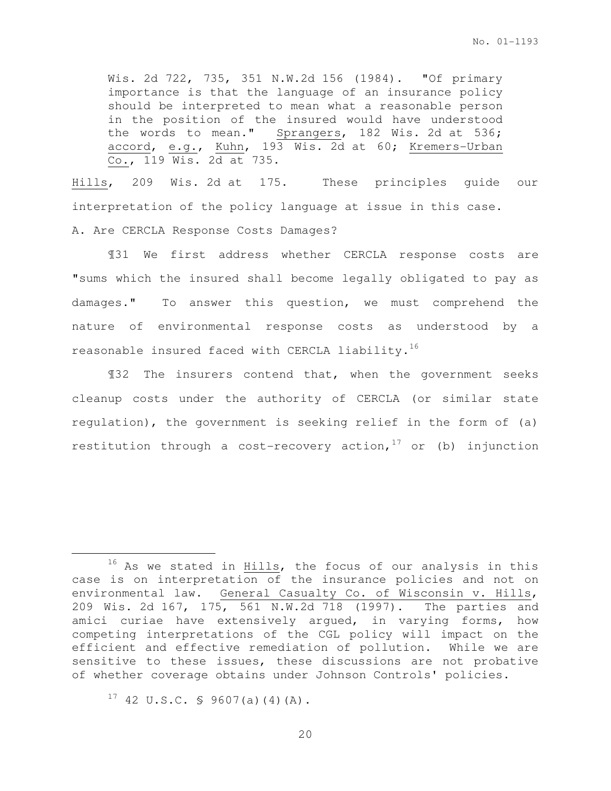Wis. 2d 722, 735, 351 N.W.2d 156 (1984). "Of primary importance is that the language of an insurance policy should be interpreted to mean what a reasonable person in the position of the insured would have understood the words to mean." Sprangers, 182 Wis. 2d at 536; accord, e.g., Kuhn, 193 Wis. 2d at 60; Kremers-Urban Co., 119 Wis. 2d at 735.

Hills, 209 Wis. 2d at 175. These principles guide our interpretation of the policy language at issue in this case. A. Are CERCLA Response Costs Damages?

¶31 We first address whether CERCLA response costs are "sums which the insured shall become legally obligated to pay as damages." To answer this question, we must comprehend the nature of environmental response costs as understood by a reasonable insured faced with CERCLA liability.<sup>16</sup>

¶32 The insurers contend that, when the government seeks cleanup costs under the authority of CERCLA (or similar state regulation), the government is seeking relief in the form of (a) restitution through a cost-recovery action,  $17$  or (b) injunction

 $17$  42 U.S.C. § 9607(a)(4)(A).

l.

<sup>&</sup>lt;sup>16</sup> As we stated in Hills, the focus of our analysis in this case is on interpretation of the insurance policies and not on environmental law. General Casualty Co. of Wisconsin v. Hills, 209 Wis. 2d 167, 175, 561 N.W.2d 718 (1997). The parties and amici curiae have extensively argued, in varying forms, how competing interpretations of the CGL policy will impact on the efficient and effective remediation of pollution. While we are sensitive to these issues, these discussions are not probative of whether coverage obtains under Johnson Controls' policies.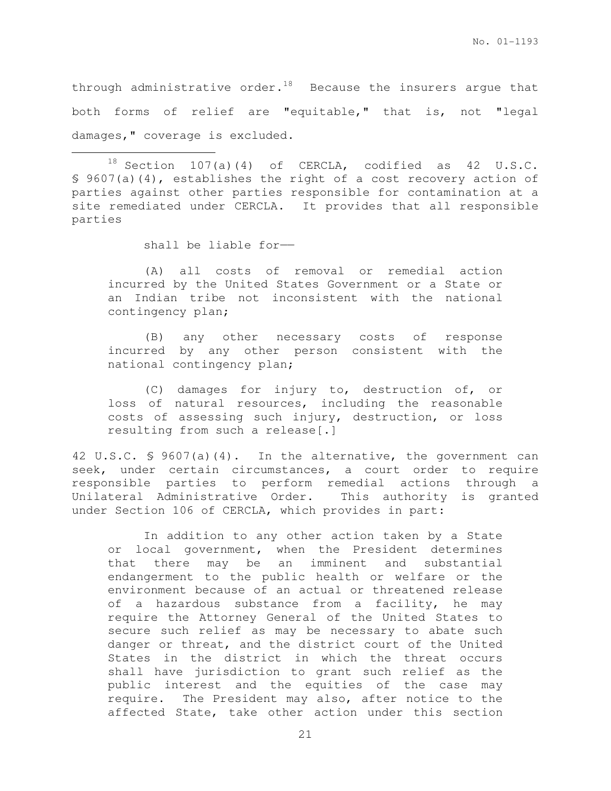through administrative order.<sup>18</sup> Because the insurers argue that both forms of relief are "equitable," that is, not "legal damages," coverage is excluded.

 $18$  Section 107(a)(4) of CERCLA, codified as 42 U.S.C. § 9607(a)(4), establishes the right of a cost recovery action of parties against other parties responsible for contamination at a site remediated under CERCLA. It provides that all responsible parties

shall be liable for-

 $\overline{a}$ 

(A) all costs of removal or remedial action incurred by the United States Government or a State or an Indian tribe not inconsistent with the national contingency plan;

(B) any other necessary costs of response incurred by any other person consistent with the national contingency plan;

(C) damages for injury to, destruction of, or loss of natural resources, including the reasonable costs of assessing such injury, destruction, or loss resulting from such a release[.]

42 U.S.C. § 9607(a)(4). In the alternative, the government can seek, under certain circumstances, a court order to require responsible parties to perform remedial actions through a Unilateral Administrative Order. This authority is granted under Section 106 of CERCLA, which provides in part:

In addition to any other action taken by a State or local government, when the President determines that there may be an imminent and substantial endangerment to the public health or welfare or the environment because of an actual or threatened release of a hazardous substance from a facility, he may require the Attorney General of the United States to secure such relief as may be necessary to abate such danger or threat, and the district court of the United States in the district in which the threat occurs shall have jurisdiction to grant such relief as the public interest and the equities of the case may require. The President may also, after notice to the affected State, take other action under this section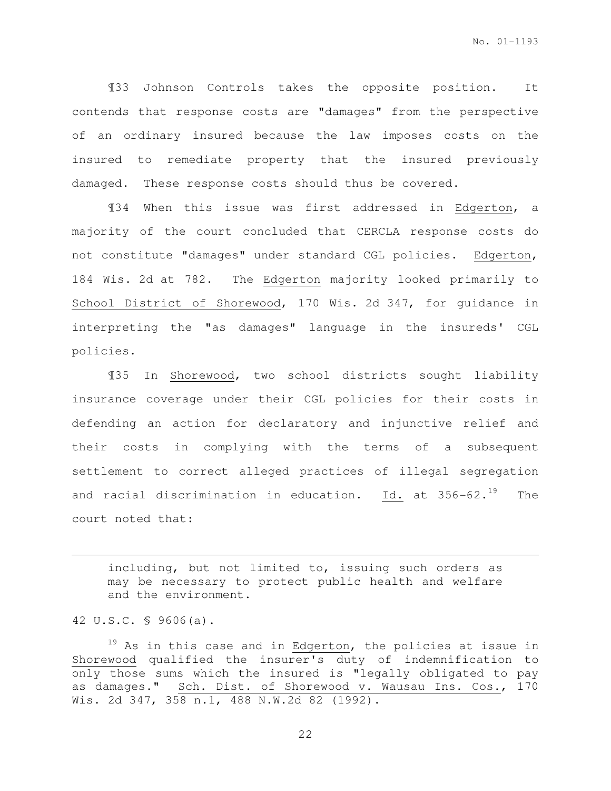¶33 Johnson Controls takes the opposite position. It contends that response costs are "damages" from the perspective of an ordinary insured because the law imposes costs on the insured to remediate property that the insured previously damaged. These response costs should thus be covered.

¶34 When this issue was first addressed in Edgerton, a majority of the court concluded that CERCLA response costs do not constitute "damages" under standard CGL policies. Edgerton, 184 Wis. 2d at 782. The Edgerton majority looked primarily to School District of Shorewood, 170 Wis. 2d 347, for guidance in interpreting the "as damages" language in the insureds' CGL policies.

¶35 In Shorewood, two school districts sought liability insurance coverage under their CGL policies for their costs in defending an action for declaratory and injunctive relief and their costs in complying with the terms of a subsequent settlement to correct alleged practices of illegal segregation and racial discrimination in education. Id. at  $356-62.^{19}$  The court noted that:

including, but not limited to, issuing such orders as may be necessary to protect public health and welfare and the environment.

42 U.S.C. § 9606(a).

l.

 $19$  As in this case and in Edgerton, the policies at issue in Shorewood qualified the insurer's duty of indemnification to only those sums which the insured is "legally obligated to pay as damages." Sch. Dist. of Shorewood v. Wausau Ins. Cos., 170 Wis. 2d 347, 358 n.1, 488 N.W.2d 82 (1992).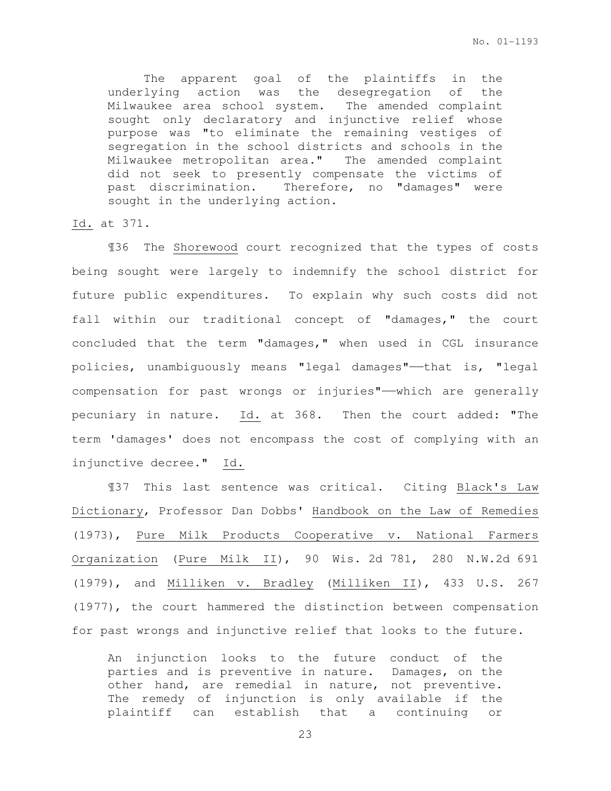The apparent goal of the plaintiffs in the underlying action was the desegregation of the Milwaukee area school system. The amended complaint sought only declaratory and injunctive relief whose purpose was "to eliminate the remaining vestiges of segregation in the school districts and schools in the Milwaukee metropolitan area." The amended complaint did not seek to presently compensate the victims of past discrimination. Therefore, no "damages" were sought in the underlying action.

#### Id. at 371.

¶36 The Shorewood court recognized that the types of costs being sought were largely to indemnify the school district for future public expenditures. To explain why such costs did not fall within our traditional concept of "damages," the court concluded that the term "damages," when used in CGL insurance policies, unambiguously means "legal damages"——that is, "legal compensation for past wrongs or injuries"——which are generally pecuniary in nature. Id. at 368. Then the court added: "The term 'damages' does not encompass the cost of complying with an injunctive decree." Id.

¶37 This last sentence was critical. Citing Black's Law Dictionary, Professor Dan Dobbs' Handbook on the Law of Remedies (1973), Pure Milk Products Cooperative v. National Farmers Organization (Pure Milk II), 90 Wis. 2d 781, 280 N.W.2d 691 (1979), and Milliken v. Bradley (Milliken II), 433 U.S. 267 (1977), the court hammered the distinction between compensation for past wrongs and injunctive relief that looks to the future.

An injunction looks to the future conduct of the parties and is preventive in nature. Damages, on the other hand, are remedial in nature, not preventive. The remedy of injunction is only available if the plaintiff can establish that a continuing or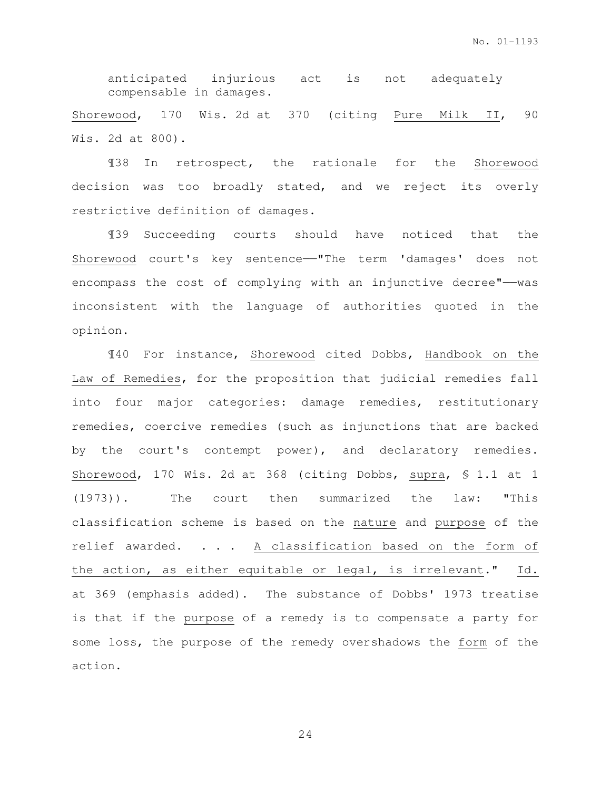anticipated injurious act is not adequately compensable in damages.

Shorewood, 170 Wis. 2d at 370 (citing Pure Milk II, 90 Wis. 2d at 800).

¶38 In retrospect, the rationale for the Shorewood decision was too broadly stated, and we reject its overly restrictive definition of damages.

¶39 Succeeding courts should have noticed that the Shorewood court's key sentence——"The term 'damages' does not encompass the cost of complying with an injunctive decree"-- was inconsistent with the language of authorities quoted in the opinion.

¶40 For instance, Shorewood cited Dobbs, Handbook on the Law of Remedies, for the proposition that judicial remedies fall into four major categories: damage remedies, restitutionary remedies, coercive remedies (such as injunctions that are backed by the court's contempt power), and declaratory remedies. Shorewood, 170 Wis. 2d at 368 (citing Dobbs, supra, § 1.1 at 1 (1973)). The court then summarized the law: "This classification scheme is based on the nature and purpose of the relief awarded. . . . A classification based on the form of the action, as either equitable or legal, is irrelevant." Id. at 369 (emphasis added). The substance of Dobbs' 1973 treatise is that if the purpose of a remedy is to compensate a party for some loss, the purpose of the remedy overshadows the form of the action.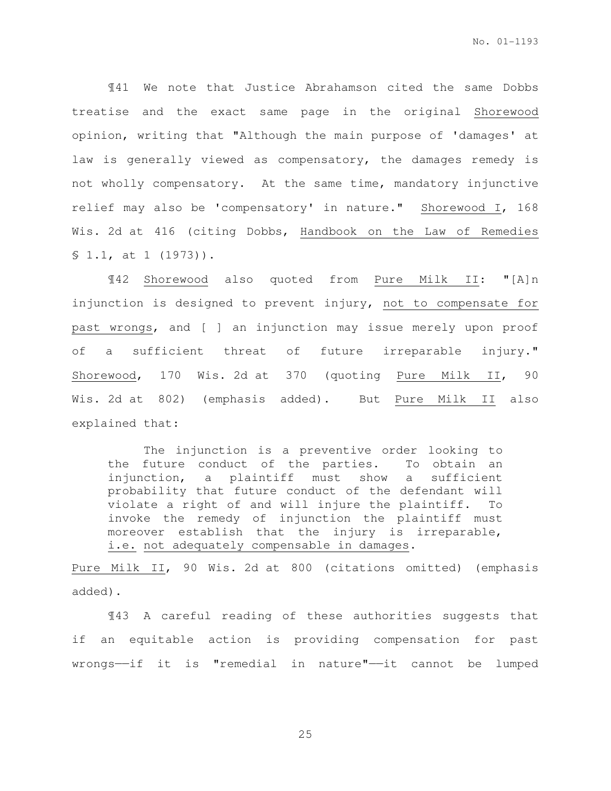¶41 We note that Justice Abrahamson cited the same Dobbs treatise and the exact same page in the original Shorewood opinion, writing that "Although the main purpose of 'damages' at law is generally viewed as compensatory, the damages remedy is not wholly compensatory. At the same time, mandatory injunctive relief may also be 'compensatory' in nature." Shorewood I, 168 Wis. 2d at 416 (citing Dobbs, Handbook on the Law of Remedies § 1.1, at 1 (1973)).

¶42 Shorewood also quoted from Pure Milk II: "[A]n injunction is designed to prevent injury, not to compensate for past wrongs, and [ ] an injunction may issue merely upon proof of a sufficient threat of future irreparable injury." Shorewood, 170 Wis. 2d at 370 (quoting Pure Milk II, 90 Wis. 2d at 802) (emphasis added). But Pure Milk II also explained that:

The injunction is a preventive order looking to the future conduct of the parties. To obtain an injunction, a plaintiff must show a sufficient probability that future conduct of the defendant will violate a right of and will injure the plaintiff. To invoke the remedy of injunction the plaintiff must moreover establish that the injury is irreparable, i.e. not adequately compensable in damages.

Pure Milk II, 90 Wis. 2d at 800 (citations omitted) (emphasis added).

 ¶43 A careful reading of these authorities suggests that if an equitable action is providing compensation for past wrongs——if it is "remedial in nature"——it cannot be lumped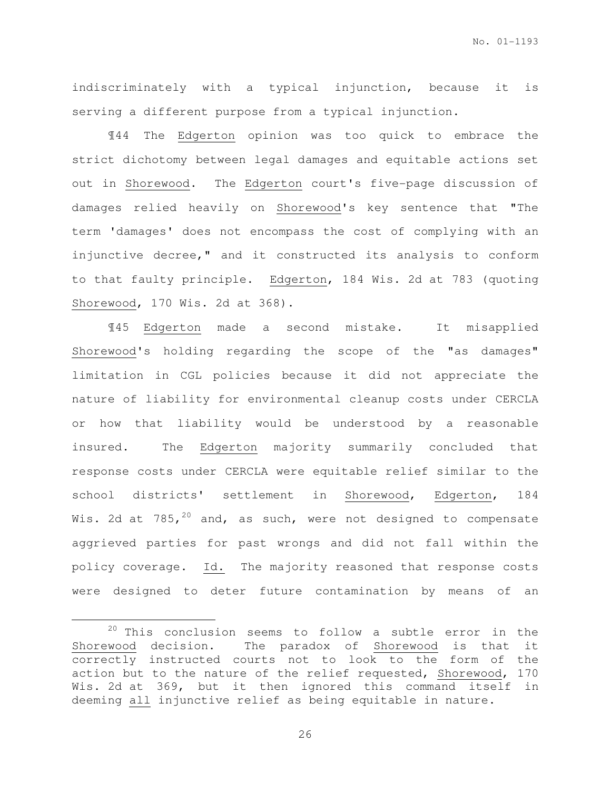indiscriminately with a typical injunction, because it is serving a different purpose from a typical injunction.

¶44 The Edgerton opinion was too quick to embrace the strict dichotomy between legal damages and equitable actions set out in Shorewood. The Edgerton court's five-page discussion of damages relied heavily on Shorewood's key sentence that "The term 'damages' does not encompass the cost of complying with an injunctive decree," and it constructed its analysis to conform to that faulty principle. Edgerton, 184 Wis. 2d at 783 (quoting Shorewood, 170 Wis. 2d at 368).

¶45 Edgerton made a second mistake. It misapplied Shorewood's holding regarding the scope of the "as damages" limitation in CGL policies because it did not appreciate the nature of liability for environmental cleanup costs under CERCLA or how that liability would be understood by a reasonable insured. The Edgerton majority summarily concluded that response costs under CERCLA were equitable relief similar to the school districts' settlement in Shorewood, Edgerton, 184 Wis. 2d at  $785,^{20}$  and, as such, were not designed to compensate aggrieved parties for past wrongs and did not fall within the policy coverage. Id. The majority reasoned that response costs were designed to deter future contamination by means of an

l.

 $20$  This conclusion seems to follow a subtle error in the Shorewood decision. The paradox of Shorewood is that it correctly instructed courts not to look to the form of the action but to the nature of the relief requested, Shorewood, 170 Wis. 2d at 369, but it then ignored this command itself in deeming all injunctive relief as being equitable in nature.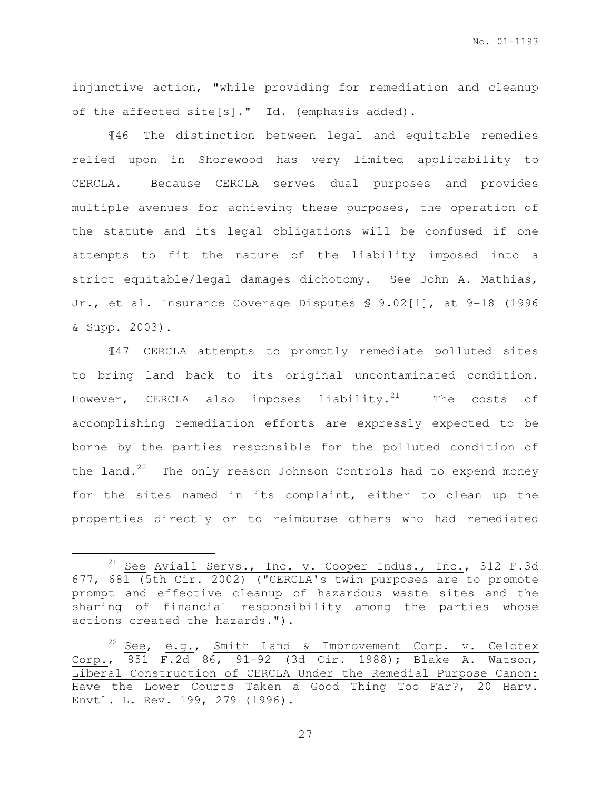injunctive action, "while providing for remediation and cleanup of the affected site[s]." Id. (emphasis added).

¶46 The distinction between legal and equitable remedies relied upon in Shorewood has very limited applicability to CERCLA. Because CERCLA serves dual purposes and provides multiple avenues for achieving these purposes, the operation of the statute and its legal obligations will be confused if one attempts to fit the nature of the liability imposed into a strict equitable/legal damages dichotomy. See John A. Mathias, Jr., et al. Insurance Coverage Disputes § 9.02[1], at 9-18 (1996 & Supp. 2003).

¶47 CERCLA attempts to promptly remediate polluted sites to bring land back to its original uncontaminated condition. However, CERCLA also imposes liability. $^{21}$  The costs of accomplishing remediation efforts are expressly expected to be borne by the parties responsible for the polluted condition of the land. $^{22}$  The only reason Johnson Controls had to expend money for the sites named in its complaint, either to clean up the properties directly or to reimburse others who had remediated

l.

<sup>&</sup>lt;sup>21</sup> See Aviall Servs., Inc. v. Cooper Indus., Inc., 312 F.3d 677, 681 (5th Cir. 2002) ("CERCLA's twin purposes are to promote prompt and effective cleanup of hazardous waste sites and the sharing of financial responsibility among the parties whose actions created the hazards.").

<sup>&</sup>lt;sup>22</sup> See, e.g., Smith Land & Improvement Corp. v. Celotex Corp., 851 F.2d 86, 91-92 (3d Cir. 1988); Blake A. Watson, Liberal Construction of CERCLA Under the Remedial Purpose Canon: Have the Lower Courts Taken a Good Thing Too Far?, 20 Harv. Envtl. L. Rev. 199, 279 (1996).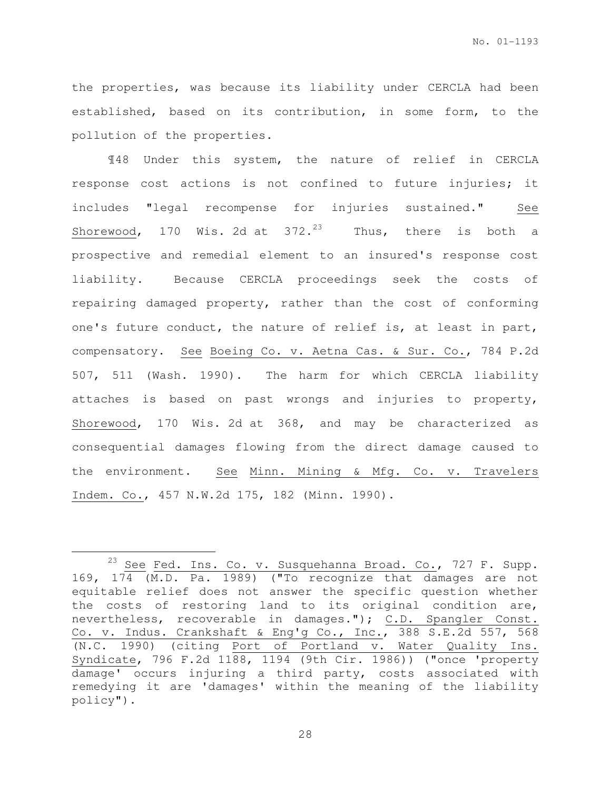the properties, was because its liability under CERCLA had been established, based on its contribution, in some form, to the pollution of the properties.

¶48 Under this system, the nature of relief in CERCLA response cost actions is not confined to future injuries; it includes "legal recompense for injuries sustained." See Shorewood, 170 Wis. 2d at  $372.^{23}$  Thus, there is both a prospective and remedial element to an insured's response cost liability. Because CERCLA proceedings seek the costs of repairing damaged property, rather than the cost of conforming one's future conduct, the nature of relief is, at least in part, compensatory. See Boeing Co. v. Aetna Cas. & Sur. Co., 784 P.2d 507, 511 (Wash. 1990). The harm for which CERCLA liability attaches is based on past wrongs and injuries to property, Shorewood, 170 Wis. 2d at 368, and may be characterized as consequential damages flowing from the direct damage caused to the environment. See Minn. Mining & Mfg. Co. v. Travelers Indem. Co., 457 N.W.2d 175, 182 (Minn. 1990).

 $\overline{a}$ 

 $^{23}$  See Fed. Ins. Co. v. Susquehanna Broad. Co., 727 F. Supp. 169, 174 (M.D. Pa. 1989) ("To recognize that damages are not equitable relief does not answer the specific question whether the costs of restoring land to its original condition are, nevertheless, recoverable in damages."); C.D. Spangler Const. Co. v. Indus. Crankshaft & Eng'g Co., Inc., 388 S.E.2d 557, 568 (N.C. 1990) (citing Port of Portland v. Water Quality Ins. Syndicate, 796 F.2d 1188, 1194 (9th Cir. 1986)) ("once 'property damage' occurs injuring a third party, costs associated with remedying it are 'damages' within the meaning of the liability policy").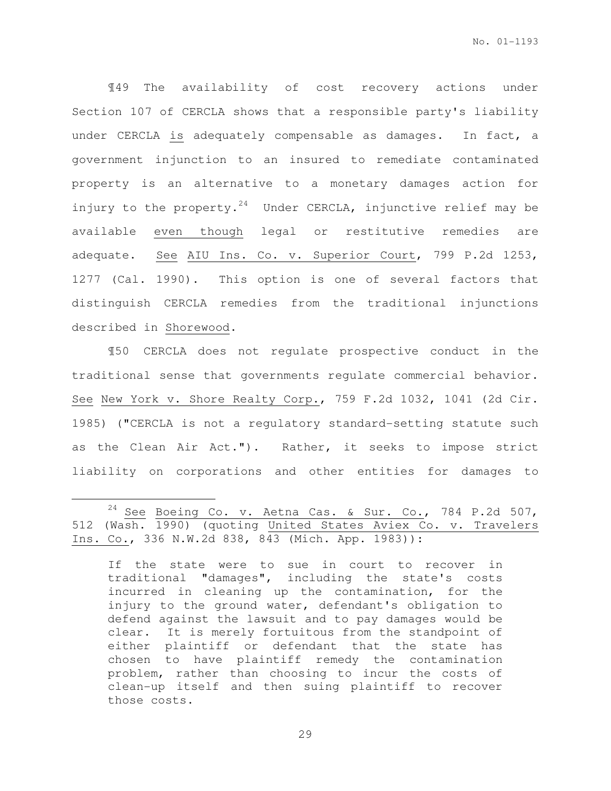¶49 The availability of cost recovery actions under Section 107 of CERCLA shows that a responsible party's liability under CERCLA is adequately compensable as damages. In fact, a government injunction to an insured to remediate contaminated property is an alternative to a monetary damages action for injury to the property.<sup>24</sup> Under CERCLA, injunctive relief may be available even though legal or restitutive remedies are adequate. See AIU Ins. Co. v. Superior Court, 799 P.2d 1253, 1277 (Cal. 1990). This option is one of several factors that distinguish CERCLA remedies from the traditional injunctions described in Shorewood.

¶50 CERCLA does not regulate prospective conduct in the traditional sense that governments regulate commercial behavior. See New York v. Shore Realty Corp., 759 F.2d 1032, 1041 (2d Cir. 1985) ("CERCLA is not a regulatory standard-setting statute such as the Clean Air Act."). Rather, it seeks to impose strict liability on corporations and other entities for damages to

l.

If the state were to sue in court to recover in traditional "damages", including the state's costs incurred in cleaning up the contamination, for the injury to the ground water, defendant's obligation to defend against the lawsuit and to pay damages would be clear. It is merely fortuitous from the standpoint of either plaintiff or defendant that the state has chosen to have plaintiff remedy the contamination problem, rather than choosing to incur the costs of clean-up itself and then suing plaintiff to recover those costs.

 $24$  See Boeing Co. v. Aetna Cas. & Sur. Co., 784 P.2d 507, 512 (Wash. 1990) (quoting United States Aviex Co. v. Travelers Ins. Co., 336 N.W.2d 838, 843 (Mich. App. 1983)):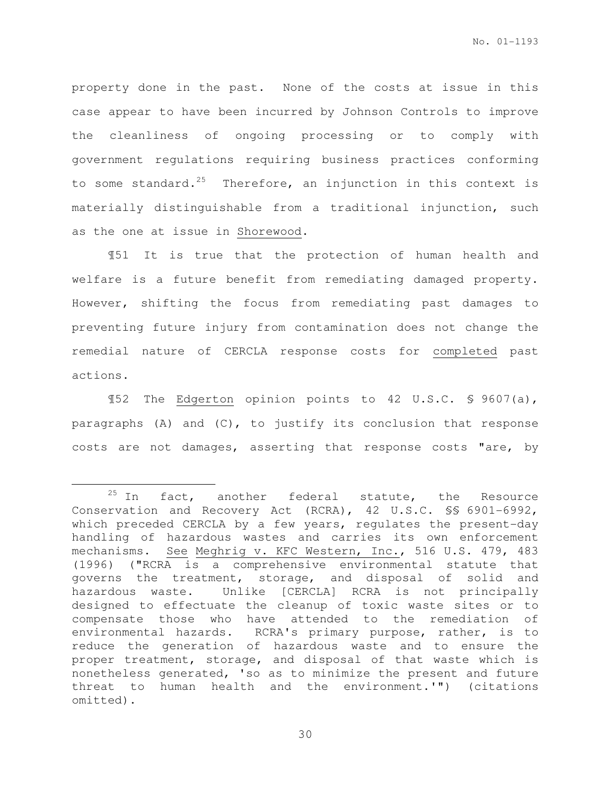property done in the past. None of the costs at issue in this case appear to have been incurred by Johnson Controls to improve the cleanliness of ongoing processing or to comply with government regulations requiring business practices conforming to some standard. $25$  Therefore, an injunction in this context is materially distinguishable from a traditional injunction, such as the one at issue in Shorewood.

¶51 It is true that the protection of human health and welfare is a future benefit from remediating damaged property. However, shifting the focus from remediating past damages to preventing future injury from contamination does not change the remedial nature of CERCLA response costs for completed past actions.

¶52 The Edgerton opinion points to 42 U.S.C. § 9607(a), paragraphs (A) and (C), to justify its conclusion that response costs are not damages, asserting that response costs "are, by

 $\overline{a}$ 

 $25$  In fact, another federal statute, the Resource Conservation and Recovery Act (RCRA), 42 U.S.C. §§ 6901-6992, which preceded CERCLA by a few years, regulates the present-day handling of hazardous wastes and carries its own enforcement mechanisms. See Meghrig v. KFC Western, Inc., 516 U.S. 479, 483 (1996) ("RCRA is a comprehensive environmental statute that governs the treatment, storage, and disposal of solid and hazardous waste. Unlike [CERCLA] RCRA is not principally designed to effectuate the cleanup of toxic waste sites or to compensate those who have attended to the remediation of environmental hazards. RCRA's primary purpose, rather, is to reduce the generation of hazardous waste and to ensure the proper treatment, storage, and disposal of that waste which is nonetheless generated, 'so as to minimize the present and future threat to human health and the environment.'") (citations omitted).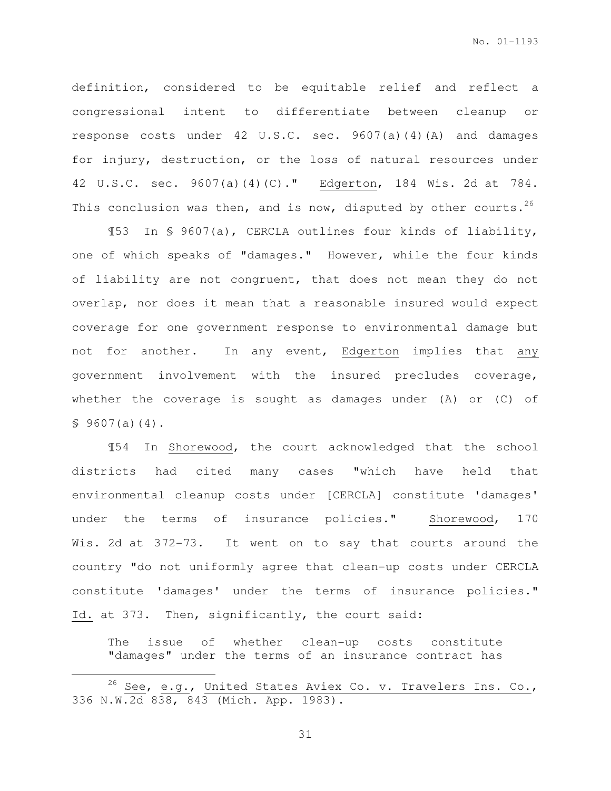definition, considered to be equitable relief and reflect a congressional intent to differentiate between cleanup or response costs under 42 U.S.C. sec. 9607(a)(4)(A) and damages for injury, destruction, or the loss of natural resources under 42 U.S.C. sec. 9607(a)(4)(C)." Edgerton, 184 Wis. 2d at 784. This conclusion was then, and is now, disputed by other courts.<sup>26</sup>

¶53 In § 9607(a), CERCLA outlines four kinds of liability, one of which speaks of "damages." However, while the four kinds of liability are not congruent, that does not mean they do not overlap, nor does it mean that a reasonable insured would expect coverage for one government response to environmental damage but not for another. In any event, Edgerton implies that any government involvement with the insured precludes coverage, whether the coverage is sought as damages under (A) or (C) of  $$9607(a)(4).$ 

¶54 In Shorewood, the court acknowledged that the school districts had cited many cases "which have held that environmental cleanup costs under [CERCLA] constitute 'damages' under the terms of insurance policies." Shorewood, 170 Wis. 2d at 372-73. It went on to say that courts around the country "do not uniformly agree that clean-up costs under CERCLA constitute 'damages' under the terms of insurance policies." Id. at 373. Then, significantly, the court said:

The issue of whether clean-up costs constitute "damages" under the terms of an insurance contract has

l.

<sup>&</sup>lt;sup>26</sup> See, e.g., United States Aviex Co. v. Travelers Ins. Co., 336 N.W.2d 838, 843 (Mich. App. 1983).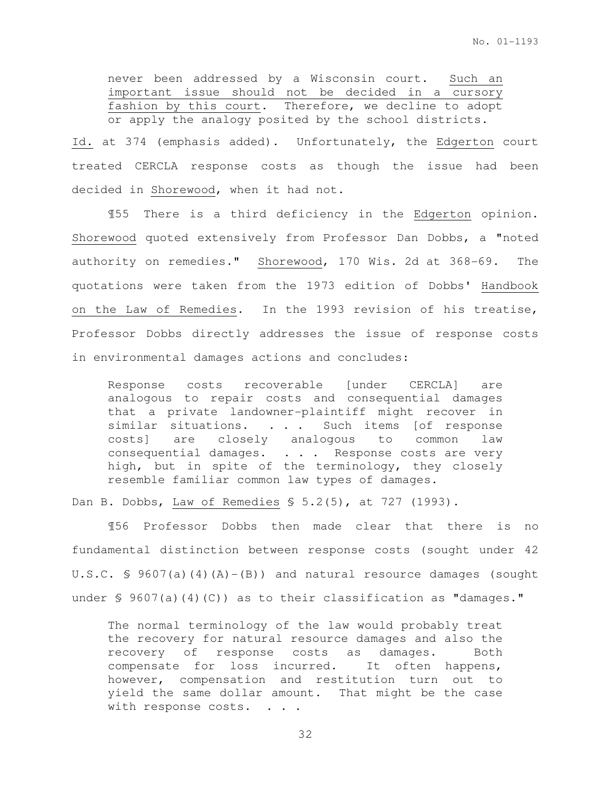never been addressed by a Wisconsin court. Such an important issue should not be decided in a cursory fashion by this court. Therefore, we decline to adopt or apply the analogy posited by the school districts.

Id. at 374 (emphasis added). Unfortunately, the Edgerton court treated CERCLA response costs as though the issue had been decided in Shorewood, when it had not.

 ¶55 There is a third deficiency in the Edgerton opinion. Shorewood quoted extensively from Professor Dan Dobbs, a "noted authority on remedies." Shorewood, 170 Wis. 2d at 368-69. The quotations were taken from the 1973 edition of Dobbs' Handbook on the Law of Remedies. In the 1993 revision of his treatise, Professor Dobbs directly addresses the issue of response costs in environmental damages actions and concludes:

Response costs recoverable [under CERCLA] are analogous to repair costs and consequential damages that a private landowner-plaintiff might recover in similar situations. . . . Such items [of response costs] are closely analogous to common law consequential damages. . . . Response costs are very high, but in spite of the terminology, they closely resemble familiar common law types of damages.

Dan B. Dobbs, Law of Remedies § 5.2(5), at 727 (1993).

¶56 Professor Dobbs then made clear that there is no fundamental distinction between response costs (sought under 42 U.S.C. § 9607(a)(4)(A)-(B)) and natural resource damages (sought under  $\leq$  9607(a)(4)(C)) as to their classification as "damages."

The normal terminology of the law would probably treat the recovery for natural resource damages and also the recovery of response costs as damages. Both compensate for loss incurred. It often happens, however, compensation and restitution turn out to yield the same dollar amount. That might be the case with response costs. . . .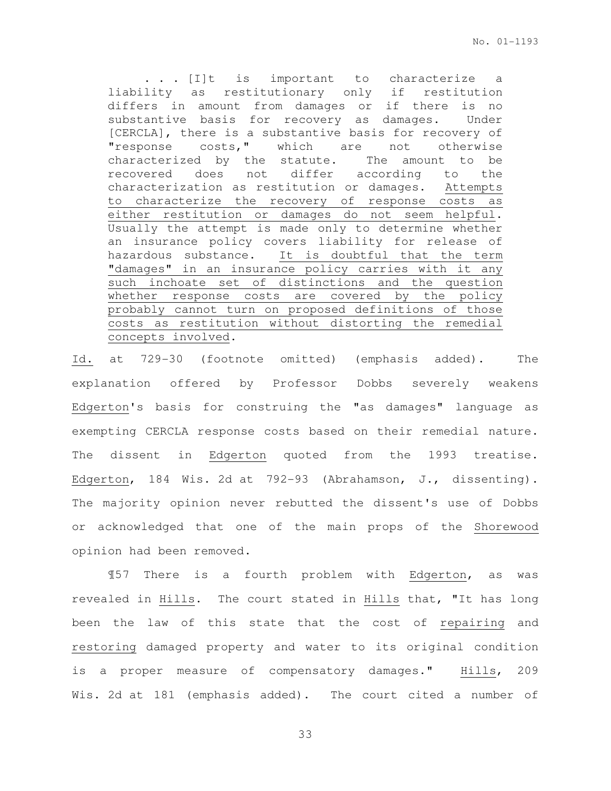. . . [I]t is important to characterize a liability as restitutionary only if restitution differs in amount from damages or if there is no substantive basis for recovery as damages. Under [CERCLA], there is a substantive basis for recovery of "response costs," which are not otherwise characterized by the statute. The amount to be recovered does not differ according to the characterization as restitution or damages. Attempts to characterize the recovery of response costs as either restitution or damages do not seem helpful. Usually the attempt is made only to determine whether an insurance policy covers liability for release of hazardous substance. It is doubtful that the term "damages" in an insurance policy carries with it any such inchoate set of distinctions and the question whether response costs are covered by the policy probably cannot turn on proposed definitions of those costs as restitution without distorting the remedial concepts involved.

Id. at 729-30 (footnote omitted) (emphasis added). The explanation offered by Professor Dobbs severely weakens Edgerton's basis for construing the "as damages" language as exempting CERCLA response costs based on their remedial nature. The dissent in Edgerton quoted from the 1993 treatise. Edgerton, 184 Wis. 2d at 792-93 (Abrahamson, J., dissenting). The majority opinion never rebutted the dissent's use of Dobbs or acknowledged that one of the main props of the Shorewood opinion had been removed.

¶57 There is a fourth problem with Edgerton, as was revealed in Hills. The court stated in Hills that, "It has long been the law of this state that the cost of repairing and restoring damaged property and water to its original condition is a proper measure of compensatory damages." Hills, 209 Wis. 2d at 181 (emphasis added). The court cited a number of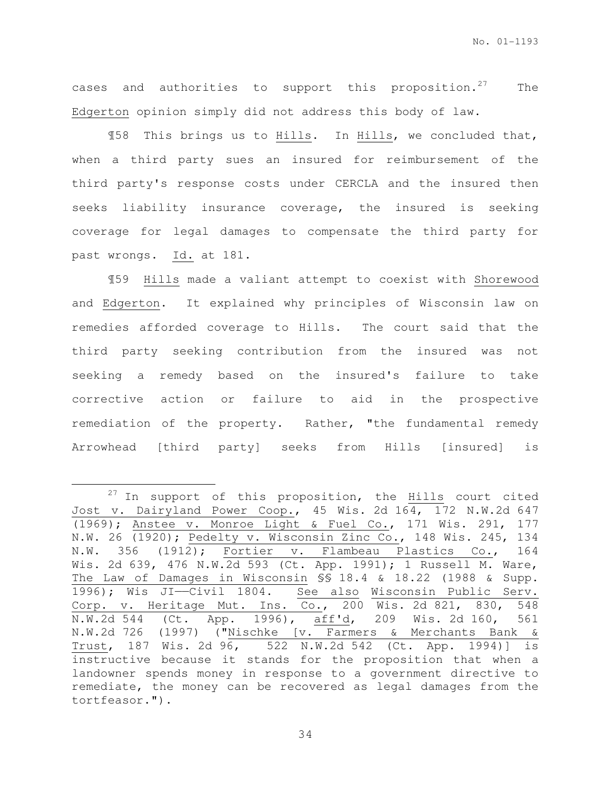cases and authorities to support this proposition.<sup>27</sup> The Edgerton opinion simply did not address this body of law.

¶58 This brings us to Hills. In Hills, we concluded that, when a third party sues an insured for reimbursement of the third party's response costs under CERCLA and the insured then seeks liability insurance coverage, the insured is seeking coverage for legal damages to compensate the third party for past wrongs. Id. at 181.

¶59 Hills made a valiant attempt to coexist with Shorewood and Edgerton. It explained why principles of Wisconsin law on remedies afforded coverage to Hills. The court said that the third party seeking contribution from the insured was not seeking a remedy based on the insured's failure to take corrective action or failure to aid in the prospective remediation of the property. Rather, "the fundamental remedy Arrowhead [third party] seeks from Hills [insured] is

 $\overline{a}$ 

 $27$  In support of this proposition, the  $\frac{H{\rm ills}}{2}$  court cited Jost v. Dairyland Power Coop., 45 Wis. 2d 164, 172 N.W.2d 647 (1969); Anstee v. Monroe Light & Fuel Co., 171 Wis. 291, 177 N.W. 26 (1920); Pedelty v. Wisconsin Zinc Co., 148 Wis. 245, 134 N.W. 356 (1912); Fortier v. Flambeau Plastics Co., 164 Wis. 2d 639, 476 N.W.2d 593 (Ct. App. 1991); 1 Russell M. Ware, The Law of Damages in Wisconsin §§ 18.4 & 18.22 (1988 & Supp. 1996); Wis JI——Civil 1804. See also Wisconsin Public Serv. Corp. v. Heritage Mut. Ins. Co., 200 Wis. 2d 821, 830, 548 N.W.2d 544 (Ct. App. 1996), aff'd, 209 Wis. 2d 160, 561 N.W.2d 726 (1997) ("Nischke [v. Farmers & Merchants Bank & Trust, 187 Wis. 2d 96, 522 N.W.2d 542 (Ct. App. 1994)] is instructive because it stands for the proposition that when a landowner spends money in response to a government directive to remediate, the money can be recovered as legal damages from the tortfeasor.").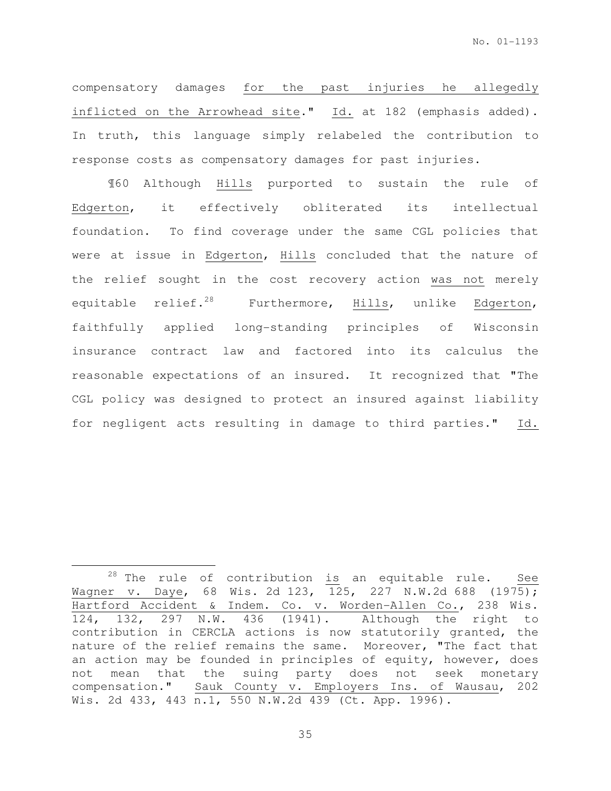compensatory damages for the past injuries he allegedly inflicted on the Arrowhead site." Id. at 182 (emphasis added). In truth, this language simply relabeled the contribution to response costs as compensatory damages for past injuries.

¶60 Although Hills purported to sustain the rule of Edgerton, it effectively obliterated its intellectual foundation. To find coverage under the same CGL policies that were at issue in Edgerton, Hills concluded that the nature of the relief sought in the cost recovery action was not merely equitable relief.<sup>28</sup> Furthermore, Hills, unlike Edgerton, faithfully applied long-standing principles of Wisconsin insurance contract law and factored into its calculus the reasonable expectations of an insured. It recognized that "The CGL policy was designed to protect an insured against liability for negligent acts resulting in damage to third parties." Id.

l.

 $28$  The rule of contribution is an equitable rule. See Wagner v. Daye, 68 Wis. 2d 123, 125, 227 N.W.2d 688 (1975); Hartford Accident & Indem. Co. v. Worden-Allen Co., 238 Wis. 124, 132, 297 N.W. 436 (1941). Although the right to contribution in CERCLA actions is now statutorily granted, the nature of the relief remains the same. Moreover, "The fact that an action may be founded in principles of equity, however, does not mean that the suing party does not seek monetary compensation." Sauk County v. Employers Ins. of Wausau, 202 Wis. 2d 433, 443 n.1, 550 N.W.2d 439 (Ct. App. 1996).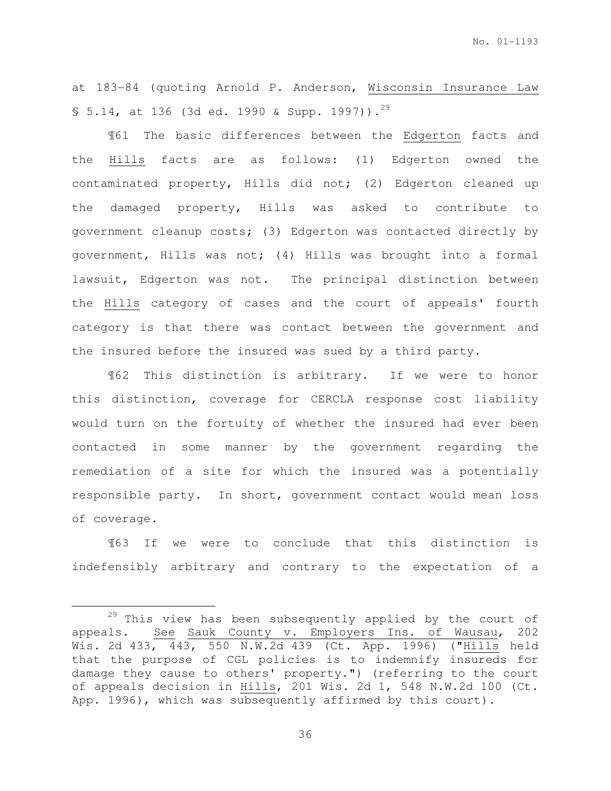at 183-84 (quoting Arnold P. Anderson, Wisconsin Insurance Law § 5.14, at 136 (3d ed. 1990 & Supp. 1997)).<sup>29</sup>

¶61 The basic differences between the Edgerton facts and the Hills facts are as follows: (1) Edgerton owned the contaminated property, Hills did not; (2) Edgerton cleaned up the damaged property, Hills was asked to contribute to government cleanup costs; (3) Edgerton was contacted directly by government, Hills was not; (4) Hills was brought into a formal lawsuit, Edgerton was not. The principal distinction between the Hills category of cases and the court of appeals' fourth category is that there was contact between the government and the insured before the insured was sued by a third party.

¶62 This distinction is arbitrary. If we were to honor this distinction, coverage for CERCLA response cost liability would turn on the fortuity of whether the insured had ever been contacted in some manner by the government regarding the remediation of a site for which the insured was a potentially responsible party. In short, government contact would mean loss of coverage.

¶63 If we were to conclude that this distinction is indefensibly arbitrary and contrary to the expectation of a

 $\overline{a}$ 

<sup>&</sup>lt;sup>29</sup> This view has been subsequently applied by the court of appeals. See Sauk County v. Employers Ins. of Wausau, 202 Wis. 2d 433, 443, 550 N.W.2d 439 (Ct. App. 1996) ("Hills held that the purpose of CGL policies is to indemnify insureds for damage they cause to others' property.") (referring to the court of appeals decision in Hills, 201 Wis. 2d 1, 548 N.W.2d 100 (Ct. App. 1996), which was subsequently affirmed by this court).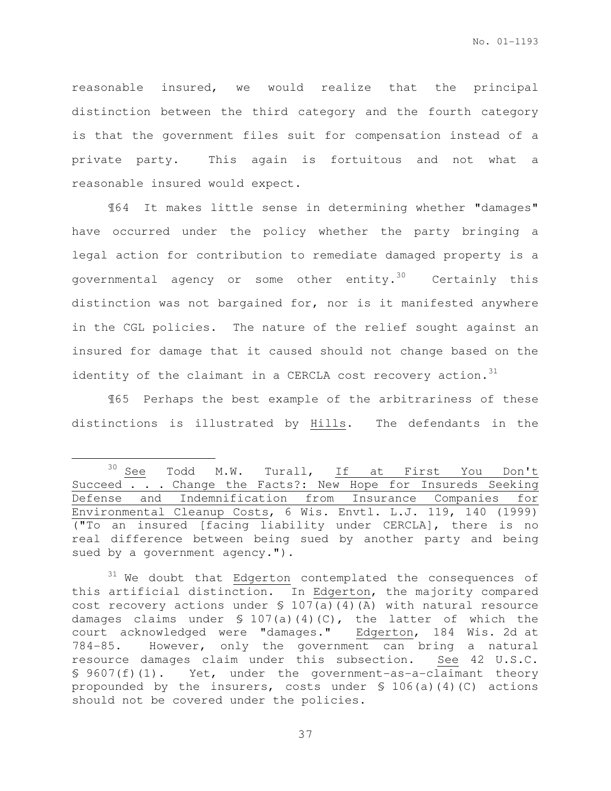reasonable insured, we would realize that the principal distinction between the third category and the fourth category is that the government files suit for compensation instead of a private party. This again is fortuitous and not what a reasonable insured would expect.

¶64 It makes little sense in determining whether "damages" have occurred under the policy whether the party bringing a legal action for contribution to remediate damaged property is a governmental agency or some other entity.<sup>30</sup> Certainly this distinction was not bargained for, nor is it manifested anywhere in the CGL policies.The nature of the relief sought against an insured for damage that it caused should not change based on the identity of the claimant in a CERCLA cost recovery action.  $31$ 

¶65 Perhaps the best example of the arbitrariness of these distinctions is illustrated by Hills. The defendants in the

l.

<sup>&</sup>lt;sup>30</sup> See Todd M.W. Turall, If at First You Don't Succeed . . . Change the Facts?: New Hope for Insureds Seeking Defense and Indemnification from Insurance Companies for Environmental Cleanup Costs, 6 Wis. Envtl. L.J. 119, 140 (1999) ("To an insured [facing liability under CERCLA], there is no real difference between being sued by another party and being sued by a government agency.").

 $31$  We doubt that Edgerton contemplated the consequences of this artificial distinction. In Edgerton, the majority compared cost recovery actions under § 107(a)(4)(A) with natural resource damages claims under  $\S$  107(a)(4)(C), the latter of which the court acknowledged were "damages." Edgerton, 184 Wis. 2d at 784-85. However, only the government can bring a natural resource damages claim under this subsection. See 42 U.S.C. § 9607(f)(1). Yet, under the government-as-a-claimant theory propounded by the insurers, costs under § 106(a)(4)(C) actions should not be covered under the policies.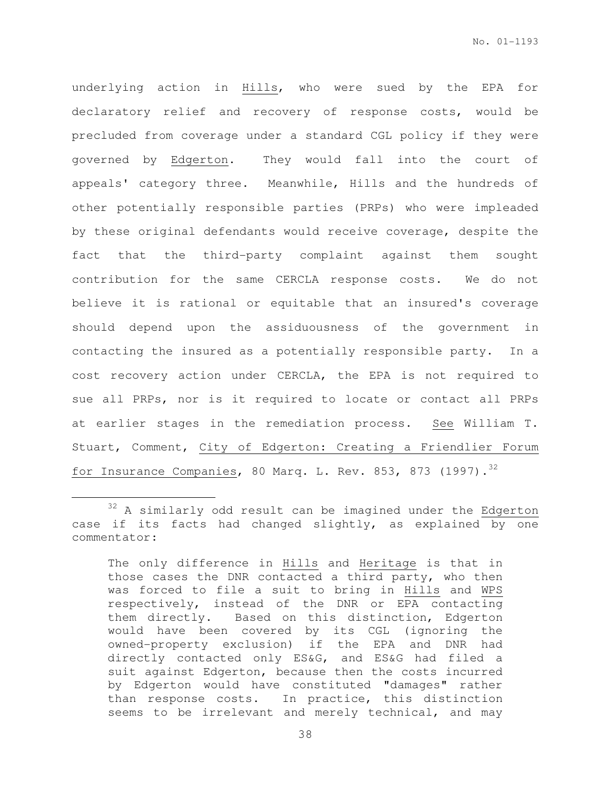underlying action in Hills, who were sued by the EPA for declaratory relief and recovery of response costs, would be precluded from coverage under a standard CGL policy if they were governed by Edgerton. They would fall into the court of appeals' category three. Meanwhile, Hills and the hundreds of other potentially responsible parties (PRPs) who were impleaded by these original defendants would receive coverage, despite the fact that the third-party complaint against them sought contribution for the same CERCLA response costs. We do not believe it is rational or equitable that an insured's coverage should depend upon the assiduousness of the government in contacting the insured as a potentially responsible party. In a cost recovery action under CERCLA, the EPA is not required to sue all PRPs, nor is it required to locate or contact all PRPs at earlier stages in the remediation process. See William T. Stuart, Comment, City of Edgerton: Creating a Friendlier Forum for Insurance Companies, 80 Marq. L. Rev. 853, 873 (1997).<sup>32</sup>

 $\overline{a}$ 

 $32$  A similarly odd result can be imagined under the Edgerton case if its facts had changed slightly, as explained by one commentator:

The only difference in Hills and Heritage is that in those cases the DNR contacted a third party, who then was forced to file a suit to bring in Hills and WPS respectively, instead of the DNR or EPA contacting them directly. Based on this distinction, Edgerton would have been covered by its CGL (ignoring the owned-property exclusion) if the EPA and DNR had directly contacted only ES&G, and ES&G had filed a suit against Edgerton, because then the costs incurred by Edgerton would have constituted "damages" rather than response costs. In practice, this distinction seems to be irrelevant and merely technical, and may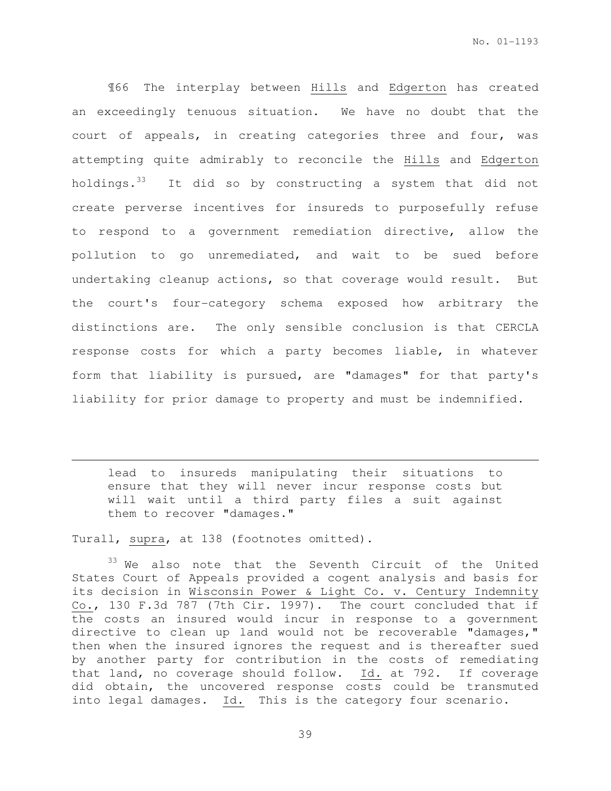¶66 The interplay between Hills and Edgerton has created an exceedingly tenuous situation. We have no doubt that the court of appeals, in creating categories three and four, was attempting quite admirably to reconcile the Hills and Edgerton holdings.<sup>33</sup> It did so by constructing a system that did not create perverse incentives for insureds to purposefully refuse to respond to a government remediation directive, allow the pollution to go unremediated, and wait to be sued before undertaking cleanup actions, so that coverage would result. But the court's four-category schema exposed how arbitrary the distinctions are. The only sensible conclusion is that CERCLA response costs for which a party becomes liable, in whatever form that liability is pursued, are "damages" for that party's liability for prior damage to property and must be indemnified.

lead to insureds manipulating their situations to ensure that they will never incur response costs but will wait until a third party files a suit against them to recover "damages."

Turall, supra, at 138 (footnotes omitted).

 $\overline{a}$ 

<sup>33</sup> We also note that the Seventh Circuit of the United States Court of Appeals provided a cogent analysis and basis for its decision in Wisconsin Power & Light Co. v. Century Indemnity Co., 130 F.3d 787 (7th Cir. 1997). The court concluded that if the costs an insured would incur in response to a government directive to clean up land would not be recoverable "damages," then when the insured ignores the request and is thereafter sued by another party for contribution in the costs of remediating that land, no coverage should follow. Id. at 792. If coverage did obtain, the uncovered response costs could be transmuted into legal damages. Id. This is the category four scenario.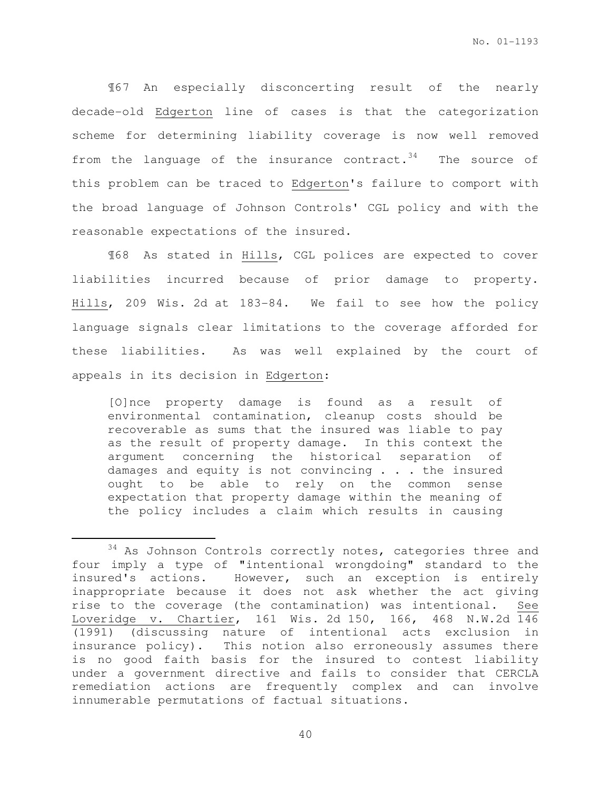¶67 An especially disconcerting result of the nearly decade-old Edgerton line of cases is that the categorization scheme for determining liability coverage is now well removed from the language of the insurance contract. $34$  The source of this problem can be traced to Edgerton's failure to comport with the broad language of Johnson Controls' CGL policy and with the reasonable expectations of the insured.

¶68 As stated in Hills, CGL polices are expected to cover liabilities incurred because of prior damage to property. Hills, 209 Wis. 2d at 183-84. We fail to see how the policy language signals clear limitations to the coverage afforded for these liabilities. As was well explained by the court of appeals in its decision in Edgerton:

[O]nce property damage is found as a result of environmental contamination, cleanup costs should be recoverable as sums that the insured was liable to pay as the result of property damage. In this context the argument concerning the historical separation of damages and equity is not convincing . . . the insured ought to be able to rely on the common sense expectation that property damage within the meaning of the policy includes a claim which results in causing

 $\overline{a}$ 

 $34$  As Johnson Controls correctly notes, categories three and four imply a type of "intentional wrongdoing" standard to the insured's actions. However, such an exception is entirely inappropriate because it does not ask whether the act giving rise to the coverage (the contamination) was intentional. See Loveridge v. Chartier, 161 Wis. 2d 150, 166, 468 N.W.2d 146 (1991) (discussing nature of intentional acts exclusion in insurance policy). This notion also erroneously assumes there is no good faith basis for the insured to contest liability under a government directive and fails to consider that CERCLA remediation actions are frequently complex and can involve innumerable permutations of factual situations.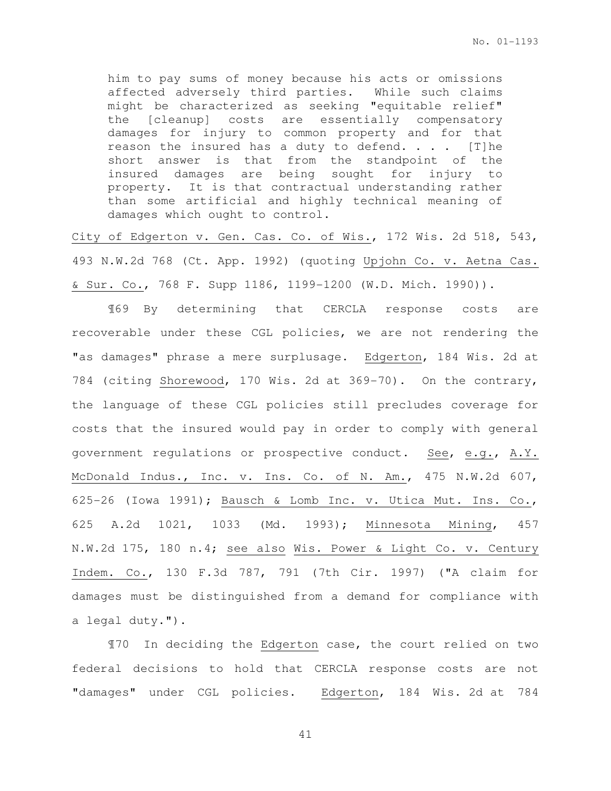him to pay sums of money because his acts or omissions affected adversely third parties. While such claims might be characterized as seeking "equitable relief" the [cleanup] costs are essentially compensatory damages for injury to common property and for that reason the insured has a duty to defend.  $\ldots$  [T]he short answer is that from the standpoint of the insured damages are being sought for injury to property. It is that contractual understanding rather than some artificial and highly technical meaning of damages which ought to control.

City of Edgerton v. Gen. Cas. Co. of Wis., 172 Wis. 2d 518, 543, 493 N.W.2d 768 (Ct. App. 1992) (quoting Upjohn Co. v. Aetna Cas. & Sur. Co., 768 F. Supp 1186, 1199-1200 (W.D. Mich. 1990)).

¶69 By determining that CERCLA response costs are recoverable under these CGL policies, we are not rendering the "as damages" phrase a mere surplusage. Edgerton, 184 Wis. 2d at 784 (citing Shorewood, 170 Wis. 2d at 369-70). On the contrary, the language of these CGL policies still precludes coverage for costs that the insured would pay in order to comply with general government regulations or prospective conduct. See, e.g., A.Y. McDonald Indus., Inc. v. Ins. Co. of N. Am., 475 N.W.2d 607, 625-26 (Iowa 1991); Bausch & Lomb Inc. v. Utica Mut. Ins. Co., 625 A.2d 1021, 1033 (Md. 1993); Minnesota Mining, 457 N.W.2d 175, 180 n.4; see also Wis. Power & Light Co. v. Century Indem. Co., 130 F.3d 787, 791 (7th Cir. 1997) ("A claim for damages must be distinguished from a demand for compliance with a legal duty.").

¶70 In deciding the Edgerton case, the court relied on two federal decisions to hold that CERCLA response costs are not "damages" under CGL policies. Edgerton, 184 Wis. 2d at 784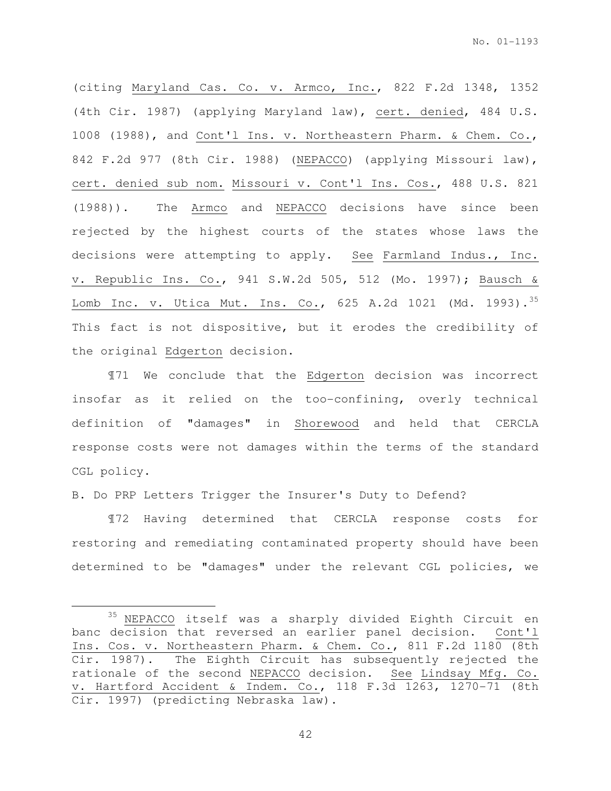(citing Maryland Cas. Co. v. Armco, Inc., 822 F.2d 1348, 1352 (4th Cir. 1987) (applying Maryland law), cert. denied, 484 U.S. 1008 (1988), and Cont'l Ins. v. Northeastern Pharm. & Chem. Co., 842 F.2d 977 (8th Cir. 1988) (NEPACCO) (applying Missouri law), cert. denied sub nom. Missouri v. Cont'l Ins. Cos., 488 U.S. 821 (1988)). The Armco and NEPACCO decisions have since been rejected by the highest courts of the states whose laws the decisions were attempting to apply. See Farmland Indus., Inc. v. Republic Ins. Co., 941 S.W.2d 505, 512 (Mo. 1997); Bausch & Lomb Inc. v. Utica Mut. Ins. Co., 625 A.2d 1021 (Md. 1993).<sup>35</sup> This fact is not dispositive, but it erodes the credibility of the original Edgerton decision.

¶71 We conclude that the Edgerton decision was incorrect insofar as it relied on the too-confining, overly technical definition of "damages" in Shorewood and held that CERCLA response costs were not damages within the terms of the standard CGL policy.

B. Do PRP Letters Trigger the Insurer's Duty to Defend?

 $\overline{a}$ 

¶72 Having determined that CERCLA response costs for restoring and remediating contaminated property should have been determined to be "damages" under the relevant CGL policies, we

<sup>&</sup>lt;sup>35</sup> NEPACCO itself was a sharply divided Eighth Circuit en banc decision that reversed an earlier panel decision. Cont'l Ins. Cos. v. Northeastern Pharm. & Chem. Co., 811 F.2d 1180 (8th Cir. 1987). The Eighth Circuit has subsequently rejected the rationale of the second NEPACCO decision. See Lindsay Mfg. Co. v. Hartford Accident & Indem. Co., 118 F.3d 1263, 1270-71 (8th Cir. 1997) (predicting Nebraska law).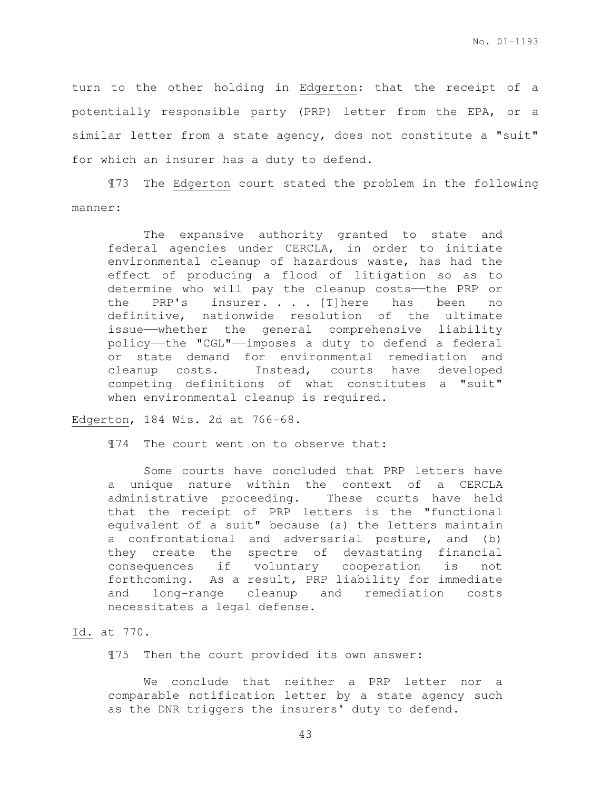turn to the other holding in Edgerton: that the receipt of a potentially responsible party (PRP) letter from the EPA, or a similar letter from a state agency, does not constitute a "suit" for which an insurer has a duty to defend.

¶73 The Edgerton court stated the problem in the following manner:

 The expansive authority granted to state and federal agencies under CERCLA, in order to initiate environmental cleanup of hazardous waste, has had the effect of producing a flood of litigation so as to determine who will pay the cleanup costs——the PRP or the PRP's insurer. . . [T]here has been no definitive, nationwide resolution of the ultimate issue——whether the general comprehensive liability policy——the "CGL"——imposes a duty to defend a federal or state demand for environmental remediation and cleanup costs. Instead, courts have developed competing definitions of what constitutes a "suit" when environmental cleanup is required.

Edgerton, 184 Wis. 2d at 766-68.

¶74 The court went on to observe that:

 Some courts have concluded that PRP letters have a unique nature within the context of a CERCLA administrative proceeding. These courts have held that the receipt of PRP letters is the "functional equivalent of a suit" because (a) the letters maintain a confrontational and adversarial posture, and (b) they create the spectre of devastating financial consequences if voluntary cooperation is not forthcoming. As a result, PRP liability for immediate and long-range cleanup and remediation costs necessitates a legal defense.

## Id. at 770.

¶75 Then the court provided its own answer:

 We conclude that neither a PRP letter nor a comparable notification letter by a state agency such as the DNR triggers the insurers' duty to defend.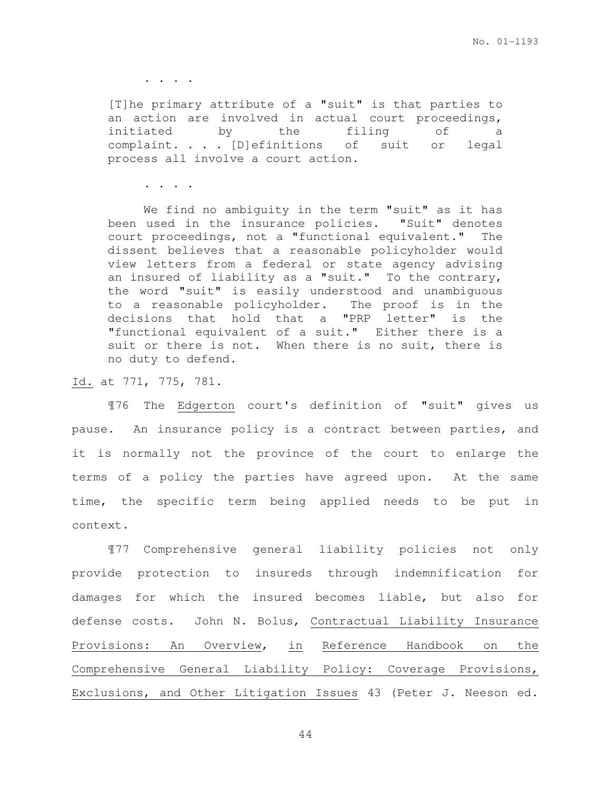. . . .

[T]he primary attribute of a "suit" is that parties to an action are involved in actual court proceedings, initiated by the filing of a complaint. . . . [D]efinitions of suit or legal process all involve a court action.

. . . .

 We find no ambiguity in the term "suit" as it has been used in the insurance policies. "Suit" denotes court proceedings, not a "functional equivalent." The dissent believes that a reasonable policyholder would view letters from a federal or state agency advising an insured of liability as a "suit." To the contrary, the word "suit" is easily understood and unambiguous to a reasonable policyholder. The proof is in the decisions that hold that a "PRP letter" is the "functional equivalent of a suit." Either there is a suit or there is not. When there is no suit, there is no duty to defend.

Id. at 771, 775, 781.

 ¶76 The Edgerton court's definition of "suit" gives us pause. An insurance policy is a contract between parties, and it is normally not the province of the court to enlarge the terms of a policy the parties have agreed upon. At the same time, the specific term being applied needs to be put in context.

 ¶77 Comprehensive general liability policies not only provide protection to insureds through indemnification for damages for which the insured becomes liable, but also for defense costs. John N. Bolus, Contractual Liability Insurance Provisions: An Overview, in Reference Handbook on the Comprehensive General Liability Policy: Coverage Provisions, Exclusions, and Other Litigation Issues 43 (Peter J. Neeson ed.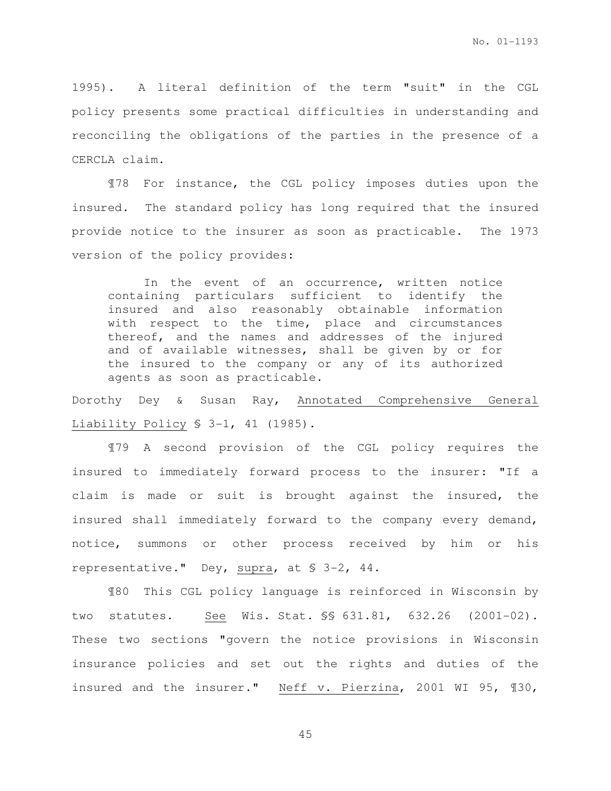1995). A literal definition of the term "suit" in the CGL policy presents some practical difficulties in understanding and reconciling the obligations of the parties in the presence of a CERCLA claim.

¶78 For instance, the CGL policy imposes duties upon the insured. The standard policy has long required that the insured provide notice to the insurer as soon as practicable. The 1973 version of the policy provides:

 In the event of an occurrence, written notice containing particulars sufficient to identify the insured and also reasonably obtainable information with respect to the time, place and circumstances thereof, and the names and addresses of the injured and of available witnesses, shall be given by or for the insured to the company or any of its authorized agents as soon as practicable.

Dorothy Dey & Susan Ray, Annotated Comprehensive General Liability Policy § 3-1, 41 (1985).

 ¶79 A second provision of the CGL policy requires the insured to immediately forward process to the insurer: "If a claim is made or suit is brought against the insured, the insured shall immediately forward to the company every demand, notice, summons or other process received by him or his representative." Dey, supra, at § 3-2, 44.

 ¶80 This CGL policy language is reinforced in Wisconsin by two statutes. See Wis. Stat. §§ 631.81, 632.26 (2001-02). These two sections "govern the notice provisions in Wisconsin insurance policies and set out the rights and duties of the insured and the insurer." Neff v. Pierzina, 2001 WI 95, ¶30,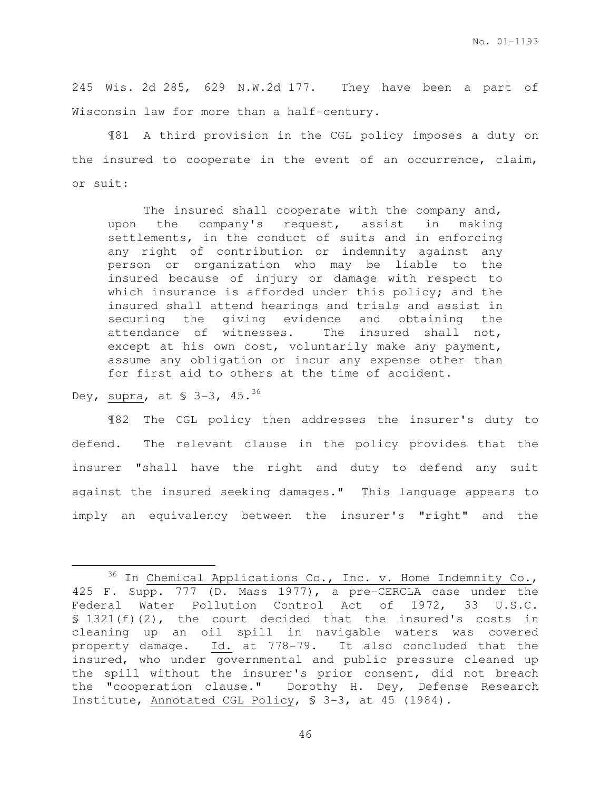245 Wis. 2d 285, 629 N.W.2d 177. They have been a part of Wisconsin law for more than a half-century.

 ¶81 A third provision in the CGL policy imposes a duty on the insured to cooperate in the event of an occurrence, claim, or suit:

 The insured shall cooperate with the company and, upon the company's request, assist in making settlements, in the conduct of suits and in enforcing any right of contribution or indemnity against any person or organization who may be liable to the insured because of injury or damage with respect to which insurance is afforded under this policy; and the insured shall attend hearings and trials and assist in securing the giving evidence and obtaining the attendance of witnesses. The insured shall not, except at his own cost, voluntarily make any payment, assume any obligation or incur any expense other than for first aid to others at the time of accident.

Dey, supra, at \$ 3-3, 45.<sup>36</sup>

l.

 ¶82 The CGL policy then addresses the insurer's duty to defend. The relevant clause in the policy provides that the insurer "shall have the right and duty to defend any suit against the insured seeking damages." This language appears to imply an equivalency between the insurer's "right" and the

 $36$  In Chemical Applications Co., Inc. v. Home Indemnity Co., 425 F. Supp. 777 (D. Mass 1977), a pre-CERCLA case under the Federal Water Pollution Control Act of 1972, 33 U.S.C. § 1321(f)(2), the court decided that the insured's costs in cleaning up an oil spill in navigable waters was covered property damage. Id. at 778-79. It also concluded that the insured, who under governmental and public pressure cleaned up the spill without the insurer's prior consent, did not breach the "cooperation clause." Dorothy H. Dey, Defense Research Institute, Annotated CGL Policy, § 3-3, at 45 (1984).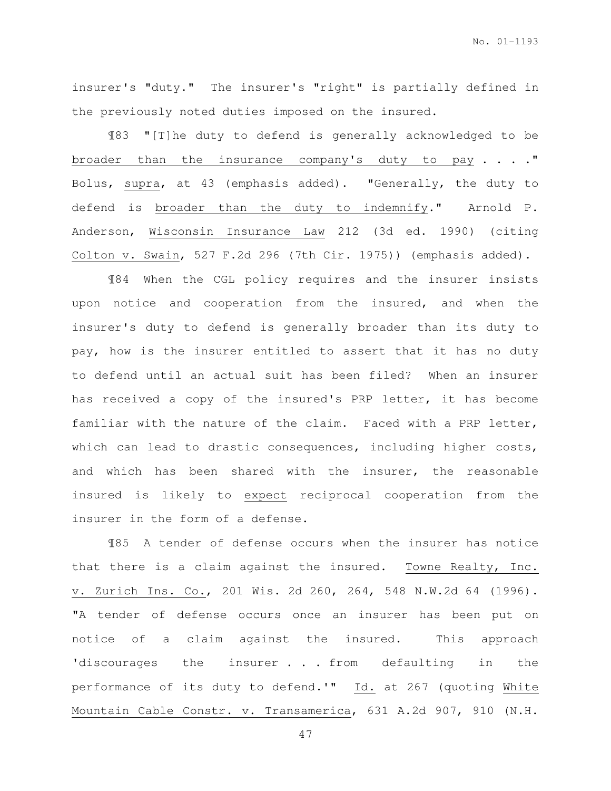insurer's "duty." The insurer's "right" is partially defined in the previously noted duties imposed on the insured.

¶83 "[T]he duty to defend is generally acknowledged to be broader than the insurance company's duty to pay . . . . " Bolus, supra, at 43 (emphasis added). "Generally, the duty to defend is broader than the duty to indemnify." Arnold P. Anderson, Wisconsin Insurance Law 212 (3d ed. 1990) (citing Colton v. Swain, 527 F.2d 296 (7th Cir. 1975)) (emphasis added).

 ¶84 When the CGL policy requires and the insurer insists upon notice and cooperation from the insured, and when the insurer's duty to defend is generally broader than its duty to pay, how is the insurer entitled to assert that it has no duty to defend until an actual suit has been filed? When an insurer has received a copy of the insured's PRP letter, it has become familiar with the nature of the claim. Faced with a PRP letter, which can lead to drastic consequences, including higher costs, and which has been shared with the insurer, the reasonable insured is likely to expect reciprocal cooperation from the insurer in the form of a defense.

 ¶85 A tender of defense occurs when the insurer has notice that there is a claim against the insured. Towne Realty, Inc. v. Zurich Ins. Co., 201 Wis. 2d 260, 264, 548 N.W.2d 64 (1996). "A tender of defense occurs once an insurer has been put on notice of a claim against the insured. This approach 'discourages the insurer . . . from defaulting in the performance of its duty to defend.'" Id. at 267 (quoting White Mountain Cable Constr. v. Transamerica, 631 A.2d 907, 910 (N.H.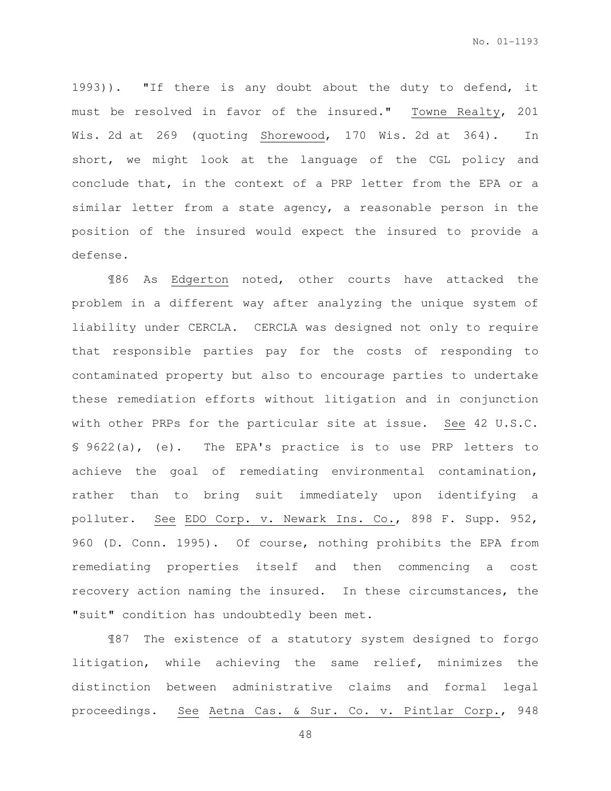1993)). "If there is any doubt about the duty to defend, it must be resolved in favor of the insured." Towne Realty, 201 Wis. 2d at 269 (quoting Shorewood, 170 Wis. 2d at 364). In short, we might look at the language of the CGL policy and conclude that, in the context of a PRP letter from the EPA or a similar letter from a state agency, a reasonable person in the position of the insured would expect the insured to provide a defense.

 ¶86 As Edgerton noted, other courts have attacked the problem in a different way after analyzing the unique system of liability under CERCLA. CERCLA was designed not only to require that responsible parties pay for the costs of responding to contaminated property but also to encourage parties to undertake these remediation efforts without litigation and in conjunction with other PRPs for the particular site at issue. See 42 U.S.C. § 9622(a), (e). The EPA's practice is to use PRP letters to achieve the goal of remediating environmental contamination, rather than to bring suit immediately upon identifying a polluter. See EDO Corp. v. Newark Ins. Co., 898 F. Supp. 952, 960 (D. Conn. 1995). Of course, nothing prohibits the EPA from remediating properties itself and then commencing a cost recovery action naming the insured. In these circumstances, the "suit" condition has undoubtedly been met.

¶87 The existence of a statutory system designed to forgo litigation, while achieving the same relief, minimizes the distinction between administrative claims and formal legal proceedings. See Aetna Cas. & Sur. Co. v. Pintlar Corp., 948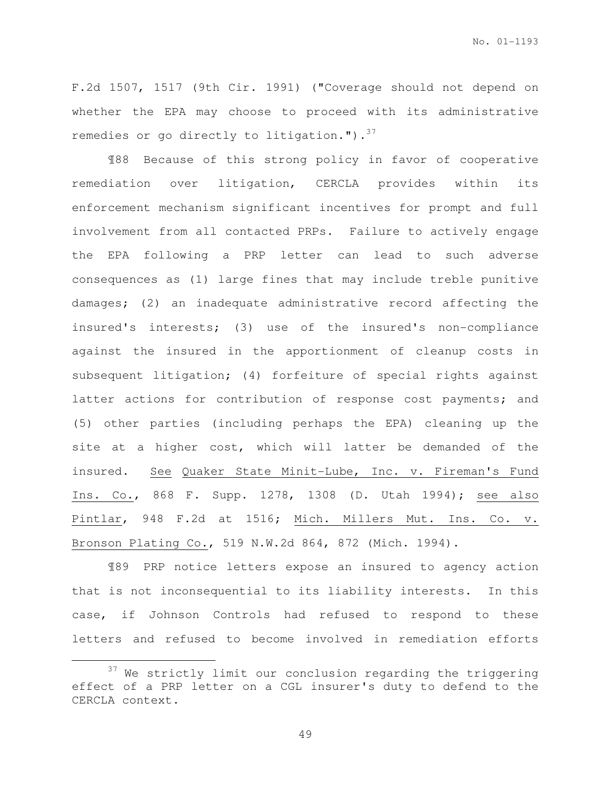F.2d 1507, 1517 (9th Cir. 1991) ("Coverage should not depend on whether the EPA may choose to proceed with its administrative remedies or go directly to litigation.").  $37$ 

¶88 Because of this strong policy in favor of cooperative remediation over litigation, CERCLA provides within its enforcement mechanism significant incentives for prompt and full involvement from all contacted PRPs. Failure to actively engage the EPA following a PRP letter can lead to such adverse consequences as (1) large fines that may include treble punitive damages; (2) an inadequate administrative record affecting the insured's interests; (3) use of the insured's non-compliance against the insured in the apportionment of cleanup costs in subsequent litigation; (4) forfeiture of special rights against latter actions for contribution of response cost payments; and (5) other parties (including perhaps the EPA) cleaning up the site at a higher cost, which will latter be demanded of the insured. See Quaker State Minit-Lube, Inc. v. Fireman's Fund Ins. Co., 868 F. Supp. 1278, 1308 (D. Utah 1994); see also Pintlar, 948 F.2d at 1516; Mich. Millers Mut. Ins. Co. v. Bronson Plating Co., 519 N.W.2d 864, 872 (Mich. 1994).

¶89 PRP notice letters expose an insured to agency action that is not inconsequential to its liability interests. In this case, if Johnson Controls had refused to respond to these letters and refused to become involved in remediation efforts

 $\overline{a}$ 

 $37$  We strictly limit our conclusion regarding the triggering effect of a PRP letter on a CGL insurer's duty to defend to the CERCLA context.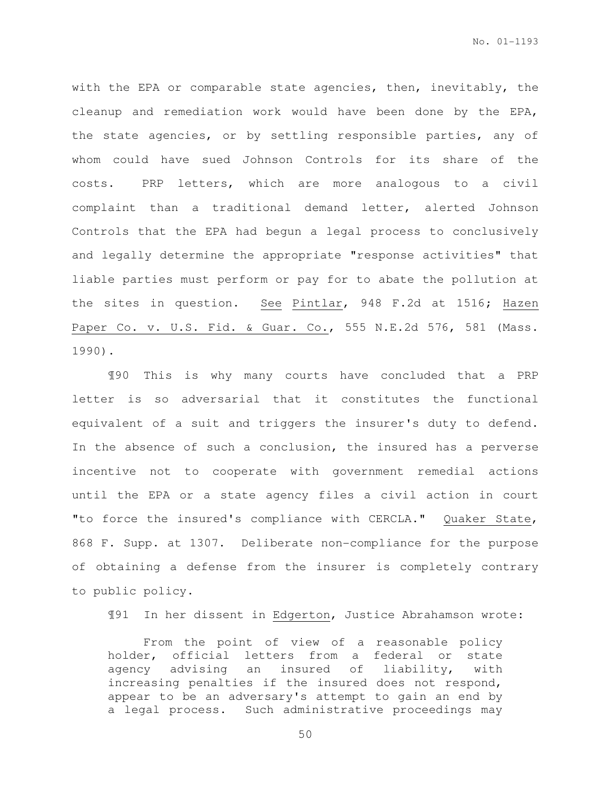with the EPA or comparable state agencies, then, inevitably, the cleanup and remediation work would have been done by the EPA, the state agencies, or by settling responsible parties, any of whom could have sued Johnson Controls for its share of the costs. PRP letters, which are more analogous to a civil complaint than a traditional demand letter, alerted Johnson Controls that the EPA had begun a legal process to conclusively and legally determine the appropriate "response activities" that liable parties must perform or pay for to abate the pollution at the sites in question. See Pintlar, 948 F.2d at 1516; Hazen Paper Co. v. U.S. Fid. & Guar. Co., 555 N.E.2d 576, 581 (Mass. 1990).

¶90 This is why many courts have concluded that a PRP letter is so adversarial that it constitutes the functional equivalent of a suit and triggers the insurer's duty to defend. In the absence of such a conclusion, the insured has a perverse incentive not to cooperate with government remedial actions until the EPA or a state agency files a civil action in court "to force the insured's compliance with CERCLA." Quaker State, 868 F. Supp. at 1307. Deliberate non-compliance for the purpose of obtaining a defense from the insurer is completely contrary to public policy.

¶91 In her dissent in Edgerton, Justice Abrahamson wrote:

From the point of view of a reasonable policy holder, official letters from a federal or state agency advising an insured of liability, with increasing penalties if the insured does not respond, appear to be an adversary's attempt to gain an end by a legal process. Such administrative proceedings may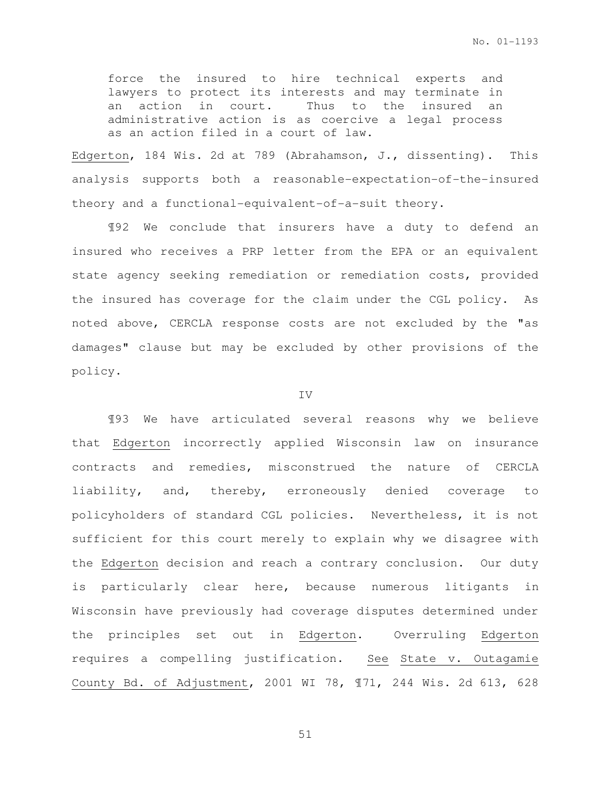force the insured to hire technical experts and lawyers to protect its interests and may terminate in an action in court. Thus to the insured an administrative action is as coercive a legal process as an action filed in a court of law.

Edgerton, 184 Wis. 2d at 789 (Abrahamson, J., dissenting). This analysis supports both a reasonable-expectation-of-the-insured theory and a functional-equivalent-of-a-suit theory.

¶92 We conclude that insurers have a duty to defend an insured who receives a PRP letter from the EPA or an equivalent state agency seeking remediation or remediation costs, provided the insured has coverage for the claim under the CGL policy. As noted above, CERCLA response costs are not excluded by the "as damages" clause but may be excluded by other provisions of the policy.

## IV

¶93 We have articulated several reasons why we believe that Edgerton incorrectly applied Wisconsin law on insurance contracts and remedies, misconstrued the nature of CERCLA liability, and, thereby, erroneously denied coverage to policyholders of standard CGL policies. Nevertheless, it is not sufficient for this court merely to explain why we disagree with the Edgerton decision and reach a contrary conclusion. Our duty is particularly clear here, because numerous litigants in Wisconsin have previously had coverage disputes determined under the principles set out in Edgerton. Overruling Edgerton requires a compelling justification. See State v. Outagamie County Bd. of Adjustment, 2001 WI 78, ¶71, 244 Wis. 2d 613, 628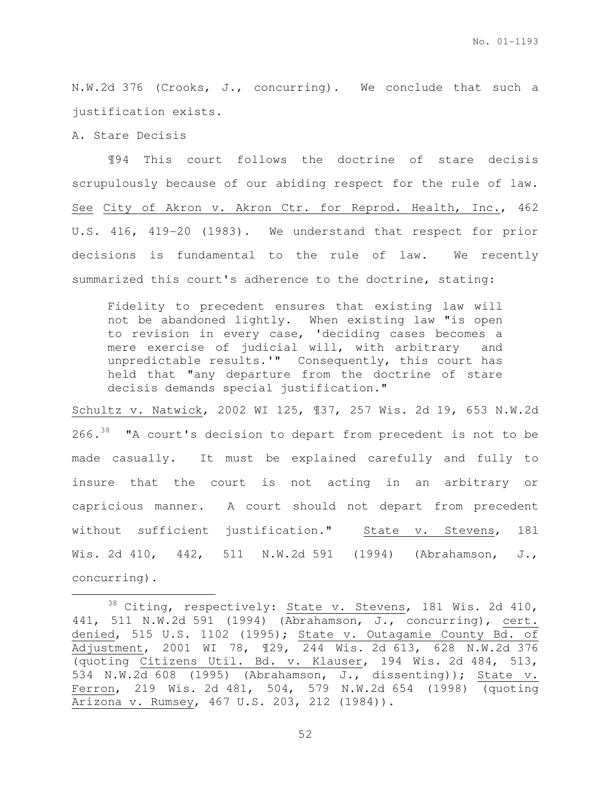N.W.2d 376 (Crooks, J., concurring). We conclude that such a justification exists.

A. Stare Decisis

l.

¶94 This court follows the doctrine of stare decisis scrupulously because of our abiding respect for the rule of law. See City of Akron v. Akron Ctr. for Reprod. Health, Inc., 462 U.S. 416, 419-20 (1983). We understand that respect for prior decisions is fundamental to the rule of law. We recently summarized this court's adherence to the doctrine, stating:

Fidelity to precedent ensures that existing law will not be abandoned lightly. When existing law "is open to revision in every case, 'deciding cases becomes a mere exercise of judicial will, with arbitrary and unpredictable results.'" Consequently, this court has held that "any departure from the doctrine of stare decisis demands special justification."

Schultz v. Natwick, 2002 WI 125, ¶37, 257 Wis. 2d 19, 653 N.W.2d 266.<sup>38</sup> "A court's decision to depart from precedent is not to be made casually. It must be explained carefully and fully to insure that the court is not acting in an arbitrary or capricious manner. A court should not depart from precedent without sufficient justification." State v. Stevens, 181 Wis. 2d 410, 442, 511 N.W.2d 591 (1994) (Abrahamson, J., concurring).

<sup>&</sup>lt;sup>38</sup> Citing, respectively: **State v. Stevens**, 181 Wis. 2d 410, 441, 511 N.W.2d 591 (1994) (Abrahamson, J., concurring), cert. denied, 515 U.S. 1102 (1995); State v. Outagamie County Bd. of Adjustment, 2001 WI 78, ¶29, 244 Wis. 2d 613, 628 N.W.2d 376 (quoting Citizens Util. Bd. v. Klauser, 194 Wis. 2d 484, 513, 534 N.W.2d 608 (1995) (Abrahamson, J., dissenting)); State v. Ferron, 219 Wis. 2d 481, 504, 579 N.W.2d 654 (1998) (quoting Arizona v. Rumsey, 467 U.S. 203, 212 (1984)).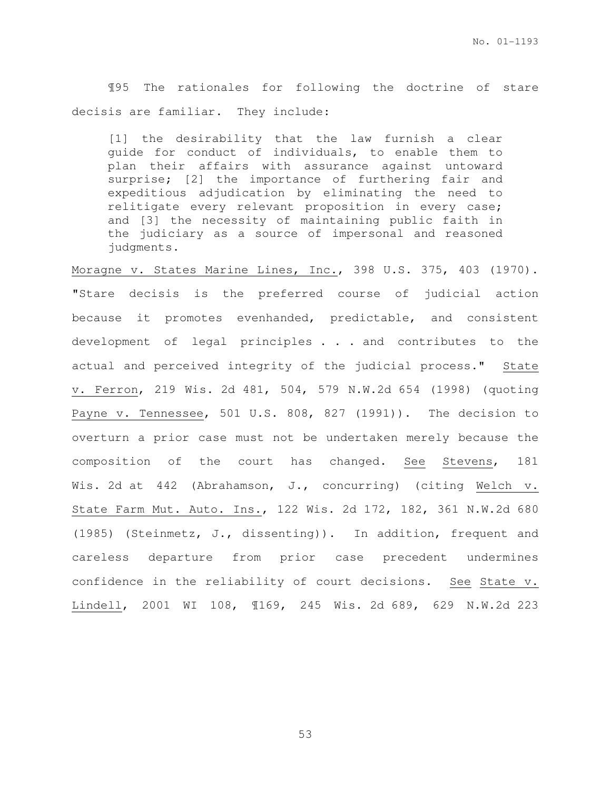¶95 The rationales for following the doctrine of stare decisis are familiar. They include:

[1] the desirability that the law furnish a clear guide for conduct of individuals, to enable them to plan their affairs with assurance against untoward surprise; [2] the importance of furthering fair and expeditious adjudication by eliminating the need to relitigate every relevant proposition in every case; and [3] the necessity of maintaining public faith in the judiciary as a source of impersonal and reasoned judgments.

Moragne v. States Marine Lines, Inc., 398 U.S. 375, 403 (1970). "Stare decisis is the preferred course of judicial action because it promotes evenhanded, predictable, and consistent development of legal principles . . . and contributes to the actual and perceived integrity of the judicial process." State v. Ferron, 219 Wis. 2d 481, 504, 579 N.W.2d 654 (1998) (quoting Payne v. Tennessee, 501 U.S. 808, 827 (1991)). The decision to overturn a prior case must not be undertaken merely because the composition of the court has changed. See Stevens, 181 Wis. 2d at 442 (Abrahamson, J., concurring) (citing Welch v. State Farm Mut. Auto. Ins., 122 Wis. 2d 172, 182, 361 N.W.2d 680 (1985) (Steinmetz, J., dissenting)). In addition, frequent and careless departure from prior case precedent undermines confidence in the reliability of court decisions. See State v. Lindell, 2001 WI 108, ¶169, 245 Wis. 2d 689, 629 N.W.2d 223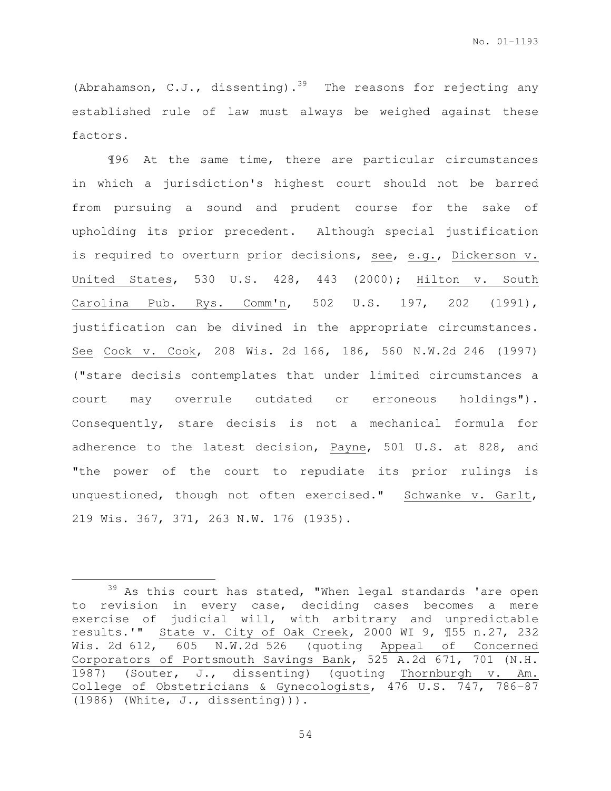(Abrahamson, C.J., dissenting).<sup>39</sup> The reasons for rejecting any established rule of law must always be weighed against these factors.

¶96 At the same time, there are particular circumstances in which a jurisdiction's highest court should not be barred from pursuing a sound and prudent course for the sake of upholding its prior precedent. Although special justification is required to overturn prior decisions, see, e.g., Dickerson v. United States, 530 U.S. 428, 443 (2000); Hilton v. South Carolina Pub. Rys. Comm'n, 502 U.S. 197, 202 (1991), justification can be divined in the appropriate circumstances. See Cook v. Cook, 208 Wis. 2d 166, 186, 560 N.W.2d 246 (1997) ("stare decisis contemplates that under limited circumstances a court may overrule outdated or erroneous holdings"). Consequently, stare decisis is not a mechanical formula for adherence to the latest decision, Payne, 501 U.S. at 828, and "the power of the court to repudiate its prior rulings is unquestioned, though not often exercised." Schwanke v. Garlt, 219 Wis. 367, 371, 263 N.W. 176 (1935).

l.

<sup>&</sup>lt;sup>39</sup> As this court has stated, "When legal standards 'are open to revision in every case, deciding cases becomes a mere exercise of judicial will, with arbitrary and unpredictable results.'" State v. City of Oak Creek, 2000 WI 9, ¶55 n.27, 232 Wis. 2d 612, 605 N.W.2d 526 (quoting Appeal of Concerned Corporators of Portsmouth Savings Bank, 525 A.2d 671, 701 (N.H. 1987) (Souter, J., dissenting) (quoting Thornburgh v. Am. College of Obstetricians & Gynecologists, 476 U.S. 747, 786-87 (1986) (White, J., dissenting))).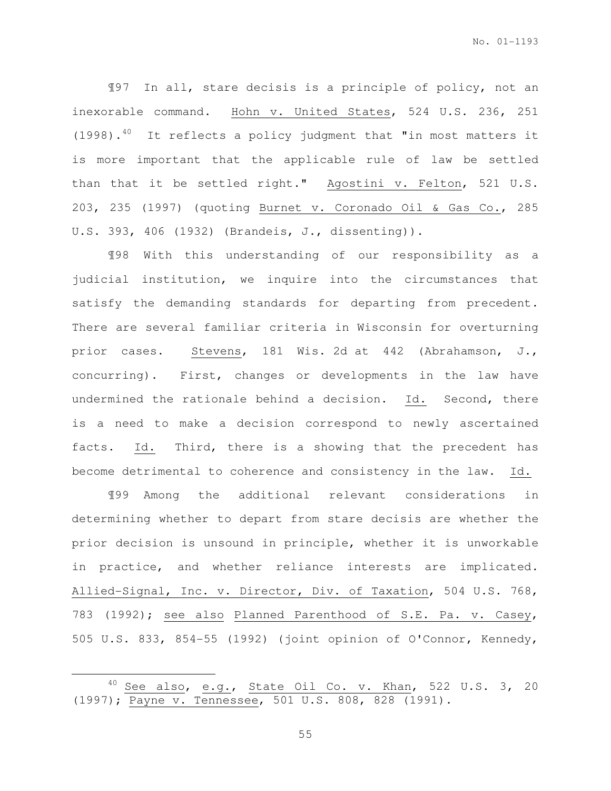¶97 In all, stare decisis is a principle of policy, not an inexorable command. Hohn v. United States, 524 U.S. 236, 251  $(1998)$ .<sup>40</sup> It reflects a policy judgment that "in most matters it is more important that the applicable rule of law be settled than that it be settled right." Agostini v. Felton, 521 U.S. 203, 235 (1997) (quoting Burnet v. Coronado Oil & Gas Co., 285 U.S. 393, 406 (1932) (Brandeis, J., dissenting)).

¶98 With this understanding of our responsibility as a judicial institution, we inquire into the circumstances that satisfy the demanding standards for departing from precedent. There are several familiar criteria in Wisconsin for overturning prior cases. Stevens, 181 Wis. 2d at 442 (Abrahamson, J., concurring). First, changes or developments in the law have undermined the rationale behind a decision. Id. Second, there is a need to make a decision correspond to newly ascertained facts. Id. Third, there is a showing that the precedent has become detrimental to coherence and consistency in the law. Id.

¶99 Among the additional relevant considerations in determining whether to depart from stare decisis are whether the prior decision is unsound in principle, whether it is unworkable in practice, and whether reliance interests are implicated. Allied-Signal, Inc. v. Director, Div. of Taxation, 504 U.S. 768, 783 (1992); see also Planned Parenthood of S.E. Pa. v. Casey, 505 U.S. 833, 854-55 (1992) (joint opinion of O'Connor, Kennedy,

l.

 $40$  See also, e.g., State Oil Co. v. Khan, 522 U.S. 3, 20 (1997); Payne v. Tennessee, 501 U.S. 808, 828 (1991).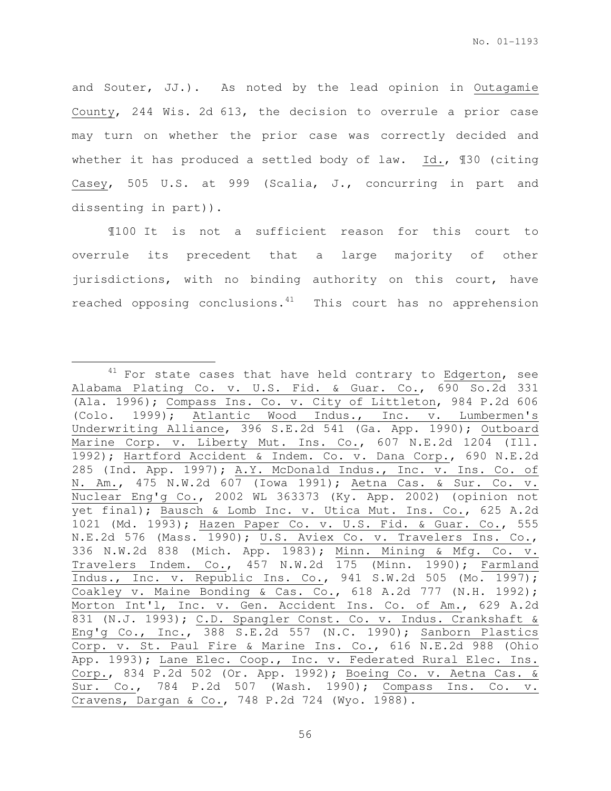and Souter, JJ.). As noted by the lead opinion in Outagamie County, 244 Wis. 2d 613, the decision to overrule a prior case may turn on whether the prior case was correctly decided and whether it has produced a settled body of law. Id., 130 (citing Casey, 505 U.S. at 999 (Scalia, J., concurring in part and dissenting in part)).

¶100 It is not a sufficient reason for this court to overrule its precedent that a large majority of other jurisdictions, with no binding authority on this court, have reached opposing conclusions. $41$  This court has no apprehension

l.

 $41$  For state cases that have held contrary to Edgerton, see Alabama Plating Co. v. U.S. Fid. & Guar. Co., 690 So.2d 331 (Ala. 1996); Compass Ins. Co. v. City of Littleton, 984 P.2d 606 (Colo. 1999); Atlantic Wood Indus., Inc. v. Lumbermen's Underwriting Alliance, 396 S.E.2d 541 (Ga. App. 1990); Outboard Marine Corp. v. Liberty Mut. Ins. Co., 607 N.E.2d 1204 (Ill. 1992); Hartford Accident & Indem. Co. v. Dana Corp., 690 N.E.2d 285 (Ind. App. 1997); A.Y. McDonald Indus., Inc. v. Ins. Co. of N. Am., 475 N.W.2d 607 (Iowa 1991); Aetna Cas. & Sur. Co. v. Nuclear Eng'g Co., 2002 WL 363373 (Ky. App. 2002) (opinion not yet final); Bausch & Lomb Inc. v. Utica Mut. Ins. Co., 625 A.2d 1021 (Md. 1993); Hazen Paper Co. v. U.S. Fid. & Guar. Co., 555 N.E.2d 576 (Mass. 1990); U.S. Aviex Co. v. Travelers Ins. Co., 336 N.W.2d 838 (Mich. App. 1983); Minn. Mining & Mfg. Co. v. Travelers Indem. Co., 457 N.W.2d 175 (Minn. 1990); Farmland Indus., Inc. v. Republic Ins. Co., 941 S.W.2d 505 (Mo. 1997); Coakley v. Maine Bonding & Cas. Co., 618 A.2d 777 (N.H. 1992); Morton Int'l, Inc. v. Gen. Accident Ins. Co. of Am., 629 A.2d 831 (N.J. 1993); C.D. Spangler Const. Co. v. Indus. Crankshaft & Eng'g Co., Inc., 388 S.E.2d 557 (N.C. 1990); Sanborn Plastics Corp. v. St. Paul Fire & Marine Ins. Co., 616 N.E.2d 988 (Ohio App. 1993); Lane Elec. Coop., Inc. v. Federated Rural Elec. Ins. Corp., 834 P.2d 502 (Or. App. 1992); Boeing Co. v. Aetna Cas. & Sur. Co., 784 P.2d 507 (Wash. 1990); Compass Ins. Co. v. Cravens, Dargan & Co., 748 P.2d 724 (Wyo. 1988).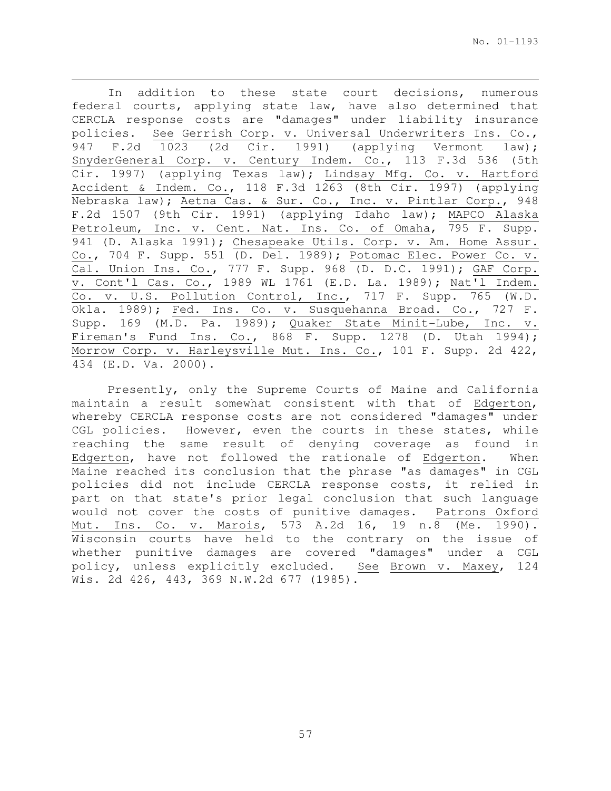In addition to these state court decisions, numerous federal courts, applying state law, have also determined that CERCLA response costs are "damages" under liability insurance policies. See Gerrish Corp. v. Universal Underwriters Ins. Co., 947 F.2d 1023 (2d Cir. 1991) (applying Vermont law); SnyderGeneral Corp. v. Century Indem. Co., 113 F.3d 536 (5th Cir. 1997) (applying Texas law); Lindsay Mfg. Co. v. Hartford Accident & Indem. Co., 118 F.3d 1263 (8th Cir. 1997) (applying Nebraska law); Aetna Cas. & Sur. Co., Inc. v. Pintlar Corp., 948 F.2d 1507 (9th Cir. 1991) (applying Idaho law); MAPCO Alaska Petroleum, Inc. v. Cent. Nat. Ins. Co. of Omaha, 795 F. Supp. 941 (D. Alaska 1991); Chesapeake Utils. Corp. v. Am. Home Assur. Co., 704 F. Supp. 551 (D. Del. 1989); Potomac Elec. Power Co. v. Cal. Union Ins. Co., 777 F. Supp. 968 (D. D.C. 1991); GAF Corp. v. Cont'l Cas. Co., 1989 WL 1761 (E.D. La. 1989); Nat'l Indem. Co. v. U.S. Pollution Control, Inc., 717 F. Supp. 765 (W.D. Okla. 1989); Fed. Ins. Co. v. Susquehanna Broad. Co., 727 F. Supp. 169 (M.D. Pa. 1989); Quaker State Minit-Lube, Inc. v. Fireman's Fund Ins. Co., 868 F. Supp. 1278 (D. Utah 1994); Morrow Corp. v. Harleysville Mut. Ins. Co., 101 F. Supp. 2d 422, 434 (E.D. Va. 2000).

l.

Presently, only the Supreme Courts of Maine and California maintain a result somewhat consistent with that of Edgerton, whereby CERCLA response costs are not considered "damages" under CGL policies. However, even the courts in these states, while reaching the same result of denying coverage as found in Edgerton, have not followed the rationale of Edgerton. When Maine reached its conclusion that the phrase "as damages" in CGL policies did not include CERCLA response costs, it relied in part on that state's prior legal conclusion that such language would not cover the costs of punitive damages. Patrons Oxford Mut. Ins. Co. v. Marois, 573 A.2d 16, 19 n.8 (Me. 1990). Wisconsin courts have held to the contrary on the issue of whether punitive damages are covered "damages" under a CGL policy, unless explicitly excluded. See Brown v. Maxey, 124 Wis. 2d 426, 443, 369 N.W.2d 677 (1985).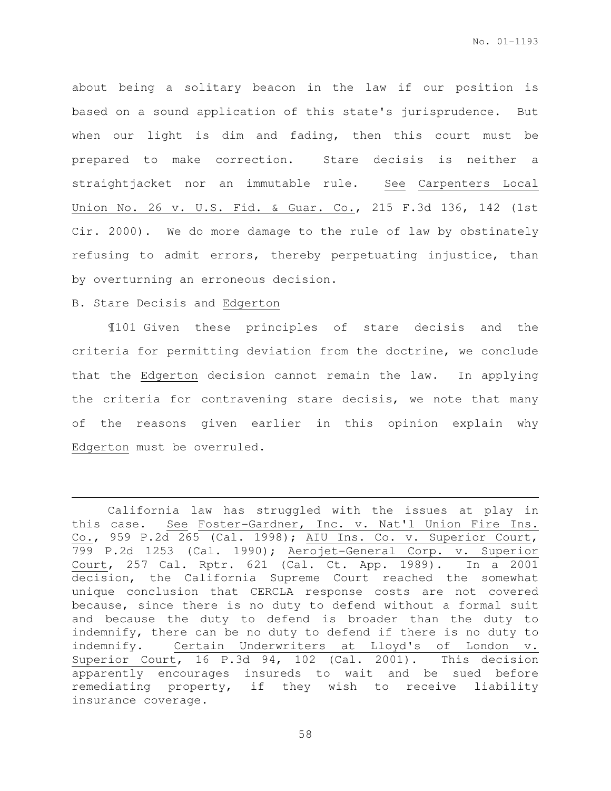about being a solitary beacon in the law if our position is based on a sound application of this state's jurisprudence. But when our light is dim and fading, then this court must be prepared to make correction. Stare decisis is neither a straightjacket nor an immutable rule. See Carpenters Local Union No. 26 v. U.S. Fid. & Guar. Co., 215 F.3d 136, 142 (1st Cir. 2000). We do more damage to the rule of law by obstinately refusing to admit errors, thereby perpetuating injustice, than by overturning an erroneous decision.

## B. Stare Decisis and Edgerton

 $\overline{a}$ 

¶101 Given these principles of stare decisis and the criteria for permitting deviation from the doctrine, we conclude that the Edgerton decision cannot remain the law. In applying the criteria for contravening stare decisis, we note that many of the reasons given earlier in this opinion explain why Edgerton must be overruled.

California law has struggled with the issues at play in this case. See Foster-Gardner, Inc. v. Nat'l Union Fire Ins. Co., 959 P.2d 265 (Cal. 1998); AIU Ins. Co. v. Superior Court, 799 P.2d 1253 (Cal. 1990); Aerojet-General Corp. v. Superior Court, 257 Cal. Rptr. 621 (Cal. Ct. App. 1989). In a 2001 decision, the California Supreme Court reached the somewhat unique conclusion that CERCLA response costs are not covered because, since there is no duty to defend without a formal suit and because the duty to defend is broader than the duty to indemnify, there can be no duty to defend if there is no duty to indemnify. Certain Underwriters at Lloyd's of London v. Superior Court, 16 P.3d 94, 102 (Cal. 2001). This decision apparently encourages insureds to wait and be sued before remediating property, if they wish to receive liability insurance coverage.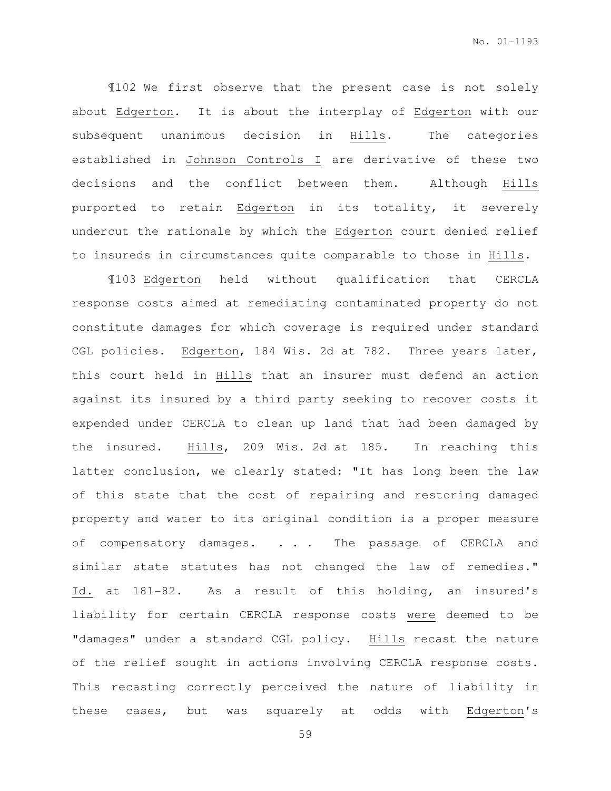¶102 We first observe that the present case is not solely about Edgerton. It is about the interplay of Edgerton with our subsequent unanimous decision in Hills. The categories established in Johnson Controls I are derivative of these two decisions and the conflict between them. Although Hills purported to retain Edgerton in its totality, it severely undercut the rationale by which the Edgerton court denied relief to insureds in circumstances quite comparable to those in Hills.

¶103 Edgerton held without qualification that CERCLA response costs aimed at remediating contaminated property do not constitute damages for which coverage is required under standard CGL policies. Edgerton, 184 Wis. 2d at 782. Three years later, this court held in Hills that an insurer must defend an action against its insured by a third party seeking to recover costs it expended under CERCLA to clean up land that had been damaged by the insured. Hills, 209 Wis. 2d at 185. In reaching this latter conclusion, we clearly stated: "It has long been the law of this state that the cost of repairing and restoring damaged property and water to its original condition is a proper measure of compensatory damages. . . . The passage of CERCLA and similar state statutes has not changed the law of remedies." Id. at 181-82. As a result of this holding, an insured's liability for certain CERCLA response costs were deemed to be "damages" under a standard CGL policy. Hills recast the nature of the relief sought in actions involving CERCLA response costs. This recasting correctly perceived the nature of liability in these cases, but was squarely at odds with Edgerton's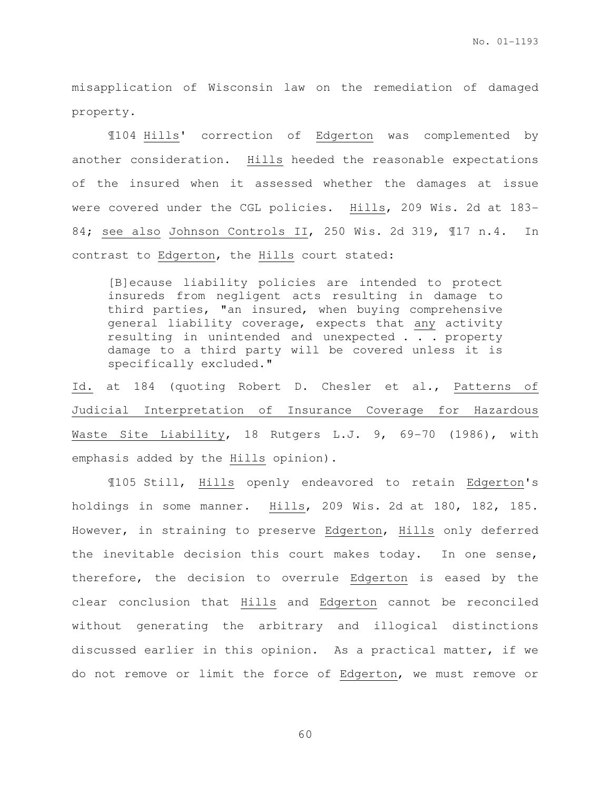misapplication of Wisconsin law on the remediation of damaged property.

¶104 Hills' correction of Edgerton was complemented by another consideration. Hills heeded the reasonable expectations of the insured when it assessed whether the damages at issue were covered under the CGL policies. Hills, 209 Wis. 2d at 183- 84; see also Johnson Controls II, 250 Wis. 2d 319, ¶17 n.4. In contrast to Edgerton, the Hills court stated:

[B]ecause liability policies are intended to protect insureds from negligent acts resulting in damage to third parties, "an insured, when buying comprehensive general liability coverage, expects that any activity resulting in unintended and unexpected . . . property damage to a third party will be covered unless it is specifically excluded."

Id. at 184 (quoting Robert D. Chesler et al., Patterns of Judicial Interpretation of Insurance Coverage for Hazardous Waste Site Liability, 18 Rutgers L.J. 9, 69-70 (1986), with emphasis added by the Hills opinion).

¶105 Still, Hills openly endeavored to retain Edgerton's holdings in some manner. Hills, 209 Wis. 2d at 180, 182, 185. However, in straining to preserve Edgerton, Hills only deferred the inevitable decision this court makes today. In one sense, therefore, the decision to overrule Edgerton is eased by the clear conclusion that Hills and Edgerton cannot be reconciled without generating the arbitrary and illogical distinctions discussed earlier in this opinion. As a practical matter, if we do not remove or limit the force of Edgerton, we must remove or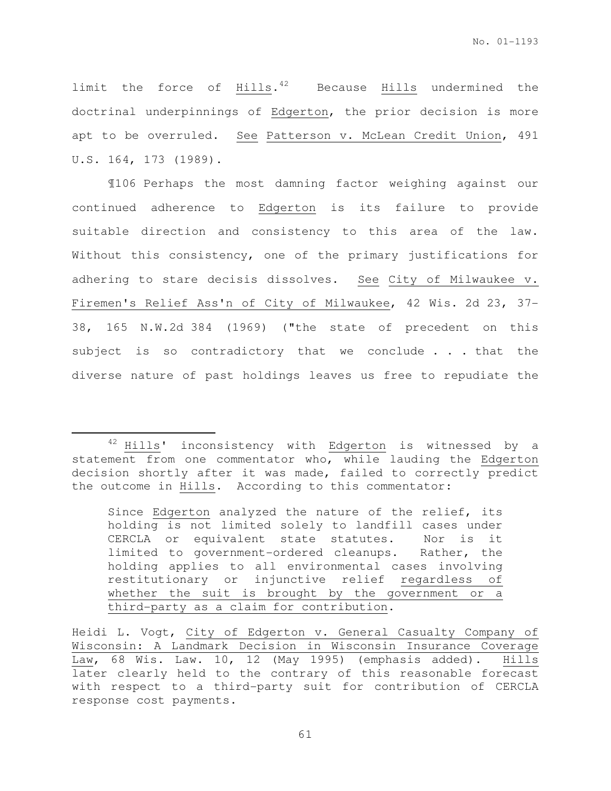limit the force of Hills.<sup>42</sup> Because Hills undermined the doctrinal underpinnings of Edgerton, the prior decision is more apt to be overruled. See Patterson v. McLean Credit Union, 491 U.S. 164, 173 (1989).

¶106 Perhaps the most damning factor weighing against our continued adherence to Edgerton is its failure to provide suitable direction and consistency to this area of the law. Without this consistency, one of the primary justifications for adhering to stare decisis dissolves. See City of Milwaukee v. Firemen's Relief Ass'n of City of Milwaukee, 42 Wis. 2d 23, 37- 38, 165 N.W.2d 384 (1969) ("the state of precedent on this subject is so contradictory that we conclude . . . that the diverse nature of past holdings leaves us free to repudiate the

l.

Since Edgerton analyzed the nature of the relief, its holding is not limited solely to landfill cases under CERCLA or equivalent state statutes. Nor is it limited to government-ordered cleanups. Rather, the holding applies to all environmental cases involving restitutionary or injunctive relief regardless of whether the suit is brought by the government or a third-party as a claim for contribution.

<sup>&</sup>lt;sup>42</sup> Hills' inconsistency with Edgerton is witnessed by a statement from one commentator who, while lauding the Edgerton decision shortly after it was made, failed to correctly predict the outcome in Hills. According to this commentator:

Heidi L. Vogt, City of Edgerton v. General Casualty Company of Wisconsin: A Landmark Decision in Wisconsin Insurance Coverage Law, 68 Wis. Law. 10, 12 (May 1995) (emphasis added). Hills later clearly held to the contrary of this reasonable forecast with respect to a third-party suit for contribution of CERCLA response cost payments.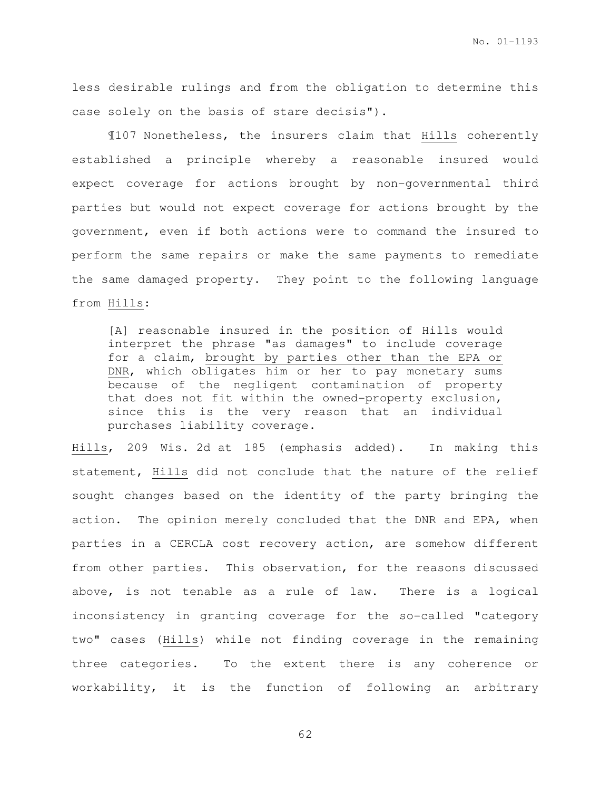less desirable rulings and from the obligation to determine this case solely on the basis of stare decisis").

¶107 Nonetheless, the insurers claim that Hills coherently established a principle whereby a reasonable insured would expect coverage for actions brought by non-governmental third parties but would not expect coverage for actions brought by the government, even if both actions were to command the insured to perform the same repairs or make the same payments to remediate the same damaged property. They point to the following language from Hills:

[A] reasonable insured in the position of Hills would interpret the phrase "as damages" to include coverage for a claim, brought by parties other than the EPA or DNR, which obligates him or her to pay monetary sums because of the negligent contamination of property that does not fit within the owned-property exclusion, since this is the very reason that an individual purchases liability coverage.

Hills, 209 Wis. 2d at 185 (emphasis added). In making this statement, Hills did not conclude that the nature of the relief sought changes based on the identity of the party bringing the action. The opinion merely concluded that the DNR and EPA, when parties in a CERCLA cost recovery action, are somehow different from other parties. This observation, for the reasons discussed above, is not tenable as a rule of law. There is a logical inconsistency in granting coverage for the so-called "category two" cases (Hills) while not finding coverage in the remaining three categories. To the extent there is any coherence or workability, it is the function of following an arbitrary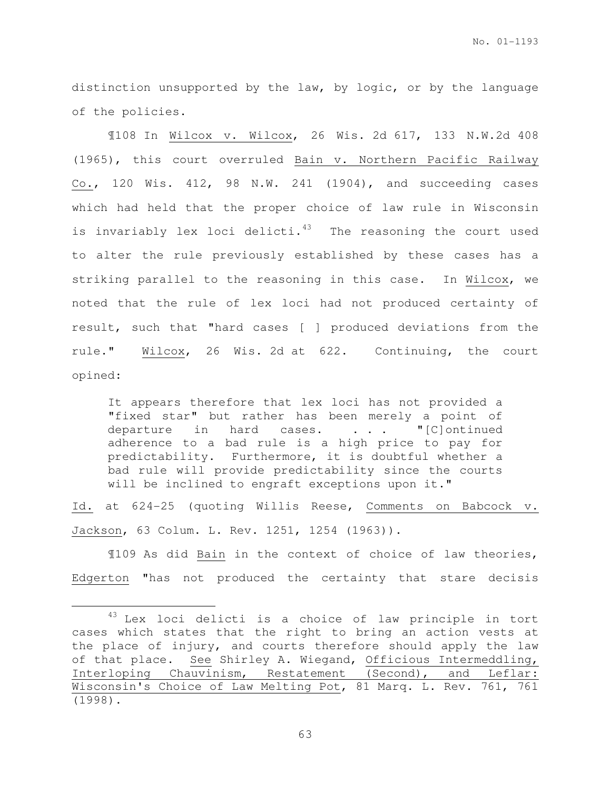distinction unsupported by the law, by logic, or by the language of the policies.

¶108 In Wilcox v. Wilcox, 26 Wis. 2d 617, 133 N.W.2d 408 (1965), this court overruled Bain v. Northern Pacific Railway Co., 120 Wis. 412, 98 N.W. 241 (1904), and succeeding cases which had held that the proper choice of law rule in Wisconsin is invariably lex loci delicti. $43$  The reasoning the court used to alter the rule previously established by these cases has a striking parallel to the reasoning in this case. In Wilcox, we noted that the rule of lex loci had not produced certainty of result, such that "hard cases [ ] produced deviations from the rule." Wilcox, 26 Wis. 2d at 622. Continuing, the court opined:

It appears therefore that lex loci has not provided a "fixed star" but rather has been merely a point of departure in hard cases. . . . "[C]ontinued adherence to a bad rule is a high price to pay for predictability. Furthermore, it is doubtful whether a bad rule will provide predictability since the courts will be inclined to engraft exceptions upon it."

Id. at 624-25 (quoting Willis Reese, Comments on Babcock v. Jackson, 63 Colum. L. Rev. 1251, 1254 (1963)).

¶109 As did Bain in the context of choice of law theories, Edgerton "has not produced the certainty that stare decisis

 $\overline{a}$ 

<sup>&</sup>lt;sup>43</sup> Lex loci delicti is a choice of law principle in tort cases which states that the right to bring an action vests at the place of injury, and courts therefore should apply the law of that place. See Shirley A. Wiegand, Officious Intermeddling, Interloping Chauvinism, Restatement (Second), and Leflar: Wisconsin's Choice of Law Melting Pot, 81 Marq. L. Rev. 761, 761 (1998).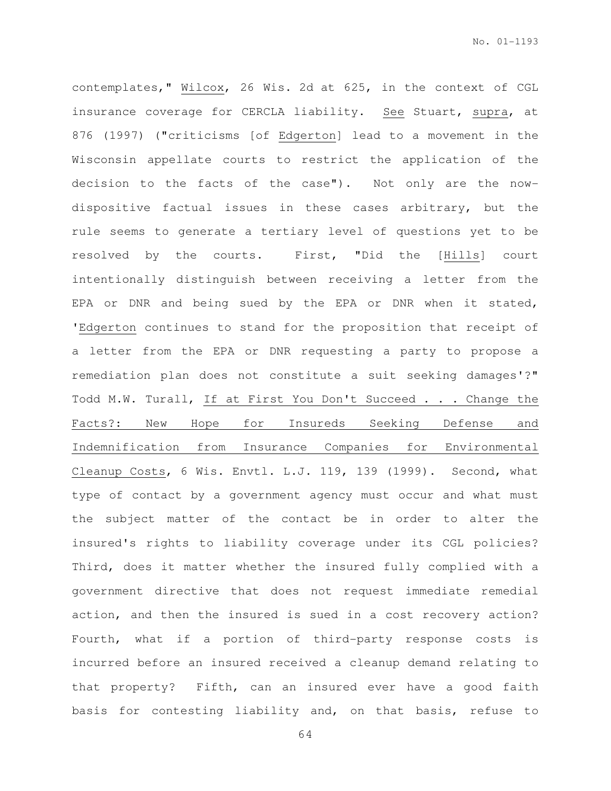contemplates," Wilcox, 26 Wis. 2d at 625, in the context of CGL insurance coverage for CERCLA liability. See Stuart, supra, at 876 (1997) ("criticisms [of Edgerton] lead to a movement in the Wisconsin appellate courts to restrict the application of the decision to the facts of the case"). Not only are the nowdispositive factual issues in these cases arbitrary, but the rule seems to generate a tertiary level of questions yet to be resolved by the courts. First, "Did the [Hills] court intentionally distinguish between receiving a letter from the EPA or DNR and being sued by the EPA or DNR when it stated, 'Edgerton continues to stand for the proposition that receipt of a letter from the EPA or DNR requesting a party to propose a remediation plan does not constitute a suit seeking damages'?" Todd M.W. Turall, If at First You Don't Succeed . . . Change the Facts?: New Hope for Insureds Seeking Defense and Indemnification from Insurance Companies for Environmental Cleanup Costs, 6 Wis. Envtl. L.J. 119, 139 (1999). Second, what type of contact by a government agency must occur and what must the subject matter of the contact be in order to alter the insured's rights to liability coverage under its CGL policies? Third, does it matter whether the insured fully complied with a government directive that does not request immediate remedial action, and then the insured is sued in a cost recovery action? Fourth, what if a portion of third-party response costs is incurred before an insured received a cleanup demand relating to that property? Fifth, can an insured ever have a good faith basis for contesting liability and, on that basis, refuse to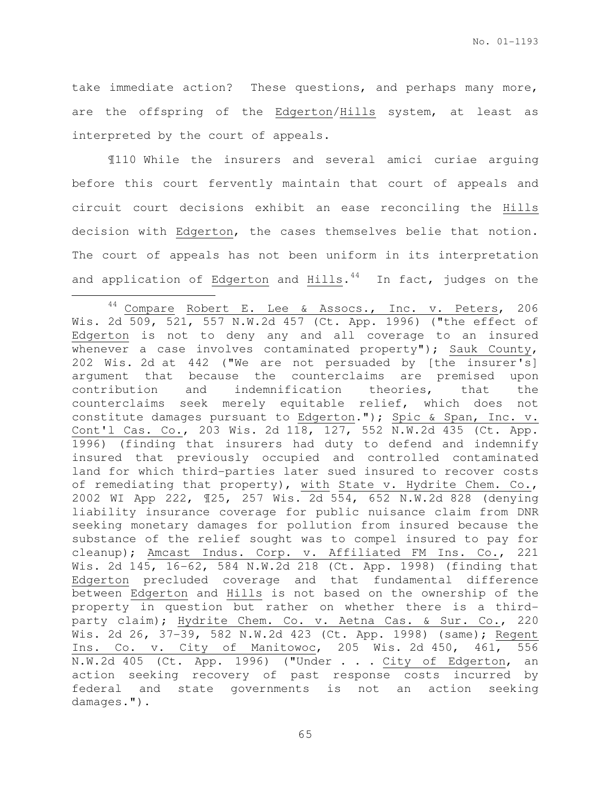take immediate action? These questions, and perhaps many more, are the offspring of the Edgerton/Hills system, at least as interpreted by the court of appeals.

¶110 While the insurers and several amici curiae arguing before this court fervently maintain that court of appeals and circuit court decisions exhibit an ease reconciling the Hills decision with Edgerton, the cases themselves belie that notion. The court of appeals has not been uniform in its interpretation and application of Edgerton and Hills.<sup>44</sup> In fact, judges on the

l.

<sup>44</sup> Compare Robert E. Lee & Assocs., Inc. v. Peters, 206 Wis. 2d 509, 521, 557 N.W.2d 457 (Ct. App. 1996) ("the effect of Edgerton is not to deny any and all coverage to an insured whenever a case involves contaminated property"); Sauk County, 202 Wis. 2d at 442 ("We are not persuaded by [the insurer's] argument that because the counterclaims are premised upon contribution and indemnification theories, that the counterclaims seek merely equitable relief, which does not constitute damages pursuant to Edgerton."); Spic & Span, Inc. v. Cont'l Cas. Co., 203 Wis. 2d 118, 127, 552 N.W.2d 435 (Ct. App. 1996) (finding that insurers had duty to defend and indemnify insured that previously occupied and controlled contaminated land for which third-parties later sued insured to recover costs of remediating that property), with State v. Hydrite Chem. Co., 2002 WI App 222, ¶25, 257 Wis. 2d 554, 652 N.W.2d 828 (denying liability insurance coverage for public nuisance claim from DNR seeking monetary damages for pollution from insured because the substance of the relief sought was to compel insured to pay for cleanup); Amcast Indus. Corp. v. Affiliated FM Ins. Co., 221 Wis. 2d 145, 16-62, 584 N.W.2d 218 (Ct. App. 1998) (finding that Edgerton precluded coverage and that fundamental difference between Edgerton and Hills is not based on the ownership of the property in question but rather on whether there is a thirdparty claim); Hydrite Chem. Co. v. Aetna Cas. & Sur. Co., 220 Wis. 2d 26, 37-39, 582 N.W.2d 423 (Ct. App. 1998) (same); Regent Ins. Co. v. City of Manitowoc, 205 Wis. 2d 450, 461, 556 N.W.2d 405 (Ct. App. 1996) ("Under . . . City of Edgerton, an action seeking recovery of past response costs incurred by federal and state governments is not an action seeking damages.").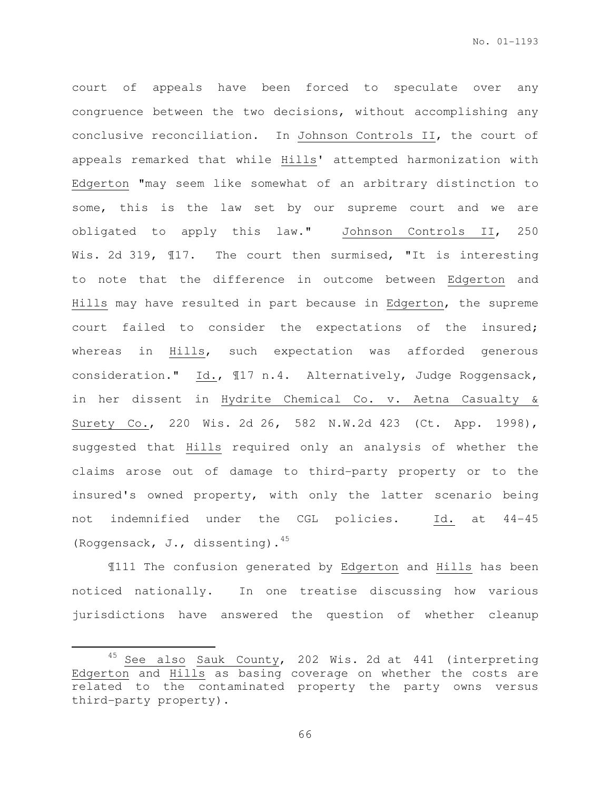court of appeals have been forced to speculate over any congruence between the two decisions, without accomplishing any conclusive reconciliation. In Johnson Controls II, the court of appeals remarked that while Hills' attempted harmonization with Edgerton "may seem like somewhat of an arbitrary distinction to some, this is the law set by our supreme court and we are obligated to apply this law." Johnson Controls II, 250 Wis. 2d 319,  $\text{I17.}$  The court then surmised, "It is interesting to note that the difference in outcome between Edgerton and Hills may have resulted in part because in Edgerton, the supreme court failed to consider the expectations of the insured; whereas in Hills, such expectation was afforded generous consideration." Id., ¶17 n.4. Alternatively, Judge Roggensack, in her dissent in Hydrite Chemical Co. v. Aetna Casualty & Surety Co., 220 Wis. 2d 26, 582 N.W.2d 423 (Ct. App. 1998), suggested that Hills required only an analysis of whether the claims arose out of damage to third-party property or to the insured's owned property, with only the latter scenario being not indemnified under the CGL policies. Id. at 44-45 (Roggensack, J., dissenting).<sup>45</sup>

¶111 The confusion generated by Edgerton and Hills has been noticed nationally. In one treatise discussing how various jurisdictions have answered the question of whether cleanup

 $\overline{a}$ 

<sup>&</sup>lt;sup>45</sup> See also Sauk County, 202 Wis. 2d at 441 (interpreting Edgerton and Hills as basing coverage on whether the costs are related to the contaminated property the party owns versus third-party property).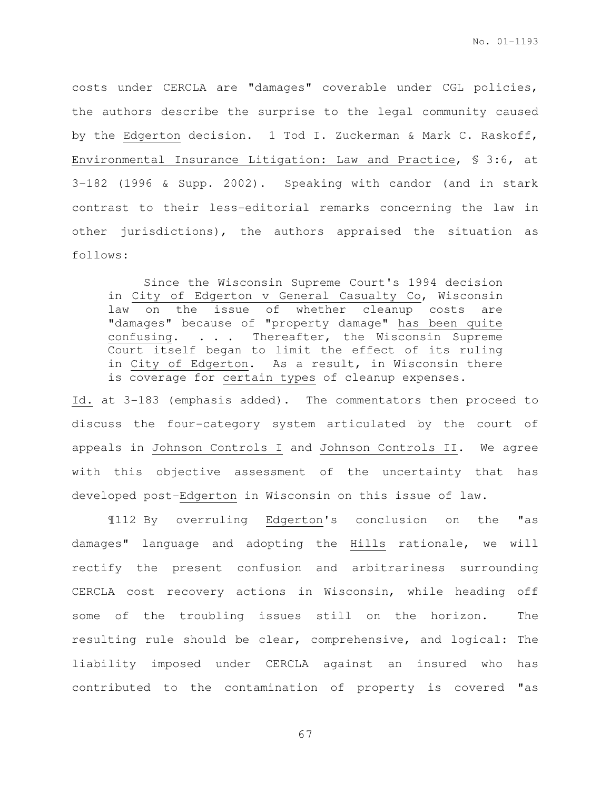costs under CERCLA are "damages" coverable under CGL policies, the authors describe the surprise to the legal community caused by the Edgerton decision. 1 Tod I. Zuckerman & Mark C. Raskoff, Environmental Insurance Litigation: Law and Practice, § 3:6, at 3-182 (1996 & Supp. 2002). Speaking with candor (and in stark contrast to their less-editorial remarks concerning the law in other jurisdictions), the authors appraised the situation as follows:

Since the Wisconsin Supreme Court's 1994 decision in City of Edgerton v General Casualty Co, Wisconsin law on the issue of whether cleanup costs are "damages" because of "property damage" has been quite confusing. . . . Thereafter, the Wisconsin Supreme Court itself began to limit the effect of its ruling in City of Edgerton. As a result, in Wisconsin there is coverage for certain types of cleanup expenses.

Id. at 3-183 (emphasis added). The commentators then proceed to discuss the four-category system articulated by the court of appeals in Johnson Controls I and Johnson Controls II. We agree with this objective assessment of the uncertainty that has developed post-Edgerton in Wisconsin on this issue of law.

¶112 By overruling Edgerton's conclusion on the "as damages" language and adopting the Hills rationale, we will rectify the present confusion and arbitrariness surrounding CERCLA cost recovery actions in Wisconsin, while heading off some of the troubling issues still on the horizon. The resulting rule should be clear, comprehensive, and logical: The liability imposed under CERCLA against an insured who has contributed to the contamination of property is covered "as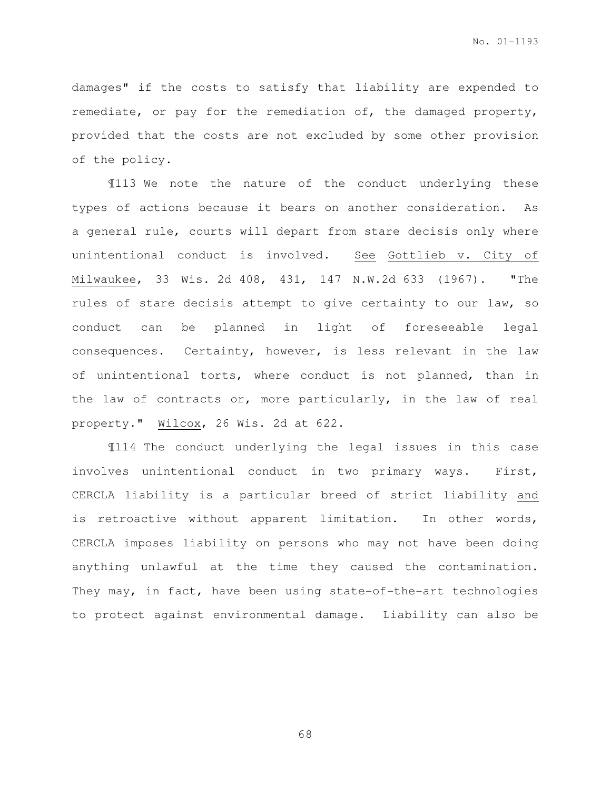damages" if the costs to satisfy that liability are expended to remediate, or pay for the remediation of, the damaged property, provided that the costs are not excluded by some other provision of the policy.

¶113 We note the nature of the conduct underlying these types of actions because it bears on another consideration. As a general rule, courts will depart from stare decisis only where unintentional conduct is involved. See Gottlieb v. City of Milwaukee, 33 Wis. 2d 408, 431, 147 N.W.2d 633 (1967). "The rules of stare decisis attempt to give certainty to our law, so conduct can be planned in light of foreseeable legal consequences. Certainty, however, is less relevant in the law of unintentional torts, where conduct is not planned, than in the law of contracts or, more particularly, in the law of real property." Wilcox, 26 Wis. 2d at 622.

¶114 The conduct underlying the legal issues in this case involves unintentional conduct in two primary ways. First, CERCLA liability is a particular breed of strict liability and is retroactive without apparent limitation. In other words, CERCLA imposes liability on persons who may not have been doing anything unlawful at the time they caused the contamination. They may, in fact, have been using state-of-the-art technologies to protect against environmental damage. Liability can also be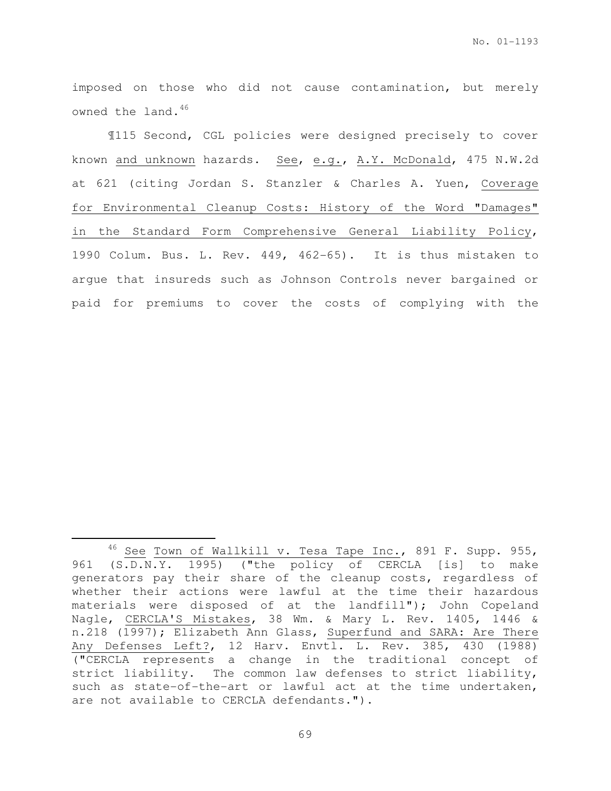imposed on those who did not cause contamination, but merely owned the land.<sup>46</sup>

¶115 Second, CGL policies were designed precisely to cover known and unknown hazards. See, e.g., A.Y. McDonald, 475 N.W.2d at 621 (citing Jordan S. Stanzler & Charles A. Yuen, Coverage for Environmental Cleanup Costs: History of the Word "Damages" in the Standard Form Comprehensive General Liability Policy, 1990 Colum. Bus. L. Rev. 449, 462-65). It is thus mistaken to argue that insureds such as Johnson Controls never bargained or paid for premiums to cover the costs of complying with the

 $\overline{a}$ 

 $46$  See Town of Wallkill v. Tesa Tape Inc., 891 F. Supp. 955, 961 (S.D.N.Y. 1995) ("the policy of CERCLA [is] to make generators pay their share of the cleanup costs, regardless of whether their actions were lawful at the time their hazardous materials were disposed of at the landfill"); John Copeland Nagle, CERCLA'S Mistakes, 38 Wm. & Mary L. Rev. 1405, 1446 & n.218 (1997); Elizabeth Ann Glass, Superfund and SARA: Are There Any Defenses Left?, 12 Harv. Envtl. L. Rev. 385, 430 (1988) ("CERCLA represents a change in the traditional concept of strict liability. The common law defenses to strict liability, such as state-of-the-art or lawful act at the time undertaken, are not available to CERCLA defendants.").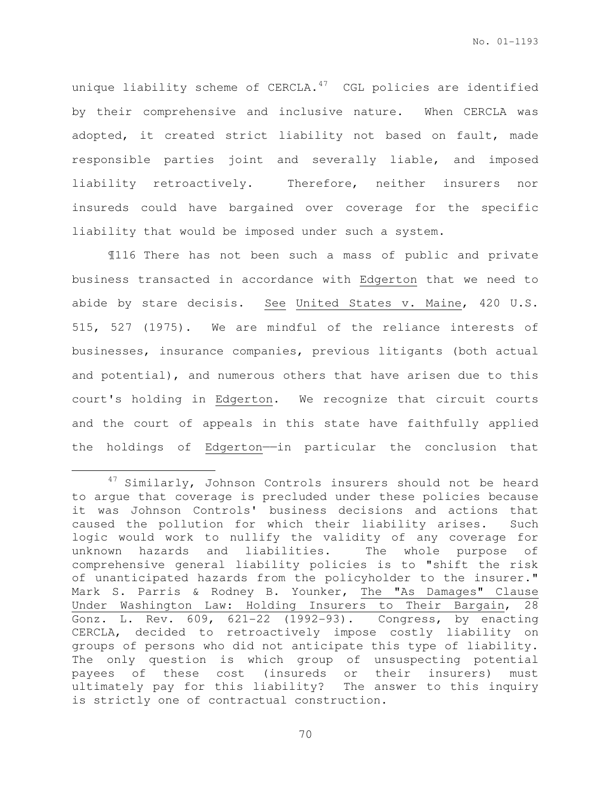unique liability scheme of  $CERCLA.$ <sup>47</sup> CGL policies are identified by their comprehensive and inclusive nature. When CERCLA was adopted, it created strict liability not based on fault, made responsible parties joint and severally liable, and imposed liability retroactively. Therefore, neither insurers nor insureds could have bargained over coverage for the specific liability that would be imposed under such a system.

¶116 There has not been such a mass of public and private business transacted in accordance with Edgerton that we need to abide by stare decisis. See United States v. Maine, 420 U.S. 515, 527 (1975). We are mindful of the reliance interests of businesses, insurance companies, previous litigants (both actual and potential), and numerous others that have arisen due to this court's holding in Edgerton. We recognize that circuit courts and the court of appeals in this state have faithfully applied the holdings of Edgerton-in particular the conclusion that

l.

<sup>&</sup>lt;sup>47</sup> Similarly, Johnson Controls insurers should not be heard to argue that coverage is precluded under these policies because it was Johnson Controls' business decisions and actions that caused the pollution for which their liability arises. Such logic would work to nullify the validity of any coverage for unknown hazards and liabilities. The whole purpose of comprehensive general liability policies is to "shift the risk of unanticipated hazards from the policyholder to the insurer." Mark S. Parris & Rodney B. Younker, The "As Damages" Clause Under Washington Law: Holding Insurers to Their Bargain, 28 Gonz. L. Rev. 609, 621-22 (1992-93). Congress, by enacting CERCLA, decided to retroactively impose costly liability on groups of persons who did not anticipate this type of liability. The only question is which group of unsuspecting potential payees of these cost (insureds or their insurers) must ultimately pay for this liability? The answer to this inquiry is strictly one of contractual construction.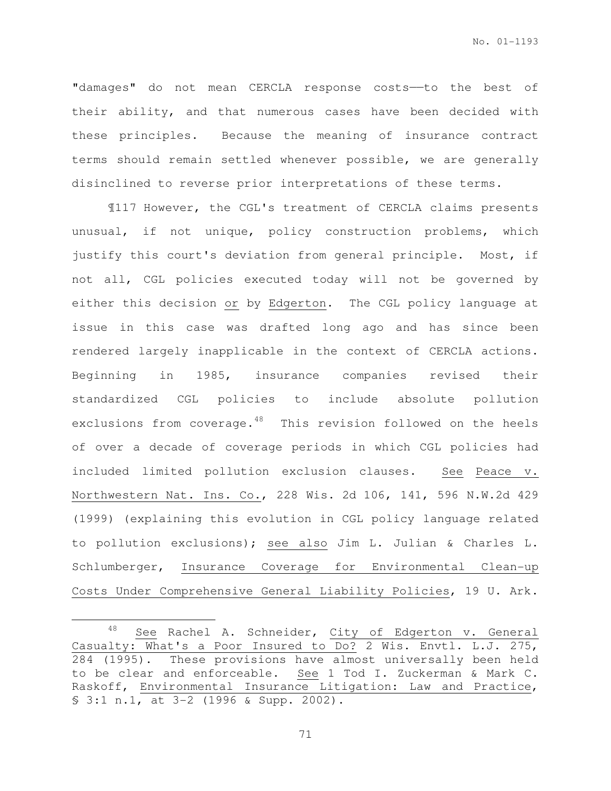"damages" do not mean CERCLA response costs——to the best of their ability, and that numerous cases have been decided with these principles. Because the meaning of insurance contract terms should remain settled whenever possible, we are generally disinclined to reverse prior interpretations of these terms.

¶117 However, the CGL's treatment of CERCLA claims presents unusual, if not unique, policy construction problems, which justify this court's deviation from general principle. Most, if not all, CGL policies executed today will not be governed by either this decision or by Edgerton. The CGL policy language at issue in this case was drafted long ago and has since been rendered largely inapplicable in the context of CERCLA actions. Beginning in 1985, insurance companies revised their standardized CGL policies to include absolute pollution exclusions from coverage.<sup>48</sup> This revision followed on the heels of over a decade of coverage periods in which CGL policies had included limited pollution exclusion clauses. See Peace v. Northwestern Nat. Ins. Co., 228 Wis. 2d 106, 141, 596 N.W.2d 429 (1999) (explaining this evolution in CGL policy language related to pollution exclusions); see also Jim L. Julian & Charles L. Schlumberger, Insurance Coverage for Environmental Clean-up Costs Under Comprehensive General Liability Policies, 19 U. Ark.

l.

<sup>48</sup> See Rachel A. Schneider, City of Edgerton v. General Casualty: What's a Poor Insured to Do? 2 Wis. Envtl. L.J. 275, 284 (1995). These provisions have almost universally been held to be clear and enforceable. See 1 Tod I. Zuckerman & Mark C. Raskoff, Environmental Insurance Litigation: Law and Practice, § 3:1 n.1, at 3-2 (1996 & Supp. 2002).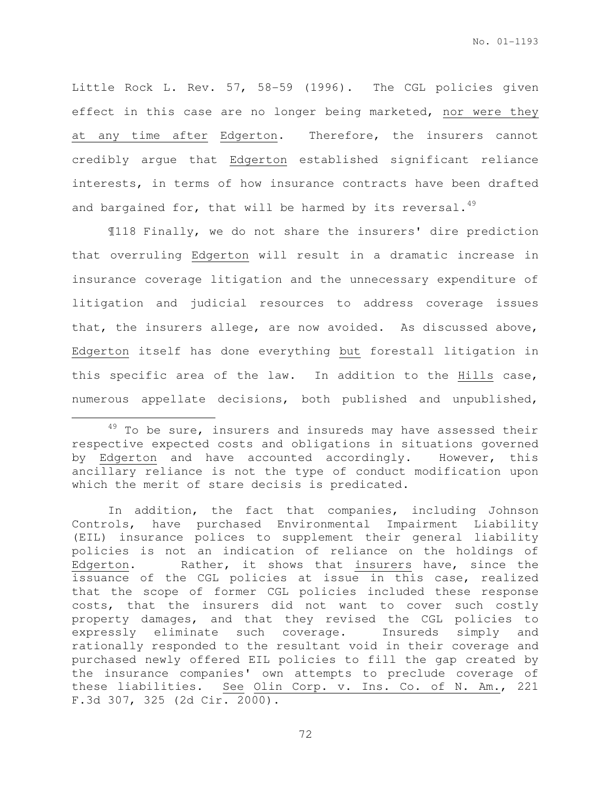Little Rock L. Rev. 57, 58-59 (1996). The CGL policies given effect in this case are no longer being marketed, nor were they at any time after Edgerton. Therefore, the insurers cannot credibly argue that Edgerton established significant reliance interests, in terms of how insurance contracts have been drafted and bargained for, that will be harmed by its reversal.  $49$ 

¶118 Finally, we do not share the insurers' dire prediction that overruling Edgerton will result in a dramatic increase in insurance coverage litigation and the unnecessary expenditure of litigation and judicial resources to address coverage issues that, the insurers allege, are now avoided. As discussed above, Edgerton itself has done everything but forestall litigation in this specific area of the law. In addition to the Hills case, numerous appellate decisions, both published and unpublished,

 $49$  To be sure, insurers and insureds may have assessed their respective expected costs and obligations in situations governed by Edgerton and have accounted accordingly. However, this ancillary reliance is not the type of conduct modification upon which the merit of stare decisis is predicated.

In addition, the fact that companies, including Johnson Controls, have purchased Environmental Impairment Liability (EIL) insurance polices to supplement their general liability policies is not an indication of reliance on the holdings of Edgerton. Rather, it shows that insurers have, since the issuance of the CGL policies at issue in this case, realized that the scope of former CGL policies included these response costs, that the insurers did not want to cover such costly property damages, and that they revised the CGL policies to expressly eliminate such coverage. Insureds simply and rationally responded to the resultant void in their coverage and purchased newly offered EIL policies to fill the gap created by the insurance companies' own attempts to preclude coverage of these liabilities. See Olin Corp. v. Ins. Co. of N. Am., 221 F.3d 307, 325 (2d Cir. 2000).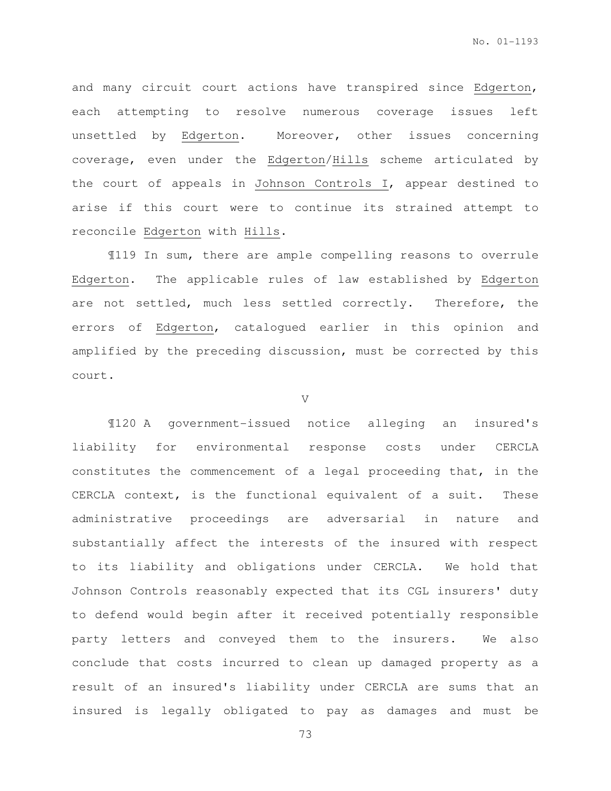and many circuit court actions have transpired since Edgerton, each attempting to resolve numerous coverage issues left unsettled by Edgerton. Moreover, other issues concerning coverage, even under the Edgerton/Hills scheme articulated by the court of appeals in Johnson Controls I, appear destined to arise if this court were to continue its strained attempt to reconcile Edgerton with Hills.

¶119 In sum, there are ample compelling reasons to overrule Edgerton. The applicable rules of law established by Edgerton are not settled, much less settled correctly. Therefore, the errors of Edgerton, catalogued earlier in this opinion and amplified by the preceding discussion, must be corrected by this court.

V

¶120 A government-issued notice alleging an insured's liability for environmental response costs under CERCLA constitutes the commencement of a legal proceeding that, in the CERCLA context, is the functional equivalent of a suit. These administrative proceedings are adversarial in nature and substantially affect the interests of the insured with respect to its liability and obligations under CERCLA. We hold that Johnson Controls reasonably expected that its CGL insurers' duty to defend would begin after it received potentially responsible party letters and conveyed them to the insurers. We also conclude that costs incurred to clean up damaged property as a result of an insured's liability under CERCLA are sums that an insured is legally obligated to pay as damages and must be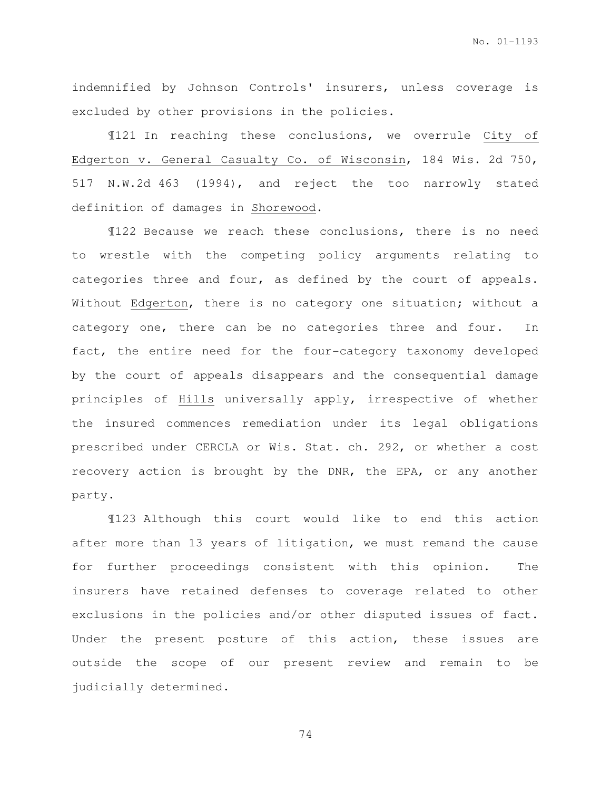indemnified by Johnson Controls' insurers, unless coverage is excluded by other provisions in the policies.

¶121 In reaching these conclusions, we overrule City of Edgerton v. General Casualty Co. of Wisconsin, 184 Wis. 2d 750, 517 N.W.2d 463 (1994), and reject the too narrowly stated definition of damages in Shorewood.

¶122 Because we reach these conclusions, there is no need to wrestle with the competing policy arguments relating to categories three and four, as defined by the court of appeals. Without Edgerton, there is no category one situation; without a category one, there can be no categories three and four. In fact, the entire need for the four-category taxonomy developed by the court of appeals disappears and the consequential damage principles of Hills universally apply, irrespective of whether the insured commences remediation under its legal obligations prescribed under CERCLA or Wis. Stat. ch. 292, or whether a cost recovery action is brought by the DNR, the EPA, or any another party.

¶123 Although this court would like to end this action after more than 13 years of litigation, we must remand the cause for further proceedings consistent with this opinion. The insurers have retained defenses to coverage related to other exclusions in the policies and/or other disputed issues of fact. Under the present posture of this action, these issues are outside the scope of our present review and remain to be judicially determined.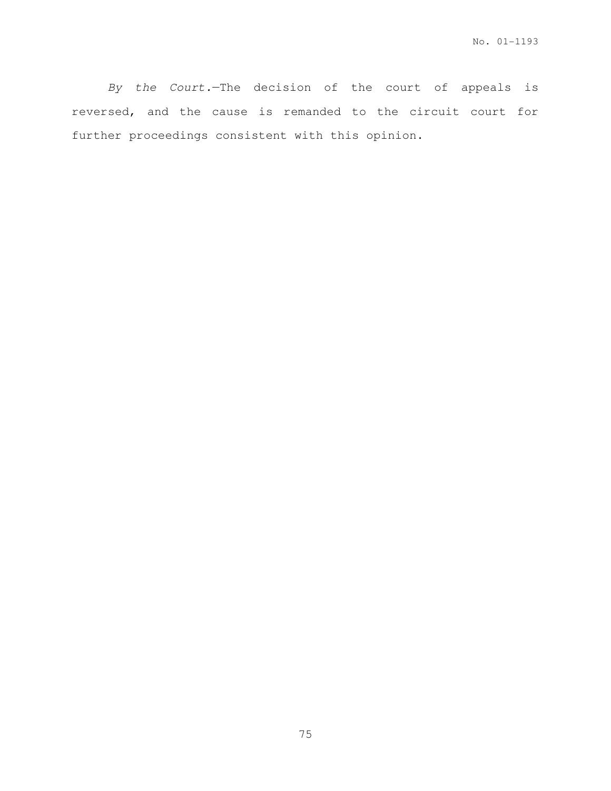By the Court.—The decision of the court of appeals is reversed, and the cause is remanded to the circuit court for further proceedings consistent with this opinion.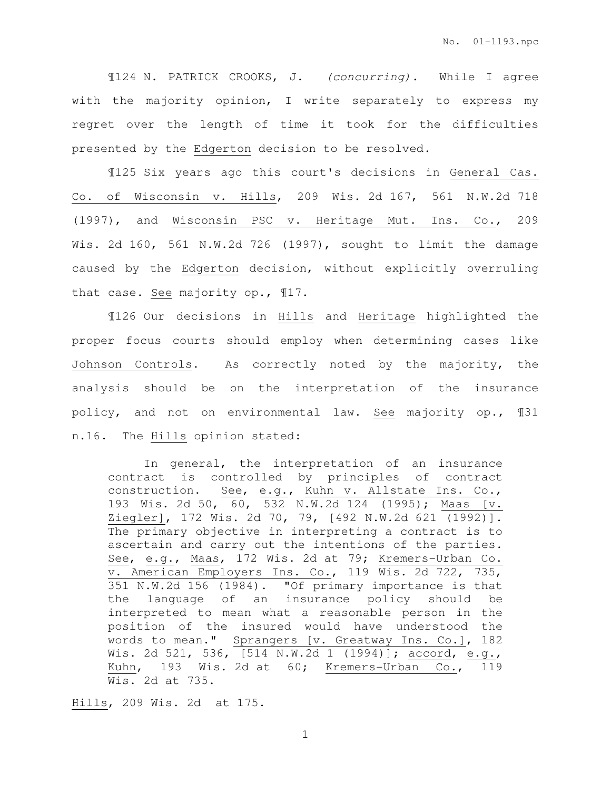¶124 N. PATRICK CROOKS, J. (concurring). While I agree with the majority opinion, I write separately to express my regret over the length of time it took for the difficulties presented by the Edgerton decision to be resolved.

¶125 Six years ago this court's decisions in General Cas. Co. of Wisconsin v. Hills, 209 Wis. 2d 167, 561 N.W.2d 718 (1997), and Wisconsin PSC v. Heritage Mut. Ins. Co., 209 Wis. 2d 160, 561 N.W.2d 726 (1997), sought to limit the damage caused by the Edgerton decision, without explicitly overruling that case. See majority op., ¶17.

¶126 Our decisions in Hills and Heritage highlighted the proper focus courts should employ when determining cases like Johnson Controls. As correctly noted by the majority, the analysis should be on the interpretation of the insurance policy, and not on environmental law. See majority op., ¶31 n.16. The Hills opinion stated:

In general, the interpretation of an insurance contract is controlled by principles of contract construction. See, e.g., Kuhn v. Allstate Ins. Co., 193 Wis. 2d 50, 60, 532 N.W.2d 124 (1995); Maas [v. Ziegler], 172 Wis. 2d 70, 79, [492 N.W.2d 621 (1992)]. The primary objective in interpreting a contract is to ascertain and carry out the intentions of the parties. See, e.g., Maas, 172 Wis. 2d at 79; Kremers-Urban Co. v. American Employers Ins. Co., 119 Wis. 2d 722, 735, 351 N.W.2d 156 (1984). "Of primary importance is that the language of an insurance policy should be interpreted to mean what a reasonable person in the position of the insured would have understood the words to mean." Sprangers [v. Greatway Ins. Co.], 182 Wis. 2d 521, 536, [514 N.W.2d 1 (1994)]; accord, e.g., Kuhn, 193 Wis. 2d at 60; Kremers-Urban Co., 119 Wis. 2d at 735.

Hills, 209 Wis. 2d at 175.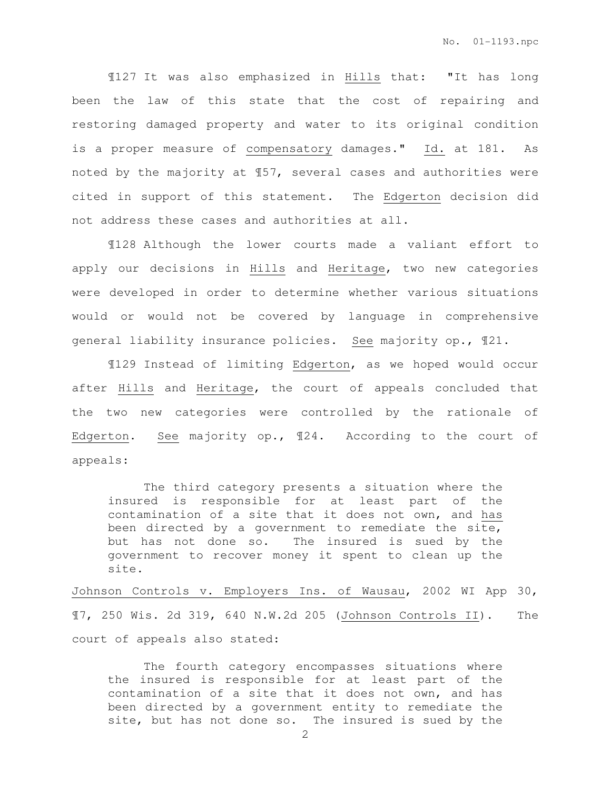¶127 It was also emphasized in Hills that: "It has long been the law of this state that the cost of repairing and restoring damaged property and water to its original condition is a proper measure of compensatory damages." Id. at 181. As noted by the majority at ¶57, several cases and authorities were cited in support of this statement. The Edgerton decision did not address these cases and authorities at all.

¶128 Although the lower courts made a valiant effort to apply our decisions in Hills and Heritage, two new categories were developed in order to determine whether various situations would or would not be covered by language in comprehensive general liability insurance policies. See majority op., ¶21.

¶129 Instead of limiting Edgerton, as we hoped would occur after Hills and Heritage, the court of appeals concluded that the two new categories were controlled by the rationale of Edgerton. See majority op., ¶24. According to the court of appeals:

The third category presents a situation where the insured is responsible for at least part of the contamination of a site that it does not own, and has been directed by a government to remediate the site, but has not done so. The insured is sued by the government to recover money it spent to clean up the site.

Johnson Controls v. Employers Ins. of Wausau, 2002 WI App 30, ¶7, 250 Wis. 2d 319, 640 N.W.2d 205 (Johnson Controls II). The court of appeals also stated:

The fourth category encompasses situations where the insured is responsible for at least part of the contamination of a site that it does not own, and has been directed by a government entity to remediate the site, but has not done so. The insured is sued by the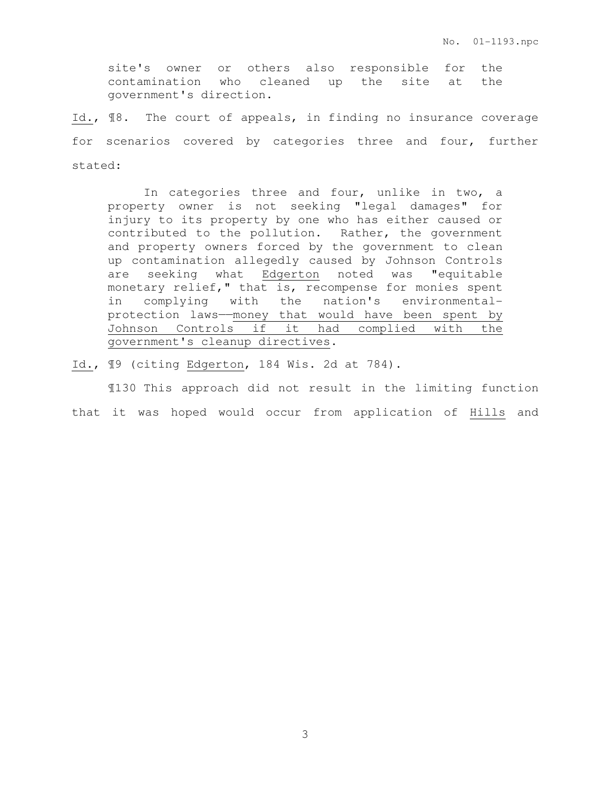site's owner or others also responsible for the contamination who cleaned up the site at the government's direction.

Id., ¶8. The court of appeals, in finding no insurance coverage for scenarios covered by categories three and four, further stated:

In categories three and four, unlike in two, a property owner is not seeking "legal damages" for injury to its property by one who has either caused or contributed to the pollution. Rather, the government and property owners forced by the government to clean up contamination allegedly caused by Johnson Controls are seeking what Edgerton noted was "equitable monetary relief," that is, recompense for monies spent in complying with the nation's environmentalprotection laws——money that would have been spent by Johnson Controls if it had complied with the government's cleanup directives.

Id., ¶9 (citing Edgerton, 184 Wis. 2d at 784).

¶130 This approach did not result in the limiting function that it was hoped would occur from application of Hills and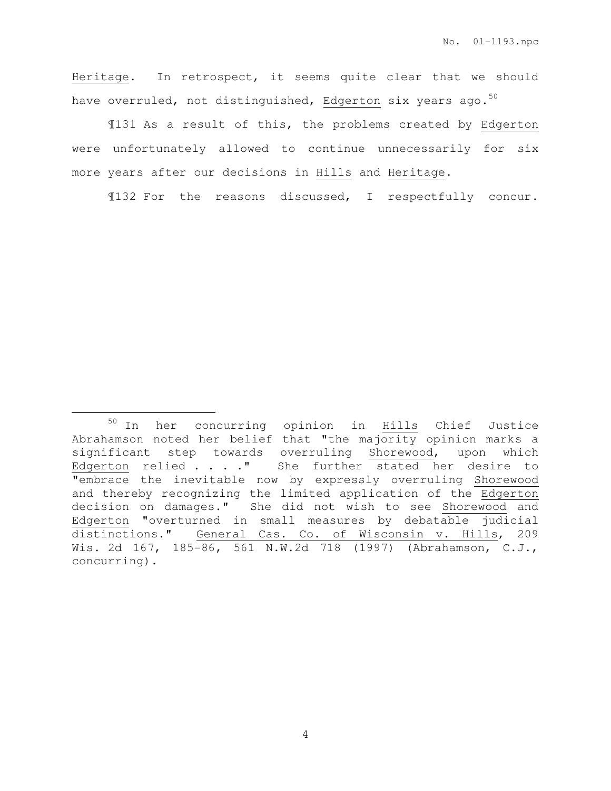Heritage. In retrospect, it seems quite clear that we should have overruled, not distinguished, Edgerton six years ago. $50$ 

¶131 As a result of this, the problems created by Edgerton were unfortunately allowed to continue unnecessarily for six more years after our decisions in Hills and Heritage.

¶132 For the reasons discussed, I respectfully concur.

<sup>&</sup>lt;sup>50</sup> In her concurring opinion in **Hills** Chief Justice Abrahamson noted her belief that "the majority opinion marks a significant step towards overruling Shorewood, upon which Edgerton relied . . . . " She further stated her desire to "embrace the inevitable now by expressly overruling Shorewood and thereby recognizing the limited application of the Edgerton decision on damages." She did not wish to see Shorewood and Edgerton "overturned in small measures by debatable judicial distinctions." General Cas. Co. of Wisconsin v. Hills, 209 Wis. 2d 167, 185-86, 561 N.W.2d 718 (1997) (Abrahamson, C.J., concurring).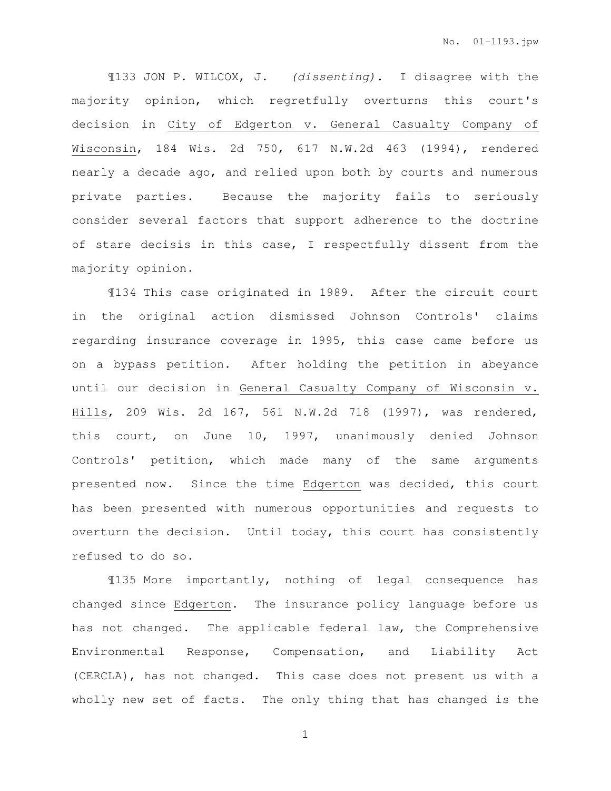¶133 JON P. WILCOX, J. (dissenting). I disagree with the majority opinion, which regretfully overturns this court's decision in City of Edgerton v. General Casualty Company of Wisconsin, 184 Wis. 2d 750, 617 N.W.2d 463 (1994), rendered nearly a decade ago, and relied upon both by courts and numerous private parties. Because the majority fails to seriously consider several factors that support adherence to the doctrine of stare decisis in this case, I respectfully dissent from the majority opinion.

¶134 This case originated in 1989. After the circuit court in the original action dismissed Johnson Controls' claims regarding insurance coverage in 1995, this case came before us on a bypass petition. After holding the petition in abeyance until our decision in General Casualty Company of Wisconsin v. Hills, 209 Wis. 2d 167, 561 N.W.2d 718 (1997), was rendered, this court, on June 10, 1997, unanimously denied Johnson Controls' petition, which made many of the same arguments presented now. Since the time Edgerton was decided, this court has been presented with numerous opportunities and requests to overturn the decision. Until today, this court has consistently refused to do so.

¶135 More importantly, nothing of legal consequence has changed since Edgerton. The insurance policy language before us has not changed. The applicable federal law, the Comprehensive Environmental Response, Compensation, and Liability Act (CERCLA), has not changed. This case does not present us with a wholly new set of facts. The only thing that has changed is the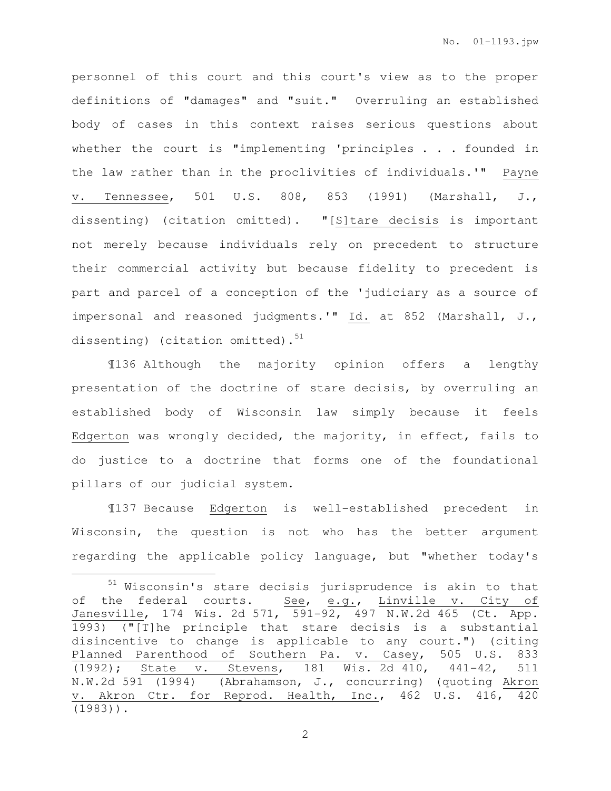personnel of this court and this court's view as to the proper definitions of "damages" and "suit." Overruling an established body of cases in this context raises serious questions about whether the court is "implementing 'principles . . . founded in the law rather than in the proclivities of individuals.'" Payne v. Tennessee, 501 U.S. 808, 853 (1991) (Marshall, J., dissenting) (citation omitted). "[S]tare decisis is important not merely because individuals rely on precedent to structure their commercial activity but because fidelity to precedent is part and parcel of a conception of the 'judiciary as a source of impersonal and reasoned judgments.'" Id. at 852 (Marshall, J., dissenting) (citation omitted). $51$ 

 ¶136 Although the majority opinion offers a lengthy presentation of the doctrine of stare decisis, by overruling an established body of Wisconsin law simply because it feels Edgerton was wrongly decided, the majority, in effect, fails to do justice to a doctrine that forms one of the foundational pillars of our judicial system.

¶137 Because Edgerton is well-established precedent in Wisconsin, the question is not who has the better argument regarding the applicable policy language, but "whether today's

l.

<sup>51</sup> Wisconsin's stare decisis jurisprudence is akin to that of the federal courts. See, e.g., Linville v. City of Janesville, 174 Wis. 2d 571, 591-92, 497 N.W.2d 465 (Ct. App. 1993) ("[T]he principle that stare decisis is a substantial disincentive to change is applicable to any court.") (citing Planned Parenthood of Southern Pa. v. Casey, 505 U.S. 833 (1992); State v. Stevens, 181 Wis. 2d 410, 441-42, 511 N.W.2d 591 (1994) (Abrahamson, J., concurring) (quoting Akron v. Akron Ctr. for Reprod. Health, Inc., 462 U.S. 416, 420 (1983)).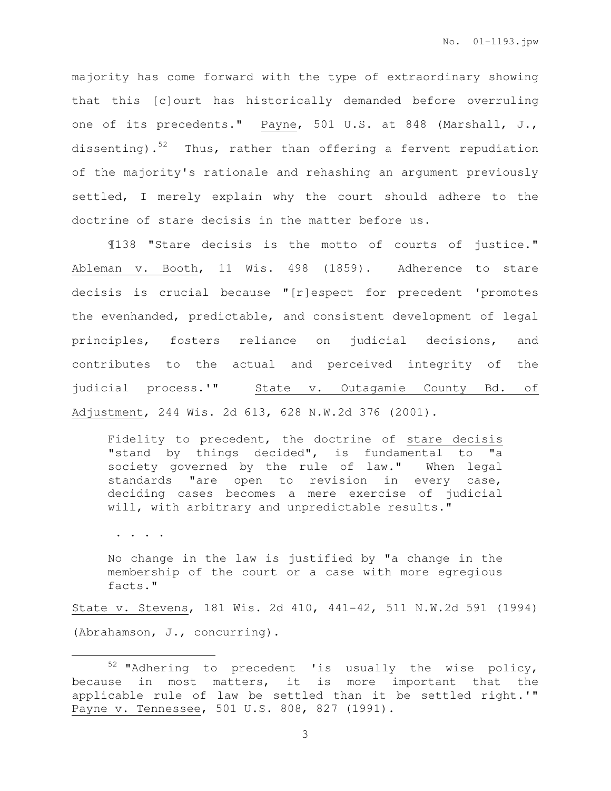majority has come forward with the type of extraordinary showing that this [c]ourt has historically demanded before overruling one of its precedents." Payne, 501 U.S. at 848 (Marshall, J., dissenting). $52$  Thus, rather than offering a fervent repudiation of the majority's rationale and rehashing an argument previously settled, I merely explain why the court should adhere to the doctrine of stare decisis in the matter before us.

¶138 "Stare decisis is the motto of courts of justice." Ableman v. Booth, 11 Wis. 498 (1859). Adherence to stare decisis is crucial because "[r]espect for precedent 'promotes the evenhanded, predictable, and consistent development of legal principles, fosters reliance on judicial decisions, and contributes to the actual and perceived integrity of the judicial process.'" State v. Outagamie County Bd. of Adjustment, 244 Wis. 2d 613, 628 N.W.2d 376 (2001).

Fidelity to precedent, the doctrine of stare decisis "stand by things decided", is fundamental to "a society governed by the rule of law." When legal standards "are open to revision in every case, deciding cases becomes a mere exercise of judicial will, with arbitrary and unpredictable results."

. . . .

 $\overline{a}$ 

No change in the law is justified by "a change in the membership of the court or a case with more egregious facts."

State v. Stevens, 181 Wis. 2d 410, 441-42, 511 N.W.2d 591 (1994) (Abrahamson, J., concurring).

<sup>52</sup> "Adhering to precedent 'is usually the wise policy, because in most matters, it is more important that the applicable rule of law be settled than it be settled right.'" Payne v. Tennessee, 501 U.S. 808, 827 (1991).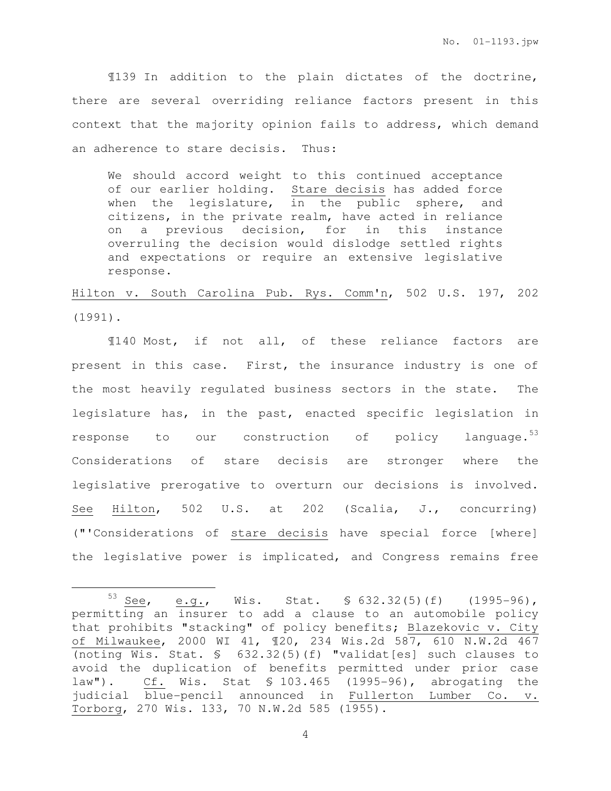No. 01-1193.jpw

 ¶139 In addition to the plain dictates of the doctrine, there are several overriding reliance factors present in this context that the majority opinion fails to address, which demand an adherence to stare decisis. Thus:

We should accord weight to this continued acceptance of our earlier holding. Stare decisis has added force when the legislature, in the public sphere, and citizens, in the private realm, have acted in reliance on a previous decision, for in this instance overruling the decision would dislodge settled rights and expectations or require an extensive legislative response.

Hilton v. South Carolina Pub. Rys. Comm'n, 502 U.S. 197, 202 (1991).

¶140 Most, if not all, of these reliance factors are present in this case. First, the insurance industry is one of the most heavily regulated business sectors in the state. The legislature has, in the past, enacted specific legislation in response to our construction of policy language.<sup>53</sup> Considerations of stare decisis are stronger where the legislative prerogative to overturn our decisions is involved. See Hilton, 502 U.S. at 202 (Scalia, J., concurring) ("'Considerations of stare decisis have special force [where] the legislative power is implicated, and Congress remains free

<sup>53</sup> See, e.g., Wis. Stat.  $\frac{1}{2}$  632.32(5)(f) (1995-96), permitting an insurer to add a clause to an automobile policy that prohibits "stacking" of policy benefits; Blazekovic v. City of Milwaukee, 2000 WI 41, ¶20, 234 Wis.2d 587, 610 N.W.2d 467 (noting Wis. Stat. § 632.32(5)(f) "validat[es] such clauses to avoid the duplication of benefits permitted under prior case law"). Cf. Wis. Stat § 103.465 (1995-96), abrogating the judicial blue-pencil announced in Fullerton Lumber Co. v. Torborg, 270 Wis. 133, 70 N.W.2d 585 (1955).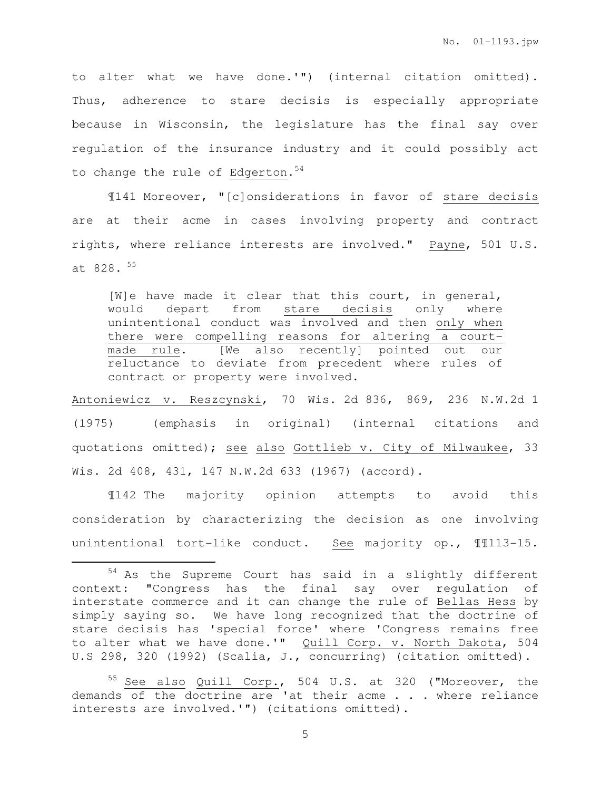to alter what we have done.'") (internal citation omitted). Thus, adherence to stare decisis is especially appropriate because in Wisconsin, the legislature has the final say over regulation of the insurance industry and it could possibly act to change the rule of Edgerton.  $54$ 

 ¶141 Moreover, "[c]onsiderations in favor of stare decisis are at their acme in cases involving property and contract rights, where reliance interests are involved." Payne, 501 U.S. at  $828.55$ 

[W]e have made it clear that this court, in general, would depart from stare decisis only where unintentional conduct was involved and then only when there were compelling reasons for altering a courtmade rule. [We also recently] pointed out our reluctance to deviate from precedent where rules of contract or property were involved.

Antoniewicz v. Reszcynski, 70 Wis. 2d 836, 869, 236 N.W.2d 1 (1975) (emphasis in original) (internal citations and quotations omitted); see also Gottlieb v. City of Milwaukee, 33 Wis. 2d 408, 431, 147 N.W.2d 633 (1967) (accord).

¶142 The majority opinion attempts to avoid this consideration by characterizing the decision as one involving unintentional tort-like conduct. See majority op., ¶¶113-15.

l.

<sup>54</sup> As the Supreme Court has said in a slightly different context: "Congress has the final say over regulation of interstate commerce and it can change the rule of Bellas Hess by simply saying so. We have long recognized that the doctrine of stare decisis has 'special force' where 'Congress remains free to alter what we have done.'" Quill Corp. v. North Dakota, 504 U.S 298, 320 (1992) (Scalia, J., concurring) (citation omitted).

See also Quill Corp., 504 U.S. at 320 ("Moreover, the demands of the doctrine are 'at their acme . . . where reliance interests are involved.'") (citations omitted).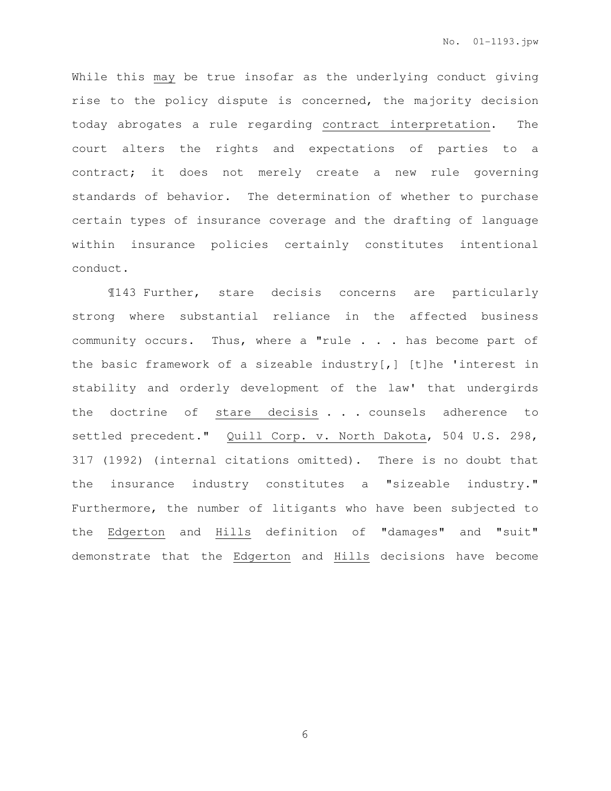While this may be true insofar as the underlying conduct giving rise to the policy dispute is concerned, the majority decision today abrogates a rule regarding contract interpretation. The court alters the rights and expectations of parties to a contract; it does not merely create a new rule governing standards of behavior. The determination of whether to purchase certain types of insurance coverage and the drafting of language within insurance policies certainly constitutes intentional conduct.

¶143 Further, stare decisis concerns are particularly strong where substantial reliance in the affected business community occurs. Thus, where a "rule . . . has become part of the basic framework of a sizeable industry[,] [t]he 'interest in stability and orderly development of the law' that undergirds the doctrine of stare decisis . . . counsels adherence to settled precedent." Quill Corp. v. North Dakota, 504 U.S. 298, 317 (1992) (internal citations omitted). There is no doubt that the insurance industry constitutes a "sizeable industry." Furthermore, the number of litigants who have been subjected to the Edgerton and Hills definition of "damages" and "suit" demonstrate that the Edgerton and Hills decisions have become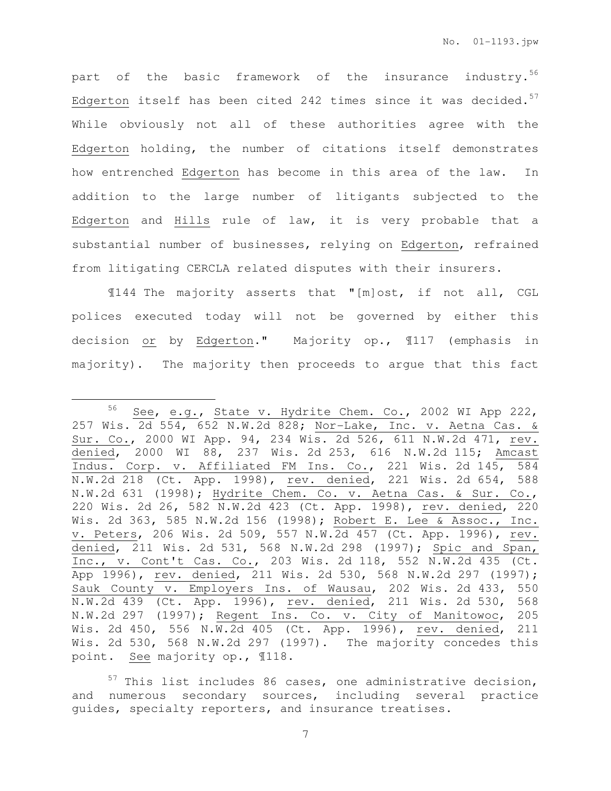part of the basic framework of the insurance industry.<sup>56</sup> Edgerton itself has been cited 242 times since it was decided. $57$ While obviously not all of these authorities agree with the Edgerton holding, the number of citations itself demonstrates how entrenched Edgerton has become in this area of the law. In addition to the large number of litigants subjected to the Edgerton and Hills rule of law, it is very probable that a substantial number of businesses, relying on Edgerton, refrained from litigating CERCLA related disputes with their insurers.

¶144 The majority asserts that "[m]ost, if not all, CGL polices executed today will not be governed by either this decision or by Edgerton." Majority op., 1117 (emphasis in majority). The majority then proceeds to argue that this fact

<sup>56</sup> See, e.g., State v. Hydrite Chem. Co., 2002 WI App 222, 257 Wis.  $2d$  554, 652 N.W.2d 828; Nor-Lake, Inc. v. Aetna Cas. & Sur. Co., 2000 WI App. 94, 234 Wis. 2d 526, 611 N.W.2d 471, rev. denied, 2000 WI 88, 237 Wis. 2d 253, 616 N.W.2d 115; Amcast Indus. Corp. v. Affiliated FM Ins. Co., 221 Wis. 2d 145, 584 N.W.2d 218 (Ct. App. 1998), rev. denied, 221 Wis. 2d 654, 588 N.W.2d 631 (1998); Hydrite Chem. Co. v. Aetna Cas. & Sur. Co., 220 Wis. 2d 26, 582 N.W.2d 423 (Ct. App. 1998), rev. denied, 220 Wis. 2d 363, 585 N.W.2d 156 (1998); Robert E. Lee & Assoc., Inc. v. Peters, 206 Wis. 2d 509, 557 N.W.2d 457 (Ct. App. 1996), rev. denied, 211 Wis. 2d 531, 568 N.W.2d 298 (1997); Spic and Span, Inc., v. Cont't Cas. Co., 203 Wis. 2d 118, 552 N.W.2d 435 (Ct. App 1996), rev. denied, 211 Wis. 2d 530, 568 N.W.2d 297 (1997); Sauk County v. Employers Ins. of Wausau, 202 Wis. 2d 433, 550 N.W.2d 439 (Ct. App. 1996), rev. denied, 211 Wis. 2d 530, 568 N.W.2d 297 (1997); Regent Ins. Co. v. City of Manitowoc, 205 Wis. 2d 450, 556 N.W.2d 405 (Ct. App. 1996), rev. denied, 211 Wis. 2d 530, 568 N.W.2d 297 (1997). The majority concedes this point. See majority op., ¶118.

 $57$  This list includes 86 cases, one administrative decision, and numerous secondary sources, including several practice guides, specialty reporters, and insurance treatises.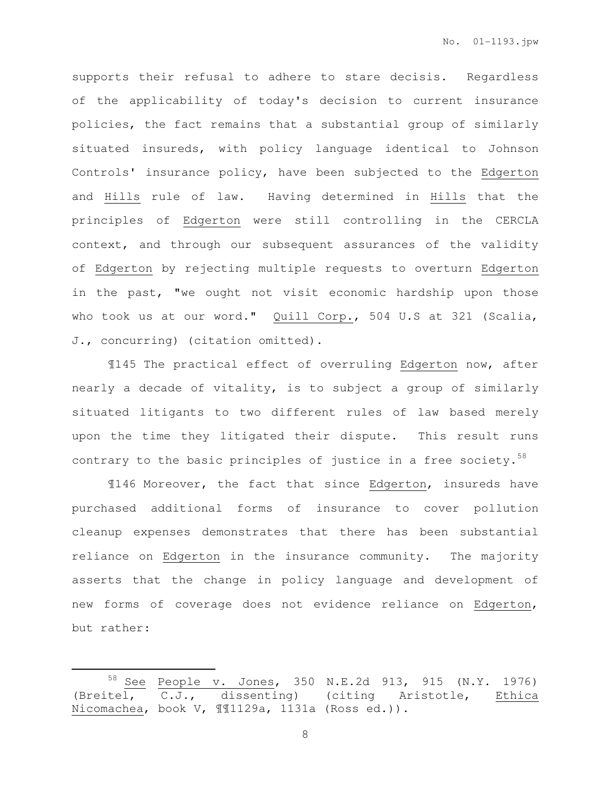supports their refusal to adhere to stare decisis. Regardless of the applicability of today's decision to current insurance policies, the fact remains that a substantial group of similarly situated insureds, with policy language identical to Johnson Controls' insurance policy, have been subjected to the Edgerton and Hills rule of law. Having determined in Hills that the principles of Edgerton were still controlling in the CERCLA context, and through our subsequent assurances of the validity of Edgerton by rejecting multiple requests to overturn Edgerton in the past, "we ought not visit economic hardship upon those who took us at our word." Quill Corp., 504 U.S at 321 (Scalia, J., concurring) (citation omitted).

¶145 The practical effect of overruling Edgerton now, after nearly a decade of vitality, is to subject a group of similarly situated litigants to two different rules of law based merely upon the time they litigated their dispute. This result runs contrary to the basic principles of justice in a free society. $58$ 

¶146 Moreover, the fact that since Edgerton, insureds have purchased additional forms of insurance to cover pollution cleanup expenses demonstrates that there has been substantial reliance on Edgerton in the insurance community. The majority asserts that the change in policy language and development of new forms of coverage does not evidence reliance on Edgerton, but rather:

 $\overline{a}$ 

<sup>58</sup> See People v. Jones, 350 N.E.2d 913, 915 (N.Y. 1976) (Breitel,  $\overline{C.J.}$ , dissenting) (citing Aristotle, Ethica Nicomachea, book V, ¶¶1129a, 1131a (Ross ed.)).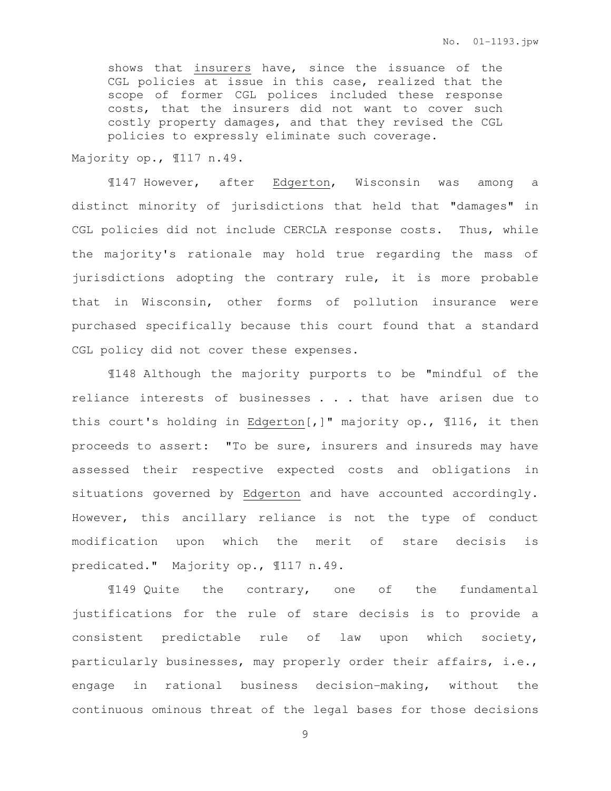shows that insurers have, since the issuance of the CGL policies at issue in this case, realized that the scope of former CGL polices included these response costs, that the insurers did not want to cover such costly property damages, and that they revised the CGL policies to expressly eliminate such coverage.

Majority op., ¶117 n.49.

 ¶147 However, after Edgerton, Wisconsin was among a distinct minority of jurisdictions that held that "damages" in CGL policies did not include CERCLA response costs. Thus, while the majority's rationale may hold true regarding the mass of jurisdictions adopting the contrary rule, it is more probable that in Wisconsin, other forms of pollution insurance were purchased specifically because this court found that a standard CGL policy did not cover these expenses.

¶148 Although the majority purports to be "mindful of the reliance interests of businesses . . . that have arisen due to this court's holding in Edgerton[,]" majority op., ¶116, it then proceeds to assert: "To be sure, insurers and insureds may have assessed their respective expected costs and obligations in situations governed by Edgerton and have accounted accordingly. However, this ancillary reliance is not the type of conduct modification upon which the merit of stare decisis is predicated." Majority op., ¶117 n.49.

¶149 Quite the contrary, one of the fundamental justifications for the rule of stare decisis is to provide a consistent predictable rule of law upon which society, particularly businesses, may properly order their affairs, i.e., engage in rational business decision-making, without the continuous ominous threat of the legal bases for those decisions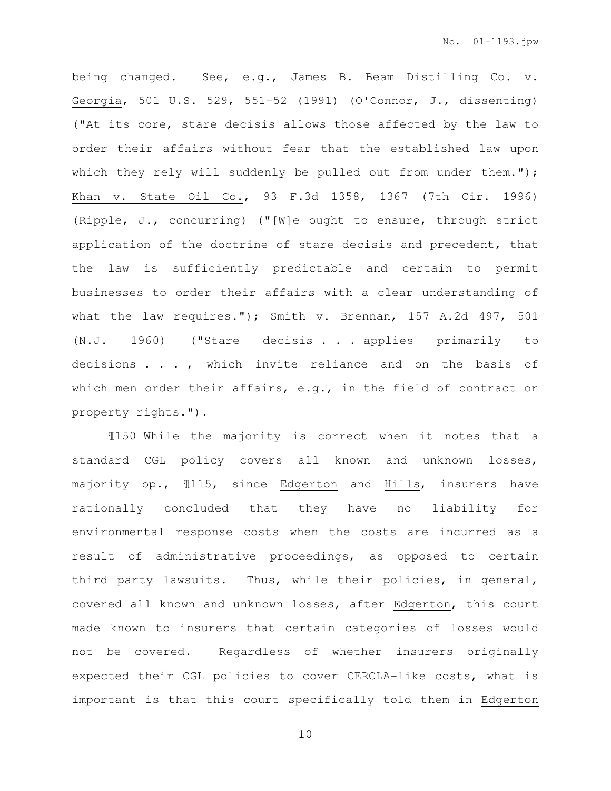being changed. See, e.g., James B. Beam Distilling Co. v. Georgia, 501 U.S. 529, 551-52 (1991) (O'Connor, J., dissenting) ("At its core, stare decisis allows those affected by the law to order their affairs without fear that the established law upon which they rely will suddenly be pulled out from under them."); Khan v. State Oil Co., 93 F.3d 1358, 1367 (7th Cir. 1996) (Ripple, J., concurring) ("[W]e ought to ensure, through strict application of the doctrine of stare decisis and precedent, that the law is sufficiently predictable and certain to permit businesses to order their affairs with a clear understanding of what the law requires."); Smith v. Brennan, 157 A.2d 497, 501 (N.J. 1960) ("Stare decisis . . . applies primarily to decisions . . . , which invite reliance and on the basis of which men order their affairs, e.g., in the field of contract or property rights.").

¶150 While the majority is correct when it notes that a standard CGL policy covers all known and unknown losses, majority op., ¶115, since Edgerton and Hills, insurers have rationally concluded that they have no liability for environmental response costs when the costs are incurred as a result of administrative proceedings, as opposed to certain third party lawsuits. Thus, while their policies, in general, covered all known and unknown losses, after Edgerton, this court made known to insurers that certain categories of losses would not be covered. Regardless of whether insurers originally expected their CGL policies to cover CERCLA-like costs, what is important is that this court specifically told them in Edgerton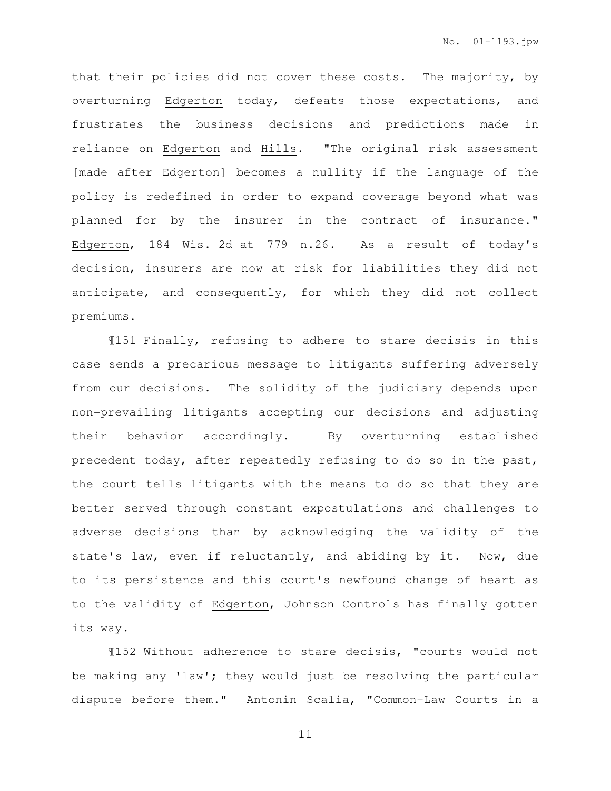that their policies did not cover these costs. The majority, by overturning Edgerton today, defeats those expectations, and frustrates the business decisions and predictions made in reliance on Edgerton and Hills. "The original risk assessment [made after Edgerton] becomes a nullity if the language of the policy is redefined in order to expand coverage beyond what was planned for by the insurer in the contract of insurance." Edgerton, 184 Wis. 2d at 779 n.26. As a result of today's decision, insurers are now at risk for liabilities they did not anticipate, and consequently, for which they did not collect premiums.

¶151 Finally, refusing to adhere to stare decisis in this case sends a precarious message to litigants suffering adversely from our decisions. The solidity of the judiciary depends upon non-prevailing litigants accepting our decisions and adjusting their behavior accordingly. By overturning established precedent today, after repeatedly refusing to do so in the past, the court tells litigants with the means to do so that they are better served through constant expostulations and challenges to adverse decisions than by acknowledging the validity of the state's law, even if reluctantly, and abiding by it. Now, due to its persistence and this court's newfound change of heart as to the validity of Edgerton, Johnson Controls has finally gotten its way.

¶152 Without adherence to stare decisis, "courts would not be making any 'law'; they would just be resolving the particular dispute before them." Antonin Scalia, "Common-Law Courts in a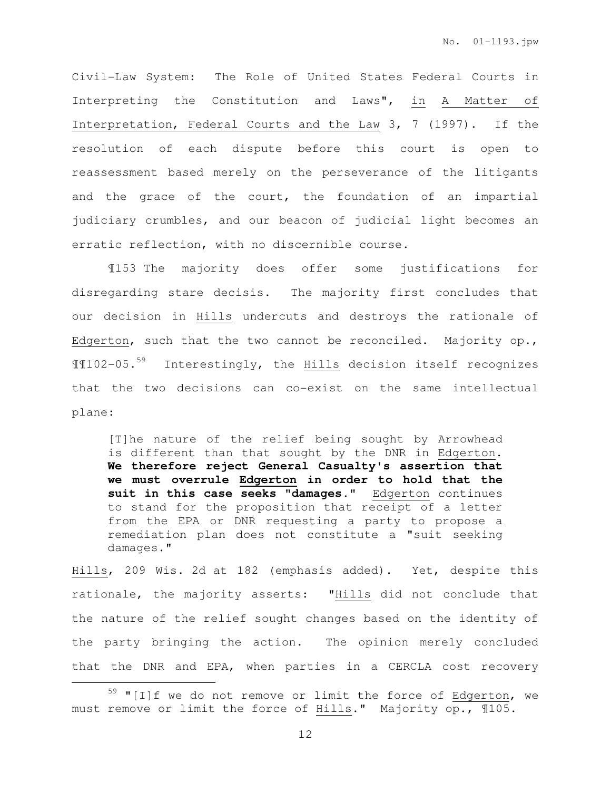Civil-Law System: The Role of United States Federal Courts in Interpreting the Constitution and Laws", in A Matter of Interpretation, Federal Courts and the Law 3, 7 (1997). If the resolution of each dispute before this court is open to reassessment based merely on the perseverance of the litigants and the grace of the court, the foundation of an impartial judiciary crumbles, and our beacon of judicial light becomes an erratic reflection, with no discernible course.

¶153 The majority does offer some justifications for disregarding stare decisis. The majority first concludes that our decision in Hills undercuts and destroys the rationale of Edgerton, such that the two cannot be reconciled. Majority op., ¶¶102-05.<sup>59</sup> Interestingly, the Hills decision itself recognizes that the two decisions can co-exist on the same intellectual plane:

[T]he nature of the relief being sought by Arrowhead is different than that sought by the DNR in Edgerton. **We therefore reject General Casualty's assertion that we must overrule Edgerton in order to hold that the suit in this case seeks "damages."** Edgerton continues to stand for the proposition that receipt of a letter from the EPA or DNR requesting a party to propose a remediation plan does not constitute a "suit seeking damages."

Hills, 209 Wis. 2d at 182 (emphasis added). Yet, despite this rationale, the majority asserts: "Hills did not conclude that the nature of the relief sought changes based on the identity of the party bringing the action. The opinion merely concluded that the DNR and EPA, when parties in a CERCLA cost recovery

 $59$  "[I]f we do not remove or limit the force of Edgerton, we must remove or limit the force of Hills." Majority op., ¶105.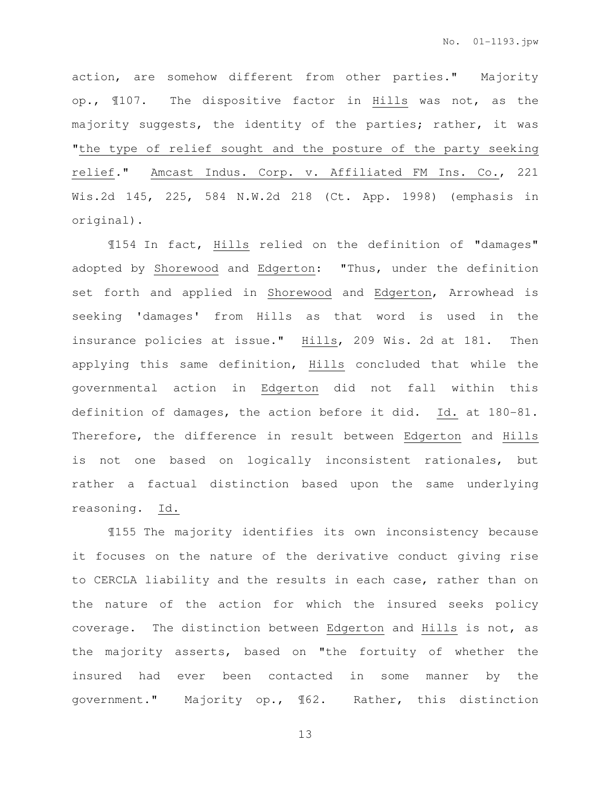action, are somehow different from other parties." Majority op., ¶107. The dispositive factor in Hills was not, as the majority suggests, the identity of the parties; rather, it was "the type of relief sought and the posture of the party seeking relief." Amcast Indus. Corp. v. Affiliated FM Ins. Co., 221 Wis.2d 145, 225, 584 N.W.2d 218 (Ct. App. 1998) (emphasis in original).

¶154 In fact, Hills relied on the definition of "damages" adopted by Shorewood and Edgerton: "Thus, under the definition set forth and applied in Shorewood and Edgerton, Arrowhead is seeking 'damages' from Hills as that word is used in the insurance policies at issue." Hills, 209 Wis. 2d at 181. Then applying this same definition, Hills concluded that while the governmental action in Edgerton did not fall within this definition of damages, the action before it did. Id. at 180-81. Therefore, the difference in result between Edgerton and Hills is not one based on logically inconsistent rationales, but rather a factual distinction based upon the same underlying reasoning. Id.

¶155 The majority identifies its own inconsistency because it focuses on the nature of the derivative conduct giving rise to CERCLA liability and the results in each case, rather than on the nature of the action for which the insured seeks policy coverage. The distinction between Edgerton and Hills is not, as the majority asserts, based on "the fortuity of whether the insured had ever been contacted in some manner by the government." Majority op., ¶62. Rather, this distinction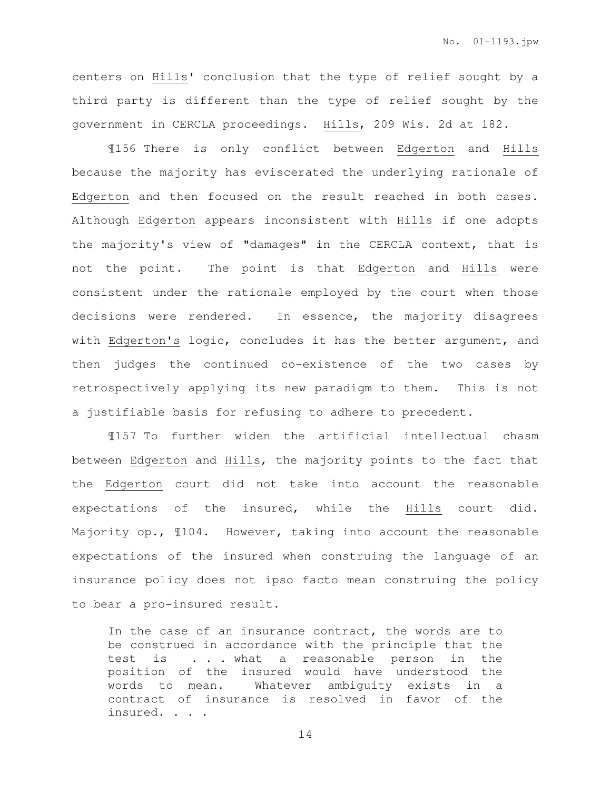centers on Hills' conclusion that the type of relief sought by a third party is different than the type of relief sought by the government in CERCLA proceedings. Hills, 209 Wis. 2d at 182.

¶156 There is only conflict between Edgerton and Hills because the majority has eviscerated the underlying rationale of Edgerton and then focused on the result reached in both cases. Although Edgerton appears inconsistent with Hills if one adopts the majority's view of "damages" in the CERCLA context, that is not the point. The point is that Edgerton and Hills were consistent under the rationale employed by the court when those decisions were rendered. In essence, the majority disagrees with Edgerton's logic, concludes it has the better argument, and then judges the continued co-existence of the two cases by retrospectively applying its new paradigm to them. This is not a justifiable basis for refusing to adhere to precedent.

¶157 To further widen the artificial intellectual chasm between Edgerton and Hills, the majority points to the fact that the Edgerton court did not take into account the reasonable expectations of the insured, while the Hills court did. Majority op., ¶104. However, taking into account the reasonable expectations of the insured when construing the language of an insurance policy does not ipso facto mean construing the policy to bear a pro-insured result.

In the case of an insurance contract, the words are to be construed in accordance with the principle that the test is . . . what a reasonable person in the position of the insured would have understood the words to mean. Whatever ambiguity exists in a contract of insurance is resolved in favor of the insured. . . .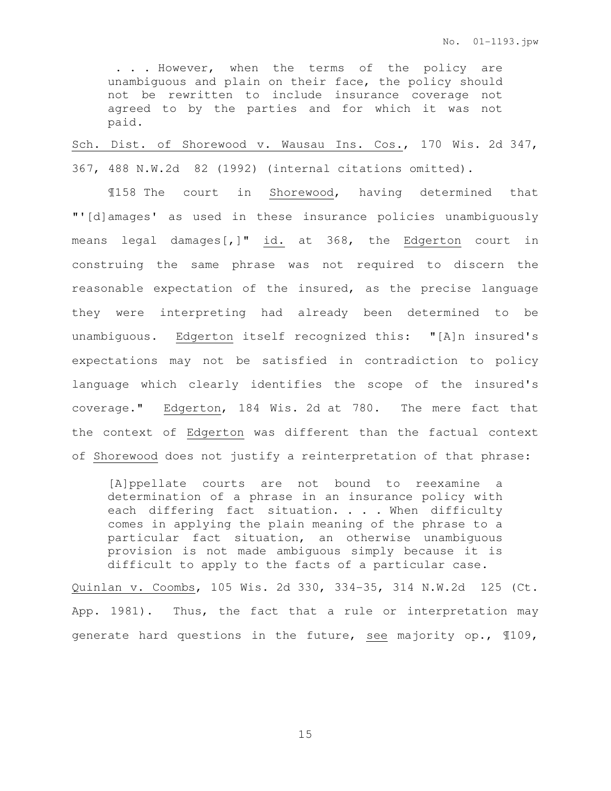. . . However, when the terms of the policy are unambiguous and plain on their face, the policy should not be rewritten to include insurance coverage not agreed to by the parties and for which it was not paid.

Sch. Dist. of Shorewood v. Wausau Ins. Cos., 170 Wis. 2d 347, 367, 488 N.W.2d 82 (1992) (internal citations omitted).

¶158 The court in Shorewood, having determined that "'[d]amages' as used in these insurance policies unambiguously means legal damages[,]" id. at 368, the Edgerton court in construing the same phrase was not required to discern the reasonable expectation of the insured, as the precise language they were interpreting had already been determined to be unambiguous. Edgerton itself recognized this: "[A]n insured's expectations may not be satisfied in contradiction to policy language which clearly identifies the scope of the insured's coverage." Edgerton, 184 Wis. 2d at 780. The mere fact that the context of Edgerton was different than the factual context of Shorewood does not justify a reinterpretation of that phrase:

[A]ppellate courts are not bound to reexamine a determination of a phrase in an insurance policy with each differing fact situation. . . . When difficulty comes in applying the plain meaning of the phrase to a particular fact situation, an otherwise unambiguous provision is not made ambiguous simply because it is difficult to apply to the facts of a particular case.

Quinlan v. Coombs, 105 Wis. 2d 330, 334-35, 314 N.W.2d 125 (Ct. App. 1981). Thus, the fact that a rule or interpretation may generate hard questions in the future, see majority op., ¶109,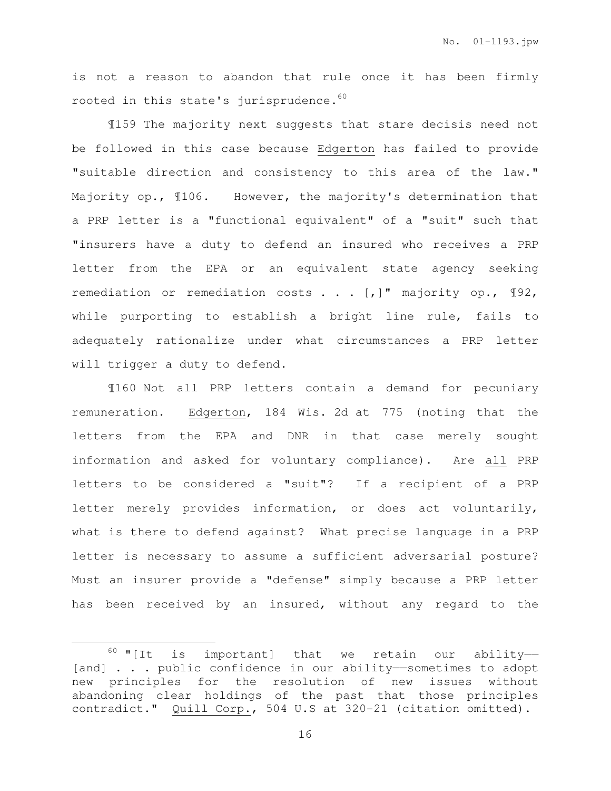is not a reason to abandon that rule once it has been firmly rooted in this state's jurisprudence.<sup>60</sup>

 ¶159 The majority next suggests that stare decisis need not be followed in this case because Edgerton has failed to provide "suitable direction and consistency to this area of the law." Majority op., ¶106. However, the majority's determination that a PRP letter is a "functional equivalent" of a "suit" such that "insurers have a duty to defend an insured who receives a PRP letter from the EPA or an equivalent state agency seeking remediation or remediation costs . . . [,]" majority op., ¶92, while purporting to establish a bright line rule, fails to adequately rationalize under what circumstances a PRP letter will trigger a duty to defend.

¶160 Not all PRP letters contain a demand for pecuniary remuneration. Edgerton, 184 Wis. 2d at 775 (noting that the letters from the EPA and DNR in that case merely sought information and asked for voluntary compliance). Are all PRP letters to be considered a "suit"? If a recipient of a PRP letter merely provides information, or does act voluntarily, what is there to defend against? What precise language in a PRP letter is necessary to assume a sufficient adversarial posture? Must an insurer provide a "defense" simply because a PRP letter has been received by an insured, without any regard to the

 $60$  "[It is important] that we retain our ability--[and] . . . public confidence in our ability-sometimes to adopt new principles for the resolution of new issues without abandoning clear holdings of the past that those principles contradict." Quill Corp., 504 U.S at 320-21 (citation omitted).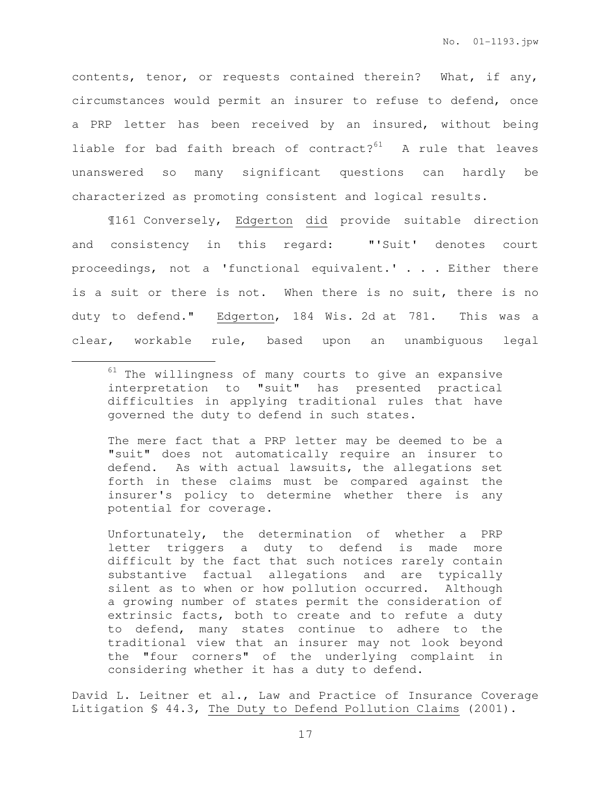contents, tenor, or requests contained therein? What, if any, circumstances would permit an insurer to refuse to defend, once a PRP letter has been received by an insured, without being liable for bad faith breach of contract? $61$  A rule that leaves unanswered so many significant questions can hardly be characterized as promoting consistent and logical results.

¶161 Conversely, Edgerton did provide suitable direction and consistency in this regard: "'Suit' denotes court proceedings, not a 'functional equivalent.' . . . Either there is a suit or there is not. When there is no suit, there is no duty to defend." Edgerton, 184 Wis. 2d at 781. This was a clear, workable rule, based upon an unambiguous legal

 $\overline{a}$ 

The mere fact that a PRP letter may be deemed to be a "suit" does not automatically require an insurer to defend. As with actual lawsuits, the allegations set forth in these claims must be compared against the insurer's policy to determine whether there is any potential for coverage.

Unfortunately, the determination of whether a PRP letter triggers a duty to defend is made more difficult by the fact that such notices rarely contain substantive factual allegations and are typically silent as to when or how pollution occurred. Although a growing number of states permit the consideration of extrinsic facts, both to create and to refute a duty to defend, many states continue to adhere to the traditional view that an insurer may not look beyond the "four corners" of the underlying complaint in considering whether it has a duty to defend.

David L. Leitner et al., Law and Practice of Insurance Coverage Litigation § 44.3, The Duty to Defend Pollution Claims (2001).

 $61$  The willingness of many courts to give an expansive interpretation to "suit" has presented practical difficulties in applying traditional rules that have governed the duty to defend in such states.